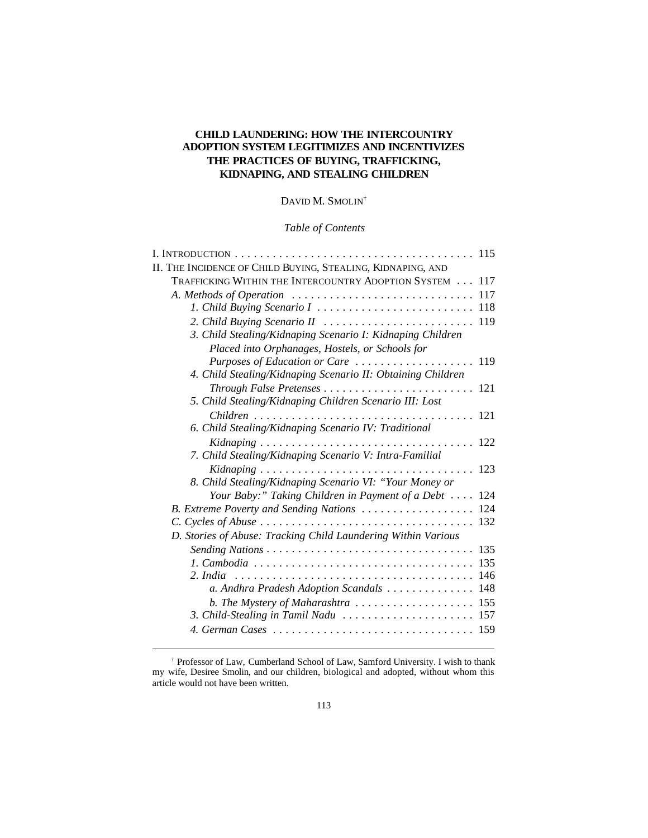# **CHILD LAUNDERING: HOW THE INTERCOUNTRY ADOPTION SYSTEM LEGITIMIZES AND INCENTIVIZES THE PRACTICES OF BUYING, TRAFFICKING, KIDNAPING, AND STEALING CHILDREN**

DAVID M. SMOLIN<sup>†</sup>

*Table of Contents*

| II. THE INCIDENCE OF CHILD BUYING, STEALING, KIDNAPING, AND                   |     |
|-------------------------------------------------------------------------------|-----|
| TRAFFICKING WITHIN THE INTERCOUNTRY ADOPTION SYSTEM 117                       |     |
| A. Methods of Operation                                                       | 117 |
|                                                                               |     |
|                                                                               |     |
| 3. Child Stealing/Kidnaping Scenario I: Kidnaping Children                    |     |
| Placed into Orphanages, Hostels, or Schools for                               |     |
|                                                                               |     |
| 4. Child Stealing/Kidnaping Scenario II: Obtaining Children                   |     |
| Through False Pretenses  121                                                  |     |
| 5. Child Stealing/Kidnaping Children Scenario III: Lost                       |     |
|                                                                               |     |
| 6. Child Stealing/Kidnaping Scenario IV: Traditional                          |     |
|                                                                               |     |
| 7. Child Stealing/Kidnaping Scenario V: Intra-Familial                        |     |
|                                                                               |     |
| 8. Child Stealing/Kidnaping Scenario VI: "Your Money or                       |     |
| Your Baby:" Taking Children in Payment of a Debt $\cdots$ 124                 |     |
| B. Extreme Poverty and Sending Nations                                        | 124 |
|                                                                               | 132 |
| D. Stories of Abuse: Tracking Child Laundering Within Various                 |     |
|                                                                               | 135 |
|                                                                               | 135 |
| 2. India                                                                      | 146 |
| a. Andhra Pradesh Adoption Scandals 148                                       |     |
| b. The Mystery of Maharashtra $\ldots \ldots \ldots \ldots \ldots \ldots 155$ |     |
| 3. Child-Stealing in Tamil Nadu                                               | 157 |
|                                                                               |     |
|                                                                               |     |

<sup>†</sup> Professor of Law, Cumberland School of Law, Samford University. I wish to thank my wife, Desiree Smolin, and our children, biological and adopted, without whom this article would not have been written.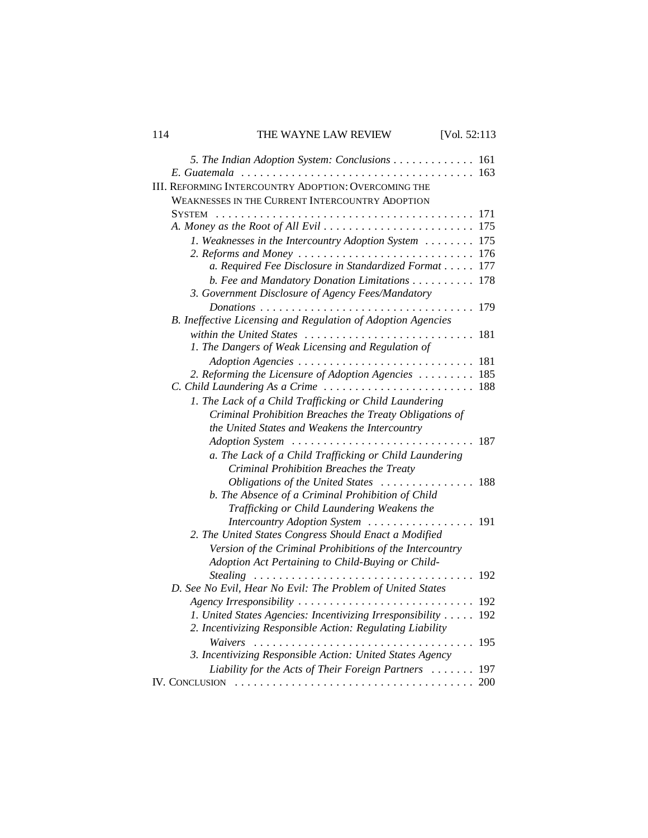# 114 THE WAYNE LAW REVIEW [Vol. 52:113

| 5. The Indian Adoption System: Conclusions<br>$E.$ Guatemala $\ldots \ldots \ldots \ldots \ldots \ldots \ldots$ | 161<br>163 |
|-----------------------------------------------------------------------------------------------------------------|------------|
| <b>III. REFORMING INTERCOUNTRY ADOPTION: OVERCOMING THE</b>                                                     |            |
| <b>WEAKNESSES IN THE CURRENT INTERCOUNTRY ADOPTION</b>                                                          |            |
| <b>SYSTEM</b>                                                                                                   | 171        |
|                                                                                                                 | 175        |
| 1. Weaknesses in the Intercountry Adoption System                                                               | 175        |
| 2. Reforms and Money                                                                                            | 176        |
| a. Required Fee Disclosure in Standardized Format                                                               | 177        |
| b. Fee and Mandatory Donation Limitations                                                                       | 178        |
| 3. Government Disclosure of Agency Fees/Mandatory                                                               |            |
| $Donations \dots \dots \dots \dots \dots \dots \dots$                                                           | 179        |
| B. Ineffective Licensing and Regulation of Adoption Agencies                                                    |            |
| within the United States                                                                                        | 181        |
| 1. The Dangers of Weak Licensing and Regulation of                                                              |            |
| Adoption Agencies                                                                                               | 181        |
| 2. Reforming the Licensure of Adoption Agencies                                                                 | 185        |
| C. Child Laundering As a Crime                                                                                  | 188        |
| 1. The Lack of a Child Trafficking or Child Laundering                                                          |            |
| Criminal Prohibition Breaches the Treaty Obligations of                                                         |            |
| the United States and Weakens the Intercountry                                                                  |            |
| Adoption System                                                                                                 | 187        |
| a. The Lack of a Child Trafficking or Child Laundering                                                          |            |
| Criminal Prohibition Breaches the Treaty                                                                        |            |
| Obligations of the United States                                                                                | 188        |
| b. The Absence of a Criminal Prohibition of Child                                                               |            |
| Trafficking or Child Laundering Weakens the                                                                     |            |
| Intercountry Adoption System                                                                                    | 191        |
| 2. The United States Congress Should Enact a Modified                                                           |            |
| Version of the Criminal Prohibitions of the Intercountry                                                        |            |
| Adoption Act Pertaining to Child-Buying or Child-                                                               |            |
|                                                                                                                 | 192        |
| D. See No Evil, Hear No Evil: The Problem of United States                                                      |            |
| Agency Irresponsibility                                                                                         | 192        |
| 1. United States Agencies: Incentivizing Irresponsibility                                                       | 192        |
| 2. Incentivizing Responsible Action: Regulating Liability                                                       |            |
| Waivers                                                                                                         | 195        |
| 3. Incentivizing Responsible Action: United States Agency                                                       |            |
| Liability for the Acts of Their Foreign Partners                                                                | 197<br>200 |
|                                                                                                                 |            |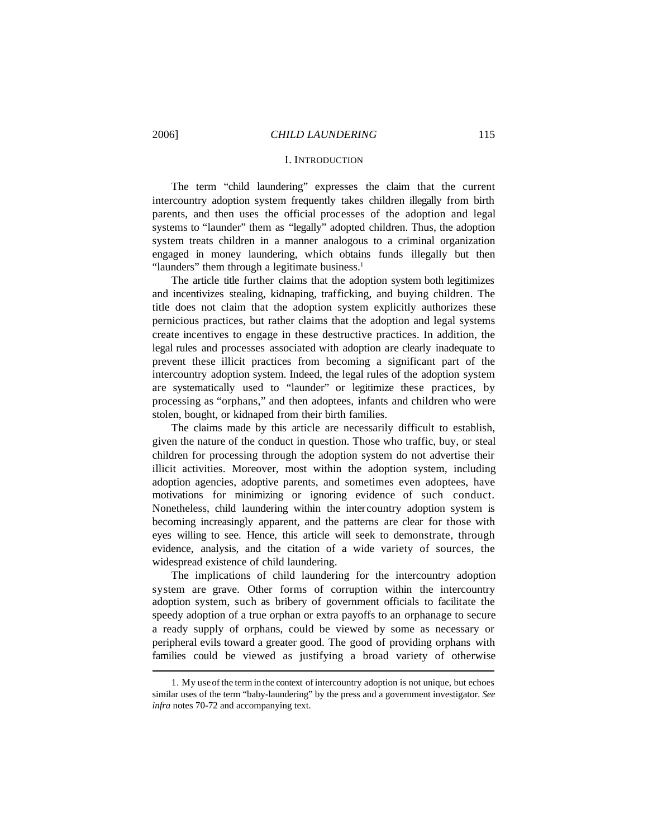#### I. INTRODUCTION

The term "child laundering" expresses the claim that the current intercountry adoption system frequently takes children illegally from birth parents, and then uses the official processes of the adoption and legal systems to "launder" them as "legally" adopted children. Thus, the adoption system treats children in a manner analogous to a criminal organization engaged in money laundering, which obtains funds illegally but then "launders" them through a legitimate business.<sup>1</sup>

The article title further claims that the adoption system both legitimizes and incentivizes stealing, kidnaping, trafficking, and buying children. The title does not claim that the adoption system explicitly authorizes these pernicious practices, but rather claims that the adoption and legal systems create incentives to engage in these destructive practices. In addition, the legal rules and processes associated with adoption are clearly inadequate to prevent these illicit practices from becoming a significant part of the intercountry adoption system. Indeed, the legal rules of the adoption system are systematically used to "launder" or legitimize these practices, by processing as "orphans," and then adoptees, infants and children who were stolen, bought, or kidnaped from their birth families.

The claims made by this article are necessarily difficult to establish, given the nature of the conduct in question. Those who traffic, buy, or steal children for processing through the adoption system do not advertise their illicit activities. Moreover, most within the adoption system, including adoption agencies, adoptive parents, and sometimes even adoptees, have motivations for minimizing or ignoring evidence of such conduct. Nonetheless, child laundering within the intercountry adoption system is becoming increasingly apparent, and the patterns are clear for those with eyes willing to see. Hence, this article will seek to demonstrate, through evidence, analysis, and the citation of a wide variety of sources, the widespread existence of child laundering.

The implications of child laundering for the intercountry adoption system are grave. Other forms of corruption within the intercountry adoption system, such as bribery of government officials to facilitate the speedy adoption of a true orphan or extra payoffs to an orphanage to secure a ready supply of orphans, could be viewed by some as necessary or peripheral evils toward a greater good. The good of providing orphans with families could be viewed as justifying a broad variety of otherwise

<sup>1.</sup> My useof the term in the context of intercountry adoption is not unique, but echoes similar uses of the term "baby-laundering" by the press and a government investigator. *See infra* notes 70-72 and accompanying text.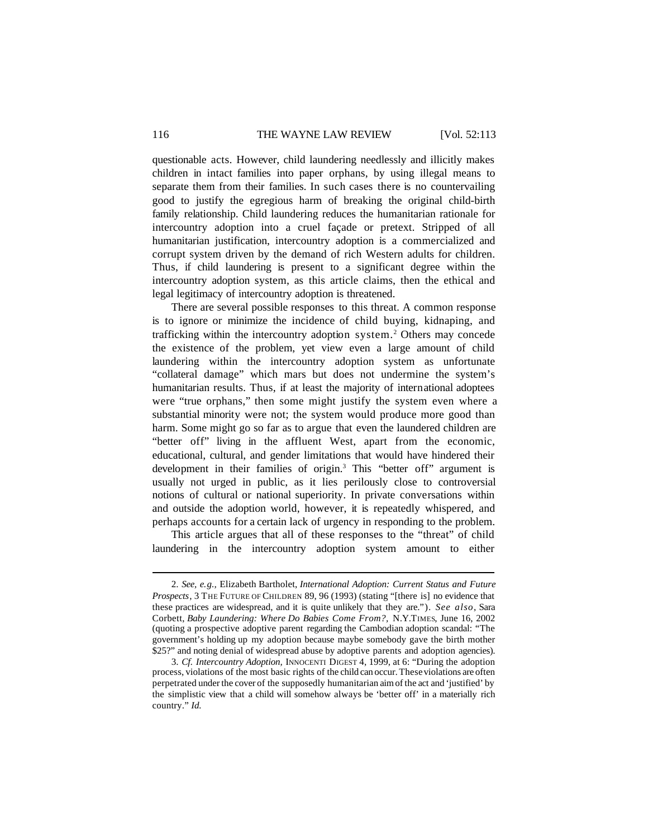questionable acts. However, child laundering needlessly and illicitly makes children in intact families into paper orphans, by using illegal means to separate them from their families. In such cases there is no countervailing good to justify the egregious harm of breaking the original child-birth family relationship. Child laundering reduces the humanitarian rationale for intercountry adoption into a cruel façade or pretext. Stripped of all humanitarian justification, intercountry adoption is a commercialized and corrupt system driven by the demand of rich Western adults for children. Thus, if child laundering is present to a significant degree within the intercountry adoption system, as this article claims, then the ethical and legal legitimacy of intercountry adoption is threatened.

There are several possible responses to this threat. A common response is to ignore or minimize the incidence of child buying, kidnaping, and trafficking within the intercountry adoption system.<sup>2</sup> Others may concede the existence of the problem, yet view even a large amount of child laundering within the intercountry adoption system as unfortunate "collateral damage" which mars but does not undermine the system's humanitarian results. Thus, if at least the majority of international adoptees were "true orphans," then some might justify the system even where a substantial minority were not; the system would produce more good than harm. Some might go so far as to argue that even the laundered children are "better off" living in the affluent West, apart from the economic, educational, cultural, and gender limitations that would have hindered their development in their families of origin.<sup>3</sup> This "better off" argument is usually not urged in public, as it lies perilously close to controversial notions of cultural or national superiority. In private conversations within and outside the adoption world, however, it is repeatedly whispered, and perhaps accounts for a certain lack of urgency in responding to the problem.

This article argues that all of these responses to the "threat" of child laundering in the intercountry adoption system amount to either

<sup>2.</sup> *See, e.g.,* Elizabeth Bartholet, *International Adoption: Current Status and Future Prospects*, 3 THE FUTURE OF CHILDREN 89, 96 (1993) (stating "[there is] no evidence that these practices are widespread, and it is quite unlikely that they are."). *See also*, Sara Corbett, *Baby Laundering: Where Do Babies Come From?,* N.Y.TIMES, June 16, 2002 (quoting a prospective adoptive parent regarding the Cambodian adoption scandal: "The government's holding up my adoption because maybe somebody gave the birth mother \$25?" and noting denial of widespread abuse by adoptive parents and adoption agencies).

<sup>3.</sup> *Cf. Intercountry Adoption,* INNOCENTI DIGEST 4, 1999, at 6: "During the adoption process, violations of the most basic rights of the child can occur. Theseviolations are often perpetrated under the cover of the supposedly humanitarian aim of the act and 'justified' by the simplistic view that a child will somehow always be 'better off' in a materially rich country." *Id.*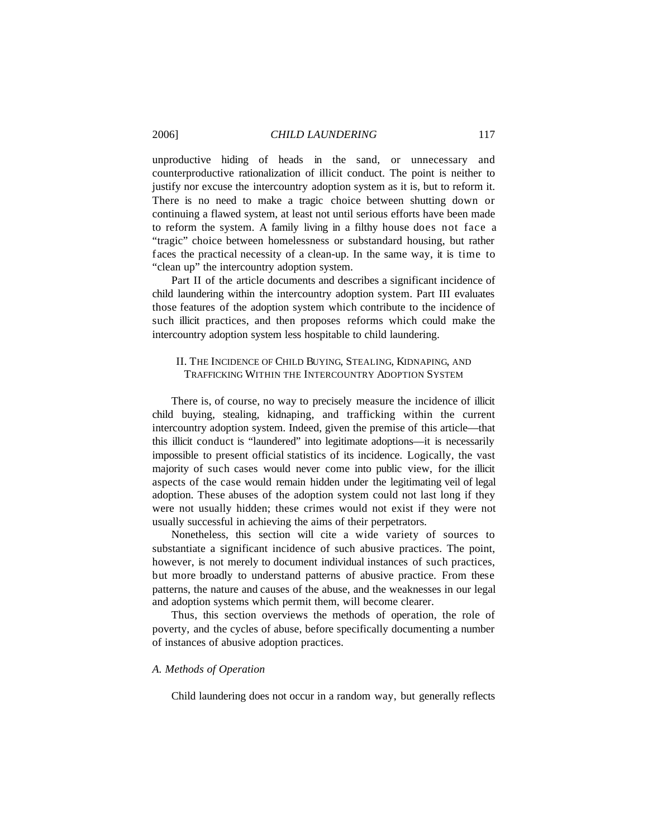#### 2006] *CHILD LAUNDERING* 117

unproductive hiding of heads in the sand, or unnecessary and counterproductive rationalization of illicit conduct. The point is neither to justify nor excuse the intercountry adoption system as it is, but to reform it. There is no need to make a tragic choice between shutting down or continuing a flawed system, at least not until serious efforts have been made to reform the system. A family living in a filthy house does not face a "tragic" choice between homelessness or substandard housing, but rather faces the practical necessity of a clean-up. In the same way, it is time to "clean up" the intercountry adoption system.

Part II of the article documents and describes a significant incidence of child laundering within the intercountry adoption system. Part III evaluates those features of the adoption system which contribute to the incidence of such illicit practices, and then proposes reforms which could make the intercountry adoption system less hospitable to child laundering.

## II. THE INCIDENCE OF CHILD BUYING, STEALING, KIDNAPING, AND TRAFFICKING WITHIN THE INTERCOUNTRY ADOPTION SYSTEM

There is, of course, no way to precisely measure the incidence of illicit child buying, stealing, kidnaping, and trafficking within the current intercountry adoption system. Indeed, given the premise of this article—that this illicit conduct is "laundered" into legitimate adoptions—it is necessarily impossible to present official statistics of its incidence. Logically, the vast majority of such cases would never come into public view, for the illicit aspects of the case would remain hidden under the legitimating veil of legal adoption. These abuses of the adoption system could not last long if they were not usually hidden; these crimes would not exist if they were not usually successful in achieving the aims of their perpetrators.

Nonetheless, this section will cite a wide variety of sources to substantiate a significant incidence of such abusive practices. The point, however, is not merely to document individual instances of such practices, but more broadly to understand patterns of abusive practice. From these patterns, the nature and causes of the abuse, and the weaknesses in our legal and adoption systems which permit them, will become clearer.

Thus, this section overviews the methods of operation, the role of poverty, and the cycles of abuse, before specifically documenting a number of instances of abusive adoption practices.

## *A. Methods of Operation*

Child laundering does not occur in a random way, but generally reflects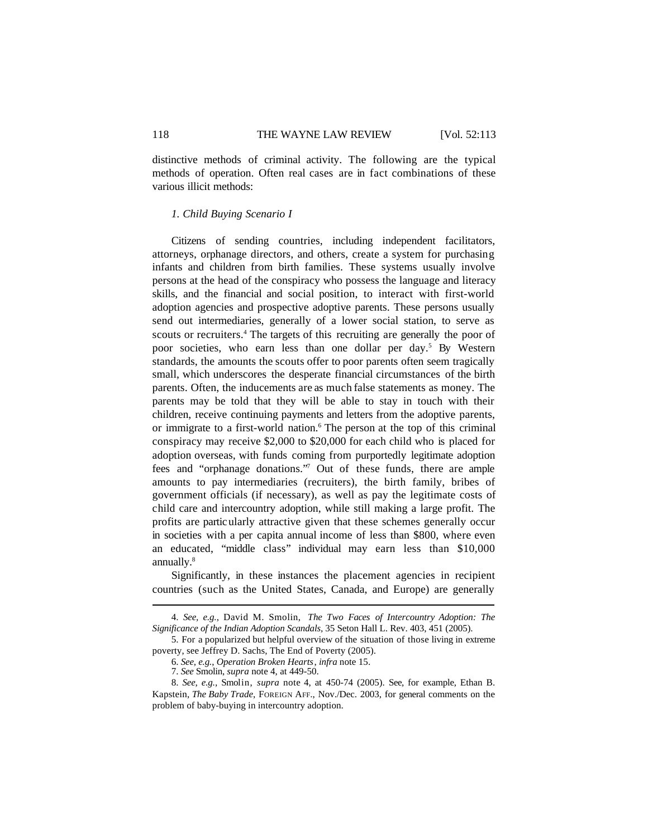distinctive methods of criminal activity. The following are the typical methods of operation. Often real cases are in fact combinations of these various illicit methods:

#### *1. Child Buying Scenario I*

Citizens of sending countries, including independent facilitators, attorneys, orphanage directors, and others, create a system for purchasing infants and children from birth families. These systems usually involve persons at the head of the conspiracy who possess the language and literacy skills, and the financial and social position, to interact with first-world adoption agencies and prospective adoptive parents. These persons usually send out intermediaries, generally of a lower social station, to serve as scouts or recruiters.<sup>4</sup> The targets of this recruiting are generally the poor of poor societies, who earn less than one dollar per day.<sup>5</sup> By Western standards, the amounts the scouts offer to poor parents often seem tragically small, which underscores the desperate financial circumstances of the birth parents. Often, the inducements are as much false statements as money. The parents may be told that they will be able to stay in touch with their children, receive continuing payments and letters from the adoptive parents, or immigrate to a first-world nation.<sup>6</sup> The person at the top of this criminal conspiracy may receive \$2,000 to \$20,000 for each child who is placed for adoption overseas, with funds coming from purportedly legitimate adoption fees and "orphanage donations."<sup>7</sup> Out of these funds, there are ample amounts to pay intermediaries (recruiters), the birth family, bribes of government officials (if necessary), as well as pay the legitimate costs of child care and intercountry adoption, while still making a large profit. The profits are particularly attractive given that these schemes generally occur in societies with a per capita annual income of less than \$800, where even an educated, "middle class" individual may earn less than \$10,000 annually.<sup>8</sup>

Significantly, in these instances the placement agencies in recipient countries (such as the United States, Canada, and Europe) are generally

<sup>4.</sup> *See, e.g.*, David M. Smolin, *The Two Faces of Intercountry Adoption: The Significance of the Indian Adoption Scandals,* 35 Seton Hall L. Rev. 403, 451 (2005).

<sup>5.</sup> For a popularized but helpful overview of the situation of those living in extreme poverty, see Jeffrey D. Sachs, The End of Poverty (2005).

<sup>6.</sup> *See, e.g.*, *Operation Broken Hearts*, *infra* note 15.

<sup>7.</sup> *See* Smolin, *supra* note 4, at 449-50.

<sup>8.</sup> *See, e.g.,* Smolin, *supra* note 4, at 450-74 (2005). See, for example, Ethan B. Kapstein, *The Baby Trade*, FOREIGN AFF., Nov./Dec. 2003, for general comments on the problem of baby-buying in intercountry adoption.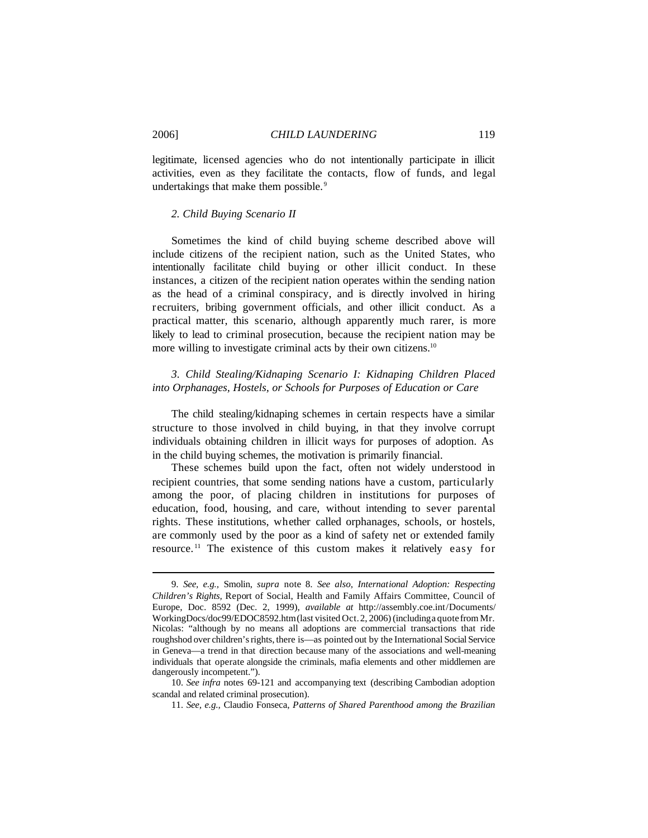legitimate, licensed agencies who do not intentionally participate in illicit activities, even as they facilitate the contacts, flow of funds, and legal undertakings that make them possible.<sup>9</sup>

#### *2. Child Buying Scenario II*

Sometimes the kind of child buying scheme described above will include citizens of the recipient nation, such as the United States, who intentionally facilitate child buying or other illicit conduct. In these instances, a citizen of the recipient nation operates within the sending nation as the head of a criminal conspiracy, and is directly involved in hiring recruiters, bribing government officials, and other illicit conduct. As a practical matter, this scenario, although apparently much rarer, is more likely to lead to criminal prosecution, because the recipient nation may be more willing to investigate criminal acts by their own citizens.<sup>10</sup>

# *3. Child Stealing/Kidnaping Scenario I: Kidnaping Children Placed into Orphanages, Hostels, or Schools for Purposes of Education or Care*

The child stealing/kidnaping schemes in certain respects have a similar structure to those involved in child buying, in that they involve corrupt individuals obtaining children in illicit ways for purposes of adoption. As in the child buying schemes, the motivation is primarily financial.

These schemes build upon the fact, often not widely understood in recipient countries, that some sending nations have a custom, particularly among the poor, of placing children in institutions for purposes of education, food, housing, and care, without intending to sever parental rights. These institutions, whether called orphanages, schools, or hostels, are commonly used by the poor as a kind of safety net or extended family resource. <sup>11</sup> The existence of this custom makes it relatively easy for

<sup>9.</sup> *See, e.g.,* Smolin, *supra* note 8. *See also*, *International Adoption: Respecting Children's Rights,* Report of Social, Health and Family Affairs Committee, Council of Europe, Doc. 8592 (Dec. 2, 1999), *available at* http://assembly.coe.int/Documents/ WorkingDocs/doc99/EDOC8592.htm(last visited Oct.2, 2006) (includinga quotefrom Mr. Nicolas: "although by no means all adoptions are commercial transactions that ride roughshod over children's rights, there is—as pointed out by the International Social Service in Geneva—a trend in that direction because many of the associations and well-meaning individuals that operate alongside the criminals, mafia elements and other middlemen are dangerously incompetent.").

<sup>10.</sup> *See infra* notes 69-121 and accompanying text (describing Cambodian adoption scandal and related criminal prosecution).

<sup>11.</sup> *See, e.g.,* Claudio Fonseca, *Patterns of Shared Parenthood among the Brazilian*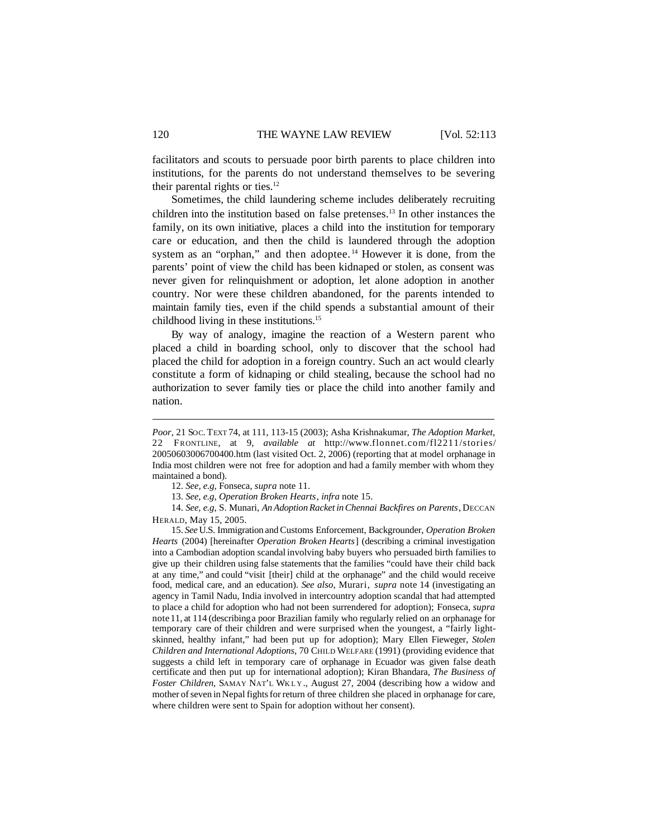facilitators and scouts to persuade poor birth parents to place children into institutions, for the parents do not understand themselves to be severing their parental rights or ties.<sup>12</sup>

Sometimes, the child laundering scheme includes deliberately recruiting children into the institution based on false pretenses.<sup>13</sup> In other instances the family, on its own initiative, places a child into the institution for temporary care or education, and then the child is laundered through the adoption system as an "orphan," and then adoptee.<sup>14</sup> However it is done, from the parents' point of view the child has been kidnaped or stolen, as consent was never given for relinquishment or adoption, let alone adoption in another country. Nor were these children abandoned, for the parents intended to maintain family ties, even if the child spends a substantial amount of their childhood living in these institutions.<sup>15</sup>

By way of analogy, imagine the reaction of a Western parent who placed a child in boarding school, only to discover that the school had placed the child for adoption in a foreign country. Such an act would clearly constitute a form of kidnaping or child stealing, because the school had no authorization to sever family ties or place the child into another family and nation.

14. *See, e.g*, S. Munari, *An Adoption Racket inChennai Backfires on Parents*, DECCAN HERALD, May 15, 2005.

15. *See* U.S. Immigration andCustoms Enforcement, Backgrounder, *Operation Broken Hearts* (2004) [hereinafter *Operation Broken Hearts*] (describing a criminal investigation into a Cambodian adoption scandal involving baby buyers who persuaded birth families to give up their children using false statements that the families "could have their child back at any time," and could "visit [their] child at the orphanage" and the child would receive food, medical care, and an education). *See also*, Murari, *supra* note 14 (investigating an agency in Tamil Nadu, India involved in intercountry adoption scandal that had attempted to place a child for adoption who had not been surrendered for adoption); Fonseca, *supra* note11, at 114 (describinga poor Brazilian family who regularly relied on an orphanage for temporary care of their children and were surprised when the youngest, a "fairly lightskinned, healthy infant," had been put up for adoption); Mary Ellen Fieweger, *Stolen Children and International Adoptions,* 70 CHILD WELFARE (1991) (providing evidence that suggests a child left in temporary care of orphanage in Ecuador was given false death certificate and then put up for international adoption); Kiran Bhandara, *The Business of Foster Children,* SAMAY NAT'L WKLY ., August 27, 2004 (describing how a widow and mother of seven in Nepal fights for return of three children she placed in orphanage for care, where children were sent to Spain for adoption without her consent).

*Poor*, 21 SOC. TEXT 74, at 111, 113-15 (2003); Asha Krishnakumar, *The Adoption Market*, 22 FRONTLINE, at 9, *available at* http://www.flonnet.com/fl2211/stories/ 20050603006700400.htm (last visited Oct. 2, 2006) (reporting that at model orphanage in India most children were not free for adoption and had a family member with whom they maintained a bond).

<sup>12.</sup> *See, e.g,* Fonseca, *supra* note 11.

<sup>13.</sup> *See, e.g*, *Operation Broken Hearts*, *infra* note 15.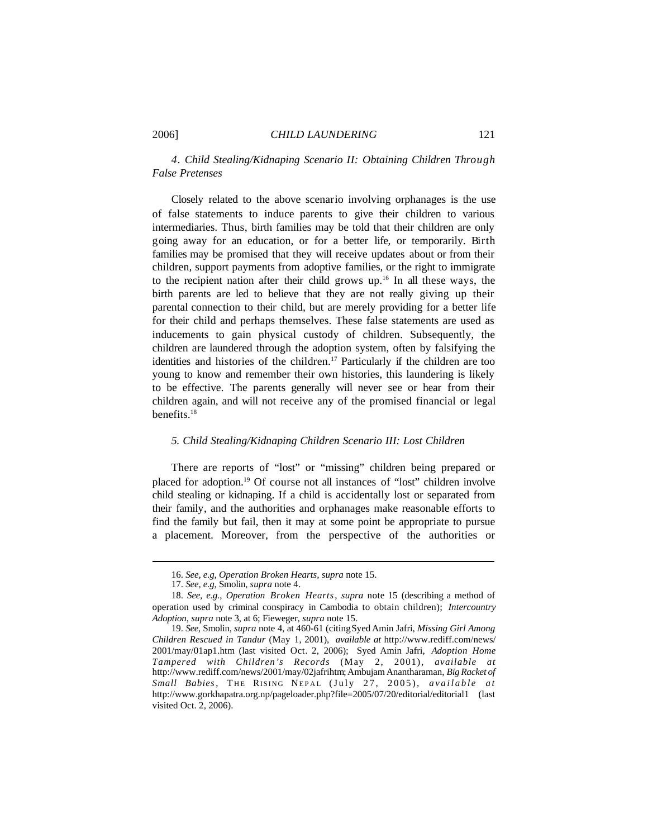# *4. Child Stealing/Kidnaping Scenario II: Obtaining Children Through False Pretenses*

Closely related to the above scenario involving orphanages is the use of false statements to induce parents to give their children to various intermediaries. Thus, birth families may be told that their children are only going away for an education, or for a better life, or temporarily. Birth families may be promised that they will receive updates about or from their children, support payments from adoptive families, or the right to immigrate to the recipient nation after their child grows up.<sup>16</sup> In all these ways, the birth parents are led to believe that they are not really giving up their parental connection to their child, but are merely providing for a better life for their child and perhaps themselves. These false statements are used as inducements to gain physical custody of children. Subsequently, the children are laundered through the adoption system, often by falsifying the identities and histories of the children.<sup>17</sup> Particularly if the children are too young to know and remember their own histories, this laundering is likely to be effective. The parents generally will never see or hear from their children again, and will not receive any of the promised financial or legal benefits.<sup>18</sup>

#### *5. Child Stealing/Kidnaping Children Scenario III: Lost Children*

There are reports of "lost" or "missing" children being prepared or placed for adoption.<sup>19</sup> Of course not all instances of "lost" children involve child stealing or kidnaping. If a child is accidentally lost or separated from their family, and the authorities and orphanages make reasonable efforts to find the family but fail, then it may at some point be appropriate to pursue a placement. Moreover, from the perspective of the authorities or

<sup>16.</sup> *See, e.g, Operation Broken Hearts, supra* note 15.

<sup>17.</sup> *See, e.g,* Smolin, *supra* note 4.

<sup>18.</sup> *See, e.g.*, *Operation Broken Hearts*, *supra* note 15 (describing a method of operation used by criminal conspiracy in Cambodia to obtain children); *Intercountry Adoption*, *supra* note 3, at 6; Fieweger*, supra* note 15.

<sup>19.</sup> *See*, Smolin, *supra* note 4, at 460-61 (citingSyed Amin Jafri, *Missing Girl Among Children Rescued in Tandur* (May 1, 2001), *available at* http://www.rediff.com/news/ 2001/may/01ap1.htm (last visited Oct. 2, 2006); Syed Amin Jafri, *Adoption Home Tampered with Children's Records* (May 2, 2001), *available at* http://www.rediff.com/news/2001/may/02jafrihtm;AmbujamAnantharaman, *BigRacket of Small Babies*, T HE RISING NEPAL (July 27, 2005), *available at* http://www.gorkhapatra.org.np/pageloader.php?file=2005/07/20/editorial/editorial1 (last visited Oct. 2, 2006).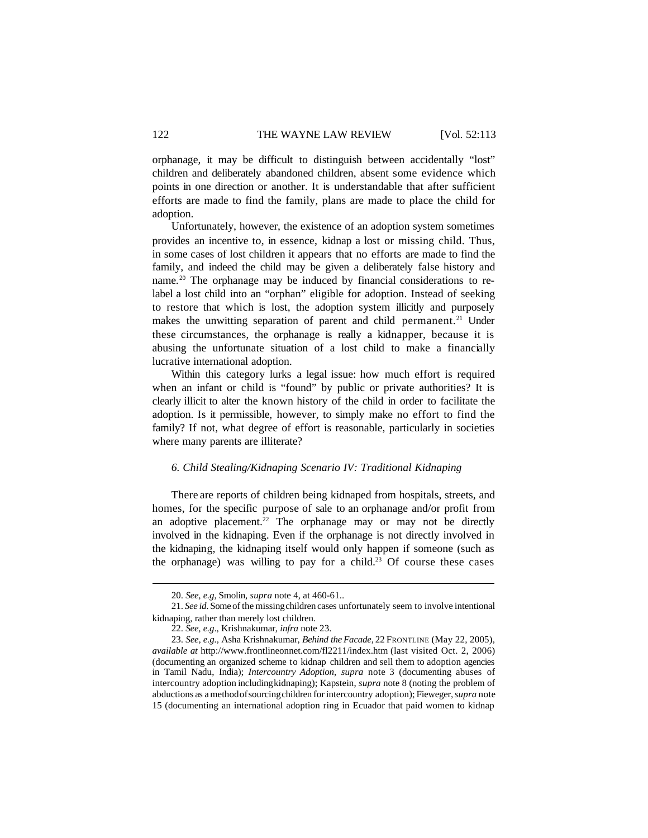orphanage, it may be difficult to distinguish between accidentally "lost" children and deliberately abandoned children, absent some evidence which points in one direction or another. It is understandable that after sufficient efforts are made to find the family, plans are made to place the child for adoption.

Unfortunately, however, the existence of an adoption system sometimes provides an incentive to, in essence, kidnap a lost or missing child. Thus, in some cases of lost children it appears that no efforts are made to find the family, and indeed the child may be given a deliberately false history and name.<sup>20</sup> The orphanage may be induced by financial considerations to relabel a lost child into an "orphan" eligible for adoption. Instead of seeking to restore that which is lost, the adoption system illicitly and purposely makes the unwitting separation of parent and child permanent.<sup>21</sup> Under these circumstances, the orphanage is really a kidnapper, because it is abusing the unfortunate situation of a lost child to make a financially lucrative international adoption.

Within this category lurks a legal issue: how much effort is required when an infant or child is "found" by public or private authorities? It is clearly illicit to alter the known history of the child in order to facilitate the adoption. Is it permissible, however, to simply make no effort to find the family? If not, what degree of effort is reasonable, particularly in societies where many parents are illiterate?

#### *6. Child Stealing/Kidnaping Scenario IV: Traditional Kidnaping*

There are reports of children being kidnaped from hospitals, streets, and homes, for the specific purpose of sale to an orphanage and/or profit from an adoptive placement.<sup>22</sup> The orphanage may or may not be directly involved in the kidnaping. Even if the orphanage is not directly involved in the kidnaping, the kidnaping itself would only happen if someone (such as the orphanage) was willing to pay for a child.<sup>23</sup> Of course these cases

<sup>20.</sup> *See, e.g*, Smolin, *supra* note 4, at 460-61..

<sup>21.</sup> *See id*. Some of the missingchildren cases unfortunately seem to involve intentional kidnaping, rather than merely lost children.

<sup>22.</sup> *See, e.g*., Krishnakumar, *infra* note 23.

<sup>23.</sup> *See, e.g.,* Asha Krishnakumar, *Behind theFacade*, 22 FRONTLINE (May 22, 2005), *available at* http://www.frontlineonnet.com/fl2211/index.htm (last visited Oct. 2, 2006) (documenting an organized scheme to kidnap children and sell them to adoption agencies in Tamil Nadu, India); *Intercountry Adoption*, *supra* note 3 (documenting abuses of intercountry adoption includingkidnaping); Kapstein, *supra* note 8 (noting the problem of abductions as amethodofsourcingchildren for intercountry adoption); Fieweger,*supra* note 15 (documenting an international adoption ring in Ecuador that paid women to kidnap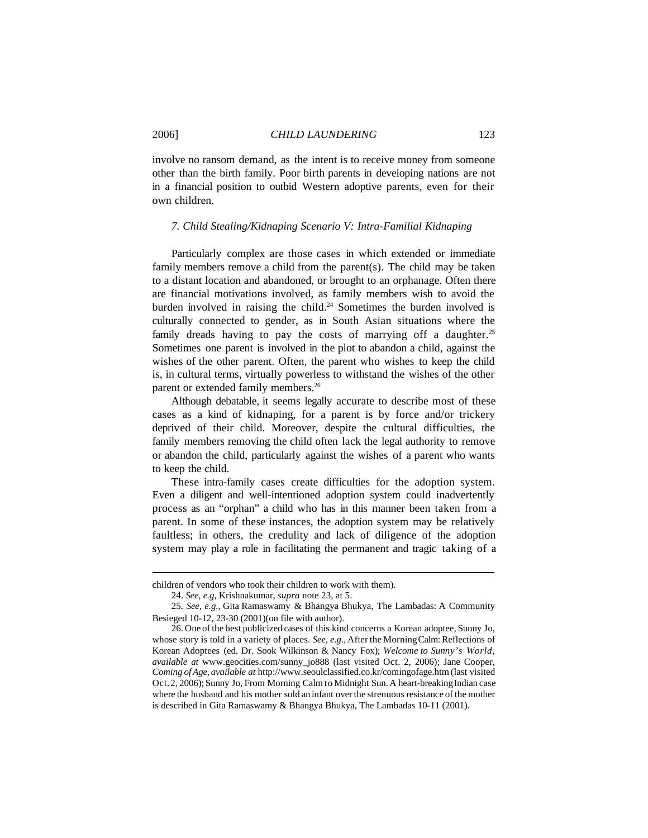involve no ransom demand, as the intent is to receive money from someone other than the birth family. Poor birth parents in developing nations are not in a financial position to outbid Western adoptive parents, even for their own children.

### *7. Child Stealing/Kidnaping Scenario V: Intra-Familial Kidnaping*

Particularly complex are those cases in which extended or immediate family members remove a child from the parent(s). The child may be taken to a distant location and abandoned, or brought to an orphanage. Often there are financial motivations involved, as family members wish to avoid the burden involved in raising the child.<sup>24</sup> Sometimes the burden involved is culturally connected to gender, as in South Asian situations where the family dreads having to pay the costs of marrying off a daughter.<sup>25</sup> Sometimes one parent is involved in the plot to abandon a child, against the wishes of the other parent. Often, the parent who wishes to keep the child is, in cultural terms, virtually powerless to withstand the wishes of the other parent or extended family members.<sup>26</sup>

Although debatable, it seems legally accurate to describe most of these cases as a kind of kidnaping, for a parent is by force and/or trickery deprived of their child. Moreover, despite the cultural difficulties, the family members removing the child often lack the legal authority to remove or abandon the child, particularly against the wishes of a parent who wants to keep the child.

These intra-family cases create difficulties for the adoption system. Even a diligent and well-intentioned adoption system could inadvertently process as an "orphan" a child who has in this manner been taken from a parent. In some of these instances, the adoption system may be relatively faultless; in others, the credulity and lack of diligence of the adoption system may play a role in facilitating the permanent and tragic taking of a

children of vendors who took their children to work with them).

<sup>24.</sup> *See, e.g*, Krishnakumar, *supra* note 23, at 5.

<sup>25.</sup> *See, e.g.,* Gita Ramaswamy & Bhangya Bhukya, The Lambadas: A Community Besieged 10-12, 23-30 (2001)(on file with author).

<sup>26.</sup> One of the best publicized cases of this kind concerns a Korean adoptee, Sunny Jo, whose story is told in a variety of places. *See, e.g.*, After the Morning Calm: Reflections of Korean Adoptees (ed. Dr. Sook Wilkinson & Nancy Fox); *Welcome to Sunny's World, available at* www.geocities.com/sunny\_jo888 (last visited Oct. 2, 2006); Jane Cooper, *Coming ofAge, available at* http://www.seoulclassified.co.kr/comingofage.htm (last visited Oct.2, 2006); Sunny Jo, From Morning Calm to Midnight Sun. A heart-breakingIndian case where the husband and his mother sold an infant over the strenuous resistance of the mother is described in Gita Ramaswamy & Bhangya Bhukya, The Lambadas 10-11 (2001).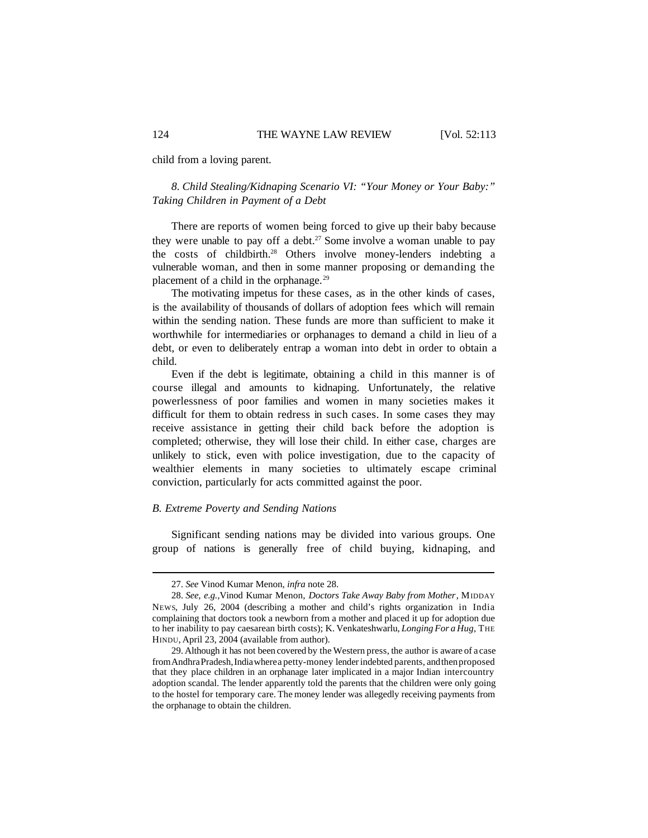child from a loving parent.

*8. Child Stealing/Kidnaping Scenario VI: "Your Money or Your Baby:" Taking Children in Payment of a Debt*

There are reports of women being forced to give up their baby because they were unable to pay off a debt.<sup>27</sup> Some involve a woman unable to pay the costs of childbirth.<sup>28</sup> Others involve money-lenders indebting a vulnerable woman, and then in some manner proposing or demanding the placement of a child in the orphanage.<sup>29</sup>

The motivating impetus for these cases, as in the other kinds of cases, is the availability of thousands of dollars of adoption fees which will remain within the sending nation. These funds are more than sufficient to make it worthwhile for intermediaries or orphanages to demand a child in lieu of a debt, or even to deliberately entrap a woman into debt in order to obtain a child.

Even if the debt is legitimate, obtaining a child in this manner is of course illegal and amounts to kidnaping. Unfortunately, the relative powerlessness of poor families and women in many societies makes it difficult for them to obtain redress in such cases. In some cases they may receive assistance in getting their child back before the adoption is completed; otherwise, they will lose their child. In either case, charges are unlikely to stick, even with police investigation, due to the capacity of wealthier elements in many societies to ultimately escape criminal conviction, particularly for acts committed against the poor.

#### *B. Extreme Poverty and Sending Nations*

Significant sending nations may be divided into various groups. One group of nations is generally free of child buying, kidnaping, and

<sup>27.</sup> *See* Vinod Kumar Menon, *infra* note 28.

<sup>28.</sup> *See, e.g.,*Vinod Kumar Menon, *Doctors Take Away Baby from Mother*, MIDDAY NEWS, July 26, 2004 (describing a mother and child's rights organization in India complaining that doctors took a newborn from a mother and placed it up for adoption due to her inability to pay caesarean birth costs); K. Venkateshwarlu, *Longing For a Hug*, THE HINDU, April 23, 2004 (available from author).

<sup>29.</sup> Although it has not been covered by the Western press, the author is aware of a case fromAndhraPradesh,Indiawherea petty-money lenderindebted parents, andthenproposed that they place children in an orphanage later implicated in a major Indian intercountry adoption scandal. The lender apparently told the parents that the children were only going to the hostel for temporary care. The money lender was allegedly receiving payments from the orphanage to obtain the children.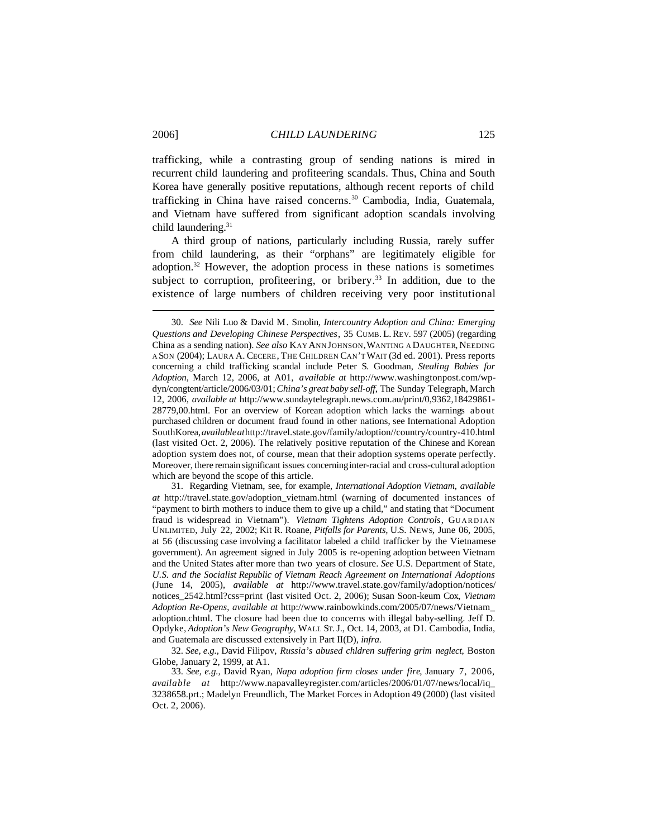trafficking, while a contrasting group of sending nations is mired in recurrent child laundering and profiteering scandals. Thus, China and South Korea have generally positive reputations, although recent reports of child trafficking in China have raised concerns.<sup>30</sup> Cambodia, India, Guatemala, and Vietnam have suffered from significant adoption scandals involving child laundering.<sup>31</sup>

A third group of nations, particularly including Russia, rarely suffer from child laundering, as their "orphans" are legitimately eligible for adoption.<sup>32</sup> However, the adoption process in these nations is sometimes subject to corruption, profiteering, or bribery.<sup>33</sup> In addition, due to the existence of large numbers of children receiving very poor institutional

31. Regarding Vietnam, see, for example, *International Adoption Vietnam*, *available at* http://travel.state.gov/adoption\_vietnam.html (warning of documented instances of "payment to birth mothers to induce them to give up a child," and stating that "Document fraud is widespread in Vietnam"). *Vietnam Tightens Adoption Controls*, GUARDIAN UNLIMITED, July 22, 2002; Kit R. Roane, *Pitfalls for Parents,* U.S. NEWS, June 06, 2005, at 56 (discussing case involving a facilitator labeled a child trafficker by the Vietnamese government). An agreement signed in July 2005 is re-opening adoption between Vietnam and the United States after more than two years of closure. *See* U.S. Department of State, *U.S. and the Socialist Republic of Vietnam Reach Agreement on International Adoptions* (June 14, 2005), *available at* http://www.travel.state.gov/family/adoption/notices/ notices\_2542.html?css=print (last visited Oct. 2, 2006); Susan Soon-keum Cox, *Vietnam Adoption Re-Opens*, *available at* http://www.rainbowkinds.com/2005/07/news/Vietnam\_ adoption.chtml. The closure had been due to concerns with illegal baby-selling. Jeff D. Opdyke, *Adoption's New Geography*, WALL ST.J., Oct. 14, 2003, at D1. Cambodia, India, and Guatemala are discussed extensively in Part II(D), *infra.*

32. *See, e.g.,* David Filipov, *Russia's abused chldren suffering grim neglect*, Boston Globe, January 2, 1999, at A1.

33. *See, e.g.,* David Ryan, *Napa adoption firm closes under fire*, January 7, 2006, *available at* http://www.napavalleyregister.com/articles/2006/01/07/news/local/iq\_ 3238658.prt.; Madelyn Freundlich, The Market Forces in Adoption 49 (2000) (last visited Oct. 2, 2006).

<sup>30.</sup> *See* Nili Luo & David M. Smolin, *Intercountry Adoption and China: Emerging Questions and Developing Chinese Perspectives*, 35 CUMB. L.REV. 597 (2005) (regarding China as a sending nation). *See also* KAY ANN JOHNSON,WANTING A DAUGHTER, NEEDING A SON (2004); LAURA A. CECERE, THE CHILDREN CAN'T WAIT (3d ed. 2001). Press reports concerning a child trafficking scandal include Peter S. Goodman, *Stealing Babies for Adoption*, March 12, 2006, at A01, *available at* http://www.washingtonpost.com/wpdyn/congtent/article/2006/03/01;*China's great baby sell-off*, The Sunday Telegraph, March 12, 2006, *available at* http://www.sundaytelegraph.news.com.au/print/0,9362,18429861- 28779,00.html. For an overview of Korean adoption which lacks the warnings about purchased children or document fraud found in other nations, see International Adoption SouthKorea,*availableat*http://travel.state.gov/family/adoption//country/country-410.html (last visited Oct. 2, 2006). The relatively positive reputation of the Chinese and Korean adoption system does not, of course, mean that their adoption systems operate perfectly. Moreover, there remain significant issues concerninginter-racial and cross-cultural adoption which are beyond the scope of this article.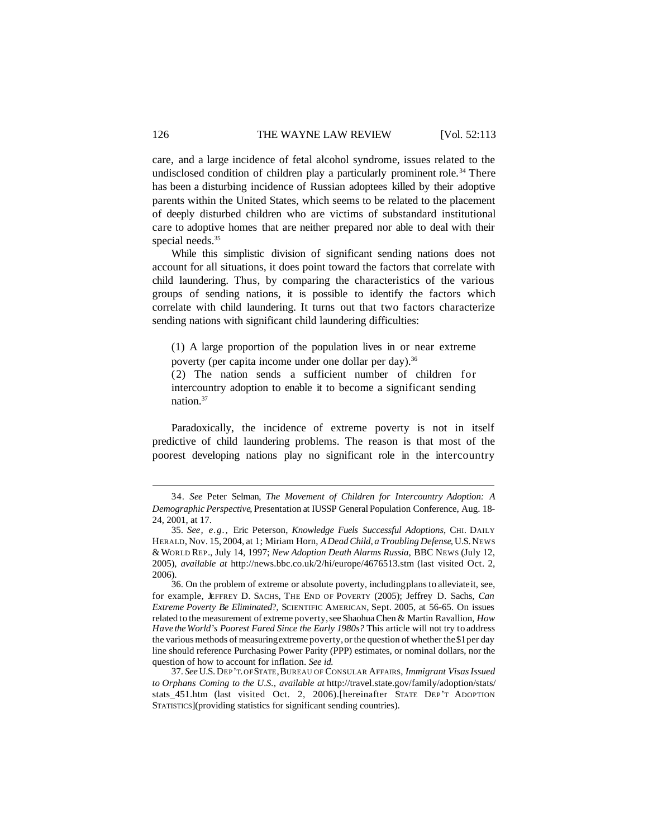care, and a large incidence of fetal alcohol syndrome, issues related to the undisclosed condition of children play a particularly prominent role.<sup>34</sup> There has been a disturbing incidence of Russian adoptees killed by their adoptive parents within the United States, which seems to be related to the placement of deeply disturbed children who are victims of substandard institutional care to adoptive homes that are neither prepared nor able to deal with their special needs.<sup>35</sup>

While this simplistic division of significant sending nations does not account for all situations, it does point toward the factors that correlate with child laundering. Thus, by comparing the characteristics of the various groups of sending nations, it is possible to identify the factors which correlate with child laundering. It turns out that two factors characterize sending nations with significant child laundering difficulties:

(1) A large proportion of the population lives in or near extreme poverty (per capita income under one dollar per day).<sup>36</sup>

(2) The nation sends a sufficient number of children for intercountry adoption to enable it to become a significant sending nation.<sup>37</sup>

Paradoxically, the incidence of extreme poverty is not in itself predictive of child laundering problems. The reason is that most of the poorest developing nations play no significant role in the intercountry

<sup>34.</sup> *See* Peter Selman, *The Movement of Children for Intercountry Adoption: A Demographic Perspective*, Presentation at IUSSP General Population Conference, Aug. 18- 24, 2001, at 17.

<sup>35.</sup> *See, e.g.,* Eric Peterson, *Knowledge Fuels Successful Adoptions*, CHI. DAILY HERALD, Nov. 15, 2004, at 1; Miriam Horn, *ADead Child, a Troubling Defense*, U.S.NEWS &WORLD REP., July 14, 1997; *New Adoption Death Alarms Russia*, BBC NEWS (July 12, 2005), *available at* http://news.bbc.co.uk/2/hi/europe/4676513.stm (last visited Oct. 2, 2006).

<sup>36.</sup> On the problem of extreme or absolute poverty, includingplansto alleviateit, see, for example, JEFFREY D. SACHS, THE END OF POVERTY (2005); Jeffrey D. Sachs, *Can Extreme Poverty Be Eliminated*?, SCIENTIFIC AMERICAN, Sept. 2005, at 56-65. On issues related to the measurement of extreme poverty,see ShaohuaChen & Martin Ravallion, *How Have the World's Poorest Fared Since the Early 1980s?* This article will not try to address the various methods of measuring extreme poverty, or the question of whether the \$1 per day line should reference Purchasing Power Parity (PPP) estimates, or nominal dollars, nor the question of how to account for inflation. *See id.* 

<sup>37.</sup> *See* U.S.DEP'T.OFSTATE,BUREAU OF CONSULAR AFFAIRS, *Immigrant VisasIssued to Orphans Coming to the U.S., available at* http://travel.state.gov/family/adoption/stats/ stats\_451.htm (last visited Oct. 2, 2006).[hereinafter STATE DEP'T ADOPTION STATISTICS](providing statistics for significant sending countries).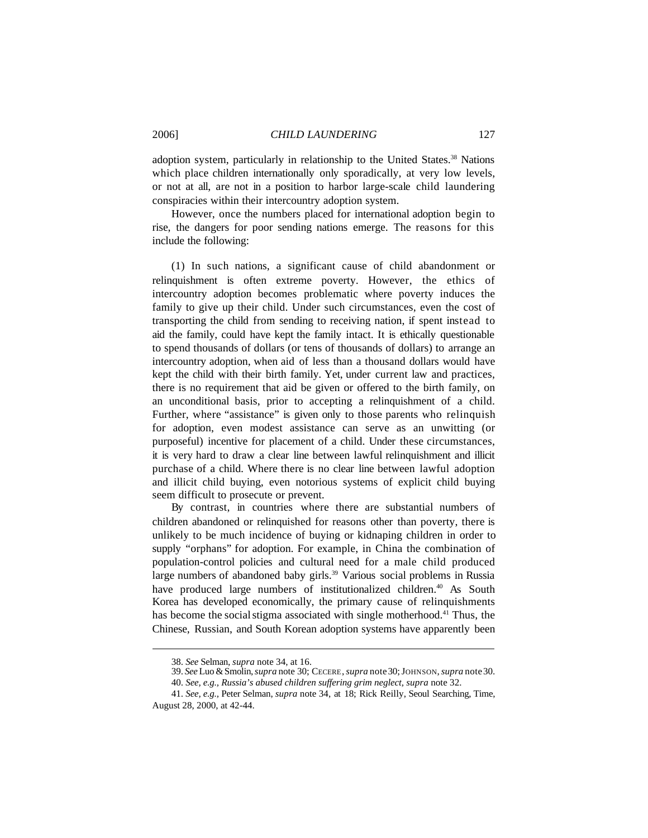adoption system, particularly in relationship to the United States.<sup>38</sup> Nations which place children internationally only sporadically, at very low levels, or not at all, are not in a position to harbor large-scale child laundering conspiracies within their intercountry adoption system.

However, once the numbers placed for international adoption begin to rise, the dangers for poor sending nations emerge. The reasons for this include the following:

(1) In such nations, a significant cause of child abandonment or relinquishment is often extreme poverty. However, the ethics of intercountry adoption becomes problematic where poverty induces the family to give up their child. Under such circumstances, even the cost of transporting the child from sending to receiving nation, if spent instead to aid the family, could have kept the family intact. It is ethically questionable to spend thousands of dollars (or tens of thousands of dollars) to arrange an intercountry adoption, when aid of less than a thousand dollars would have kept the child with their birth family. Yet, under current law and practices, there is no requirement that aid be given or offered to the birth family, on an unconditional basis, prior to accepting a relinquishment of a child. Further, where "assistance" is given only to those parents who relinquish for adoption, even modest assistance can serve as an unwitting (or purposeful) incentive for placement of a child. Under these circumstances, it is very hard to draw a clear line between lawful relinquishment and illicit purchase of a child. Where there is no clear line between lawful adoption and illicit child buying, even notorious systems of explicit child buying seem difficult to prosecute or prevent.

By contrast, in countries where there are substantial numbers of children abandoned or relinquished for reasons other than poverty, there is unlikely to be much incidence of buying or kidnaping children in order to supply "orphans" for adoption. For example, in China the combination of population-control policies and cultural need for a male child produced large numbers of abandoned baby girls.<sup>39</sup> Various social problems in Russia have produced large numbers of institutionalized children.<sup>40</sup> As South Korea has developed economically, the primary cause of relinquishments has become the social stigma associated with single motherhood.<sup>41</sup> Thus, the Chinese, Russian, and South Korean adoption systems have apparently been

<sup>38.</sup> *See* Selman, *supra* note 34, at 16.

<sup>39.</sup> *See*Luo &Smolin,*supra* note 30; CECERE,*supra* note30;JOHNSON,*supra* note30. 40. *See, e.g., Russia's abused children suffering grim neglect, supra* note 32.

<sup>41.</sup> *See, e.g.,* Peter Selman, *supra* note 34, at 18; Rick Reilly, Seoul Searching, Time, August 28, 2000, at 42-44.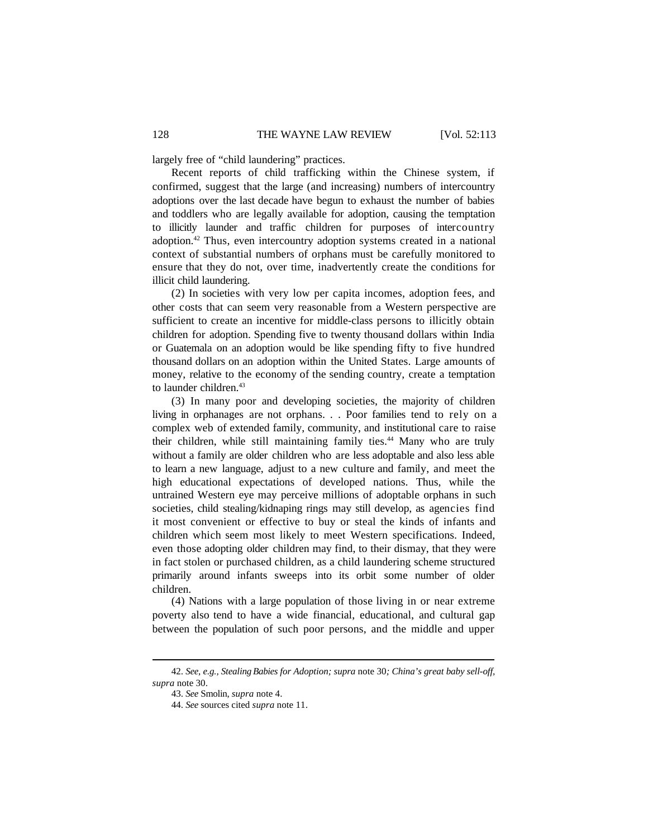largely free of "child laundering" practices.

Recent reports of child trafficking within the Chinese system, if confirmed, suggest that the large (and increasing) numbers of intercountry adoptions over the last decade have begun to exhaust the number of babies and toddlers who are legally available for adoption, causing the temptation to illicitly launder and traffic children for purposes of intercountry adoption.<sup>42</sup> Thus, even intercountry adoption systems created in a national context of substantial numbers of orphans must be carefully monitored to ensure that they do not, over time, inadvertently create the conditions for illicit child laundering.

(2) In societies with very low per capita incomes, adoption fees, and other costs that can seem very reasonable from a Western perspective are sufficient to create an incentive for middle-class persons to illicitly obtain children for adoption. Spending five to twenty thousand dollars within India or Guatemala on an adoption would be like spending fifty to five hundred thousand dollars on an adoption within the United States. Large amounts of money, relative to the economy of the sending country, create a temptation to launder children.<sup>43</sup>

(3) In many poor and developing societies, the majority of children living in orphanages are not orphans. . . Poor families tend to rely on a complex web of extended family, community, and institutional care to raise their children, while still maintaining family ties.<sup>44</sup> Many who are truly without a family are older children who are less adoptable and also less able to learn a new language, adjust to a new culture and family, and meet the high educational expectations of developed nations. Thus, while the untrained Western eye may perceive millions of adoptable orphans in such societies, child stealing/kidnaping rings may still develop, as agencies find it most convenient or effective to buy or steal the kinds of infants and children which seem most likely to meet Western specifications. Indeed, even those adopting older children may find, to their dismay, that they were in fact stolen or purchased children, as a child laundering scheme structured primarily around infants sweeps into its orbit some number of older children.

(4) Nations with a large population of those living in or near extreme poverty also tend to have a wide financial, educational, and cultural gap between the population of such poor persons, and the middle and upper

<sup>42.</sup> *See*, *e.g., Stealing Babies for Adoption; supra* note 30*; China's great baby sell-off, supra* note 30.

<sup>43.</sup> *See* Smolin, *supra* note 4.

<sup>44.</sup> *See* sources cited *supra* note 11.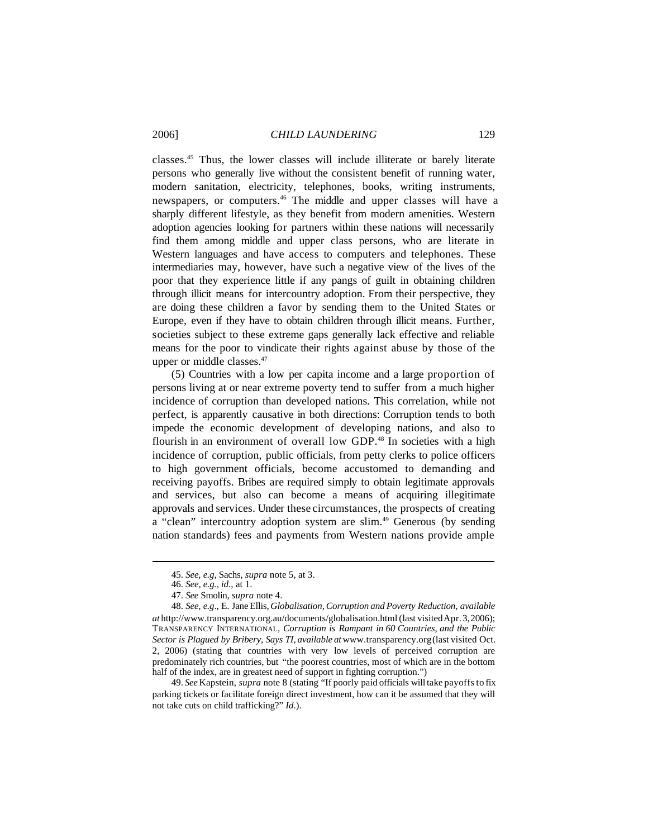classes.<sup>45</sup> Thus, the lower classes will include illiterate or barely literate persons who generally live without the consistent benefit of running water, modern sanitation, electricity, telephones, books, writing instruments, newspapers, or computers.<sup>46</sup> The middle and upper classes will have a sharply different lifestyle, as they benefit from modern amenities. Western adoption agencies looking for partners within these nations will necessarily find them among middle and upper class persons, who are literate in Western languages and have access to computers and telephones. These intermediaries may, however, have such a negative view of the lives of the poor that they experience little if any pangs of guilt in obtaining children through illicit means for intercountry adoption. From their perspective, they are doing these children a favor by sending them to the United States or Europe, even if they have to obtain children through illicit means. Further, societies subject to these extreme gaps generally lack effective and reliable means for the poor to vindicate their rights against abuse by those of the upper or middle classes.<sup>47</sup>

(5) Countries with a low per capita income and a large proportion of persons living at or near extreme poverty tend to suffer from a much higher incidence of corruption than developed nations. This correlation, while not perfect, is apparently causative in both directions: Corruption tends to both impede the economic development of developing nations, and also to flourish in an environment of overall low GDP.<sup>48</sup> In societies with a high incidence of corruption, public officials, from petty clerks to police officers to high government officials, become accustomed to demanding and receiving payoffs. Bribes are required simply to obtain legitimate approvals and services, but also can become a means of acquiring illegitimate approvals and services. Under these circumstances, the prospects of creating a "clean" intercountry adoption system are slim.<sup>49</sup> Generous (by sending nation standards) fees and payments from Western nations provide ample

49. *See* Kapstein, *supra* note 8 (stating "If poorly paid officials will take payoffsto fix parking tickets or facilitate foreign direct investment, how can it be assumed that they will not take cuts on child trafficking?" *Id*.).

<sup>45.</sup> *See, e.g*, Sachs, *supra* note 5, at 3.

<sup>46.</sup> *See, e.g., id*., at 1.

<sup>47.</sup> *See* Smolin, *supra* note 4.

<sup>48.</sup> *See, e.g*., E. Jane Ellis, *Globalisation,Corruption and Poverty Reduction*, *available at* http://www.transparency.org.au/documents/globalisation.html (last visitedApr.3,2006); TRANSPARENCY INTERNATIONAL, *Corruption is Rampant in 60 Countries, and the Public Sector is Plagued by Bribery, Says TI*, *available at* www.transparency.org(last visited Oct. 2, 2006) (stating that countries with very low levels of perceived corruption are predominately rich countries, but "the poorest countries, most of which are in the bottom half of the index, are in greatest need of support in fighting corruption.")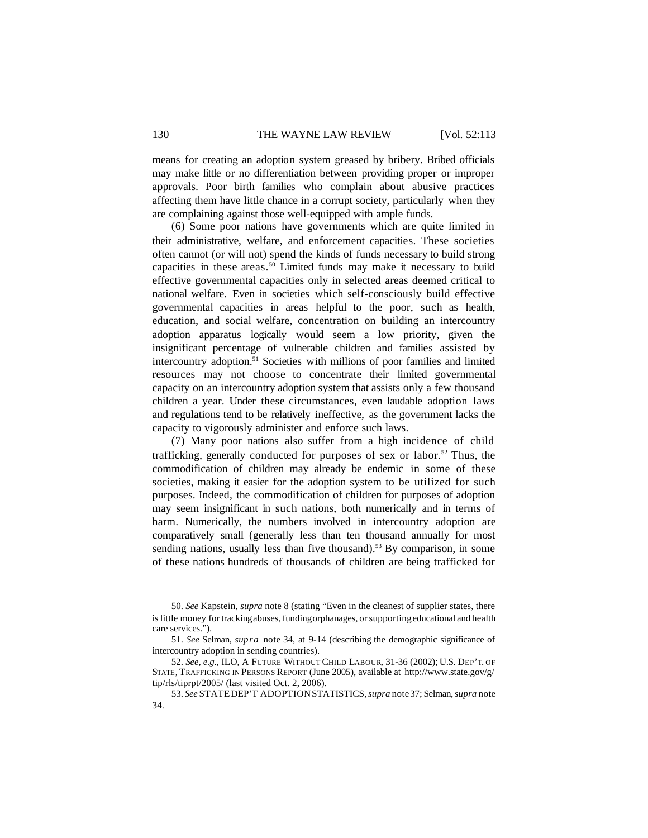means for creating an adoption system greased by bribery. Bribed officials may make little or no differentiation between providing proper or improper approvals. Poor birth families who complain about abusive practices affecting them have little chance in a corrupt society, particularly when they are complaining against those well-equipped with ample funds.

(6) Some poor nations have governments which are quite limited in their administrative, welfare, and enforcement capacities. These societies often cannot (or will not) spend the kinds of funds necessary to build strong capacities in these areas.<sup>50</sup> Limited funds may make it necessary to build effective governmental capacities only in selected areas deemed critical to national welfare. Even in societies which self-consciously build effective governmental capacities in areas helpful to the poor, such as health, education, and social welfare, concentration on building an intercountry adoption apparatus logically would seem a low priority, given the insignificant percentage of vulnerable children and families assisted by intercountry adoption.<sup>51</sup> Societies with millions of poor families and limited resources may not choose to concentrate their limited governmental capacity on an intercountry adoption system that assists only a few thousand children a year. Under these circumstances, even laudable adoption laws and regulations tend to be relatively ineffective, as the government lacks the capacity to vigorously administer and enforce such laws.

(7) Many poor nations also suffer from a high incidence of child trafficking, generally conducted for purposes of sex or labor.<sup>52</sup> Thus, the commodification of children may already be endemic in some of these societies, making it easier for the adoption system to be utilized for such purposes. Indeed, the commodification of children for purposes of adoption may seem insignificant in such nations, both numerically and in terms of harm. Numerically, the numbers involved in intercountry adoption are comparatively small (generally less than ten thousand annually for most sending nations, usually less than five thousand).<sup>53</sup> By comparison, in some of these nations hundreds of thousands of children are being trafficked for

<sup>50.</sup> *See* Kapstein, *supra* note 8 (stating "Even in the cleanest of supplier states, there is little money for trackingabuses, fundingorphanages, orsupportingeducational and health care services.").

<sup>51.</sup> *See* Selman, *supra* note 34, at 9-14 (describing the demographic significance of intercountry adoption in sending countries).

<sup>52.</sup> *See, e.g.*, ILO, A FUTURE WITHOUT CHILD LABOUR, 31-36 (2002); U.S. DEP'T. OF STATE, TRAFFICKING IN PERSONS REPORT (June 2005), available at http://www.state.gov/g/ tip/rls/tiprpt/2005/ (last visited Oct. 2, 2006).

<sup>53.</sup> *See* STATEDEP'T ADOPTIONSTATISTICS,*supra* note37; Selman,*supra* note 34.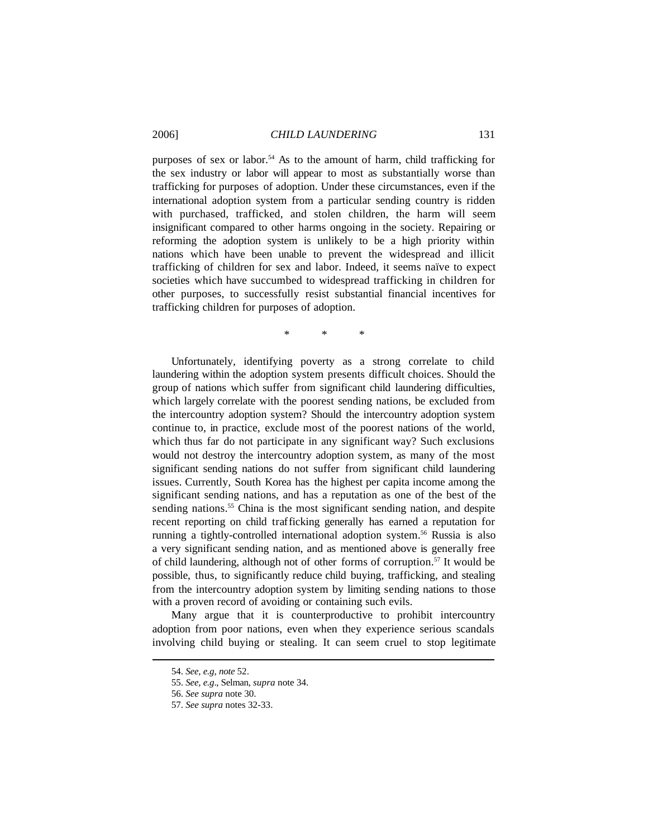purposes of sex or labor.<sup>54</sup> As to the amount of harm, child trafficking for the sex industry or labor will appear to most as substantially worse than trafficking for purposes of adoption. Under these circumstances, even if the international adoption system from a particular sending country is ridden with purchased, trafficked, and stolen children, the harm will seem insignificant compared to other harms ongoing in the society. Repairing or reforming the adoption system is unlikely to be a high priority within nations which have been unable to prevent the widespread and illicit trafficking of children for sex and labor. Indeed, it seems naïve to expect societies which have succumbed to widespread trafficking in children for other purposes, to successfully resist substantial financial incentives for trafficking children for purposes of adoption.

\* \* \*

Unfortunately, identifying poverty as a strong correlate to child laundering within the adoption system presents difficult choices. Should the group of nations which suffer from significant child laundering difficulties, which largely correlate with the poorest sending nations, be excluded from the intercountry adoption system? Should the intercountry adoption system continue to, in practice, exclude most of the poorest nations of the world, which thus far do not participate in any significant way? Such exclusions would not destroy the intercountry adoption system, as many of the most significant sending nations do not suffer from significant child laundering issues. Currently, South Korea has the highest per capita income among the significant sending nations, and has a reputation as one of the best of the sending nations.<sup>55</sup> China is the most significant sending nation, and despite recent reporting on child trafficking generally has earned a reputation for running a tightly-controlled international adoption system.<sup>56</sup> Russia is also a very significant sending nation, and as mentioned above is generally free of child laundering, although not of other forms of corruption.<sup>57</sup> It would be possible, thus, to significantly reduce child buying, trafficking, and stealing from the intercountry adoption system by limiting sending nations to those with a proven record of avoiding or containing such evils.

Many argue that it is counterproductive to prohibit intercountry adoption from poor nations, even when they experience serious scandals involving child buying or stealing. It can seem cruel to stop legitimate

<sup>54.</sup> *See, e.g*, *note* 52.

<sup>55.</sup> *See, e.g*., Selman, *supra* note 34.

<sup>56.</sup> *See supra* note 30.

<sup>57.</sup> *See supra* notes 32-33.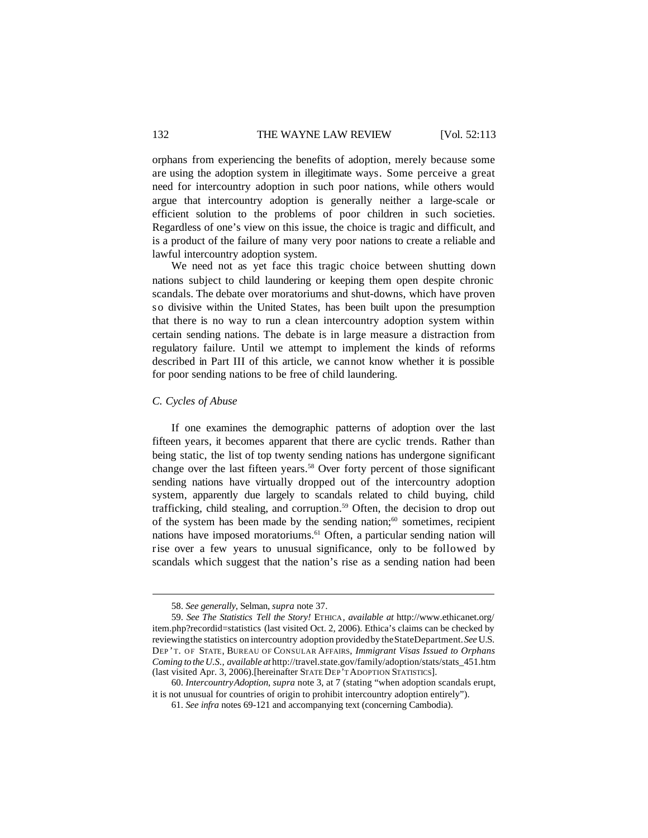orphans from experiencing the benefits of adoption, merely because some are using the adoption system in illegitimate ways. Some perceive a great need for intercountry adoption in such poor nations, while others would argue that intercountry adoption is generally neither a large-scale or efficient solution to the problems of poor children in such societies. Regardless of one's view on this issue, the choice is tragic and difficult, and is a product of the failure of many very poor nations to create a reliable and lawful intercountry adoption system.

We need not as yet face this tragic choice between shutting down nations subject to child laundering or keeping them open despite chronic scandals. The debate over moratoriums and shut-downs, which have proven so divisive within the United States, has been built upon the presumption that there is no way to run a clean intercountry adoption system within certain sending nations. The debate is in large measure a distraction from regulatory failure. Until we attempt to implement the kinds of reforms described in Part III of this article, we cannot know whether it is possible for poor sending nations to be free of child laundering.

#### *C. Cycles of Abuse*

If one examines the demographic patterns of adoption over the last fifteen years, it becomes apparent that there are cyclic trends. Rather than being static, the list of top twenty sending nations has undergone significant change over the last fifteen years.<sup>58</sup> Over forty percent of those significant sending nations have virtually dropped out of the intercountry adoption system, apparently due largely to scandals related to child buying, child trafficking, child stealing, and corruption.<sup>59</sup> Often, the decision to drop out of the system has been made by the sending nation;<sup>60</sup> sometimes, recipient nations have imposed moratoriums.<sup>61</sup> Often, a particular sending nation will rise over a few years to unusual significance, only to be followed by scandals which suggest that the nation's rise as a sending nation had been

<sup>58.</sup> *See generally*, Selman, *supra* note 37.

<sup>59.</sup> *See The Statistics Tell the Story!* ETHICA, *available at* http://www.ethicanet.org/ item.php?recordid=statistics (last visited Oct. 2, 2006). Ethica's claims can be checked by reviewingthe statistics on intercountry adoption providedby theStateDepartment.*See* U.S. DEP 'T. OF STATE, BUREAU OF CONSULAR AFFAIRS, *Immigrant Visas Issued to Orphans Coming to the U.S., available at* http://travel.state.gov/family/adoption/stats/stats\_451.htm (last visited Apr. 3, 2006).[hereinafter STATE DEP'T ADOPTION STATISTICS].

<sup>60.</sup> *IntercountryAdoption*, *supra* note 3, at 7 (stating "when adoption scandals erupt, it is not unusual for countries of origin to prohibit intercountry adoption entirely").

<sup>61.</sup> *See infra* notes 69-121 and accompanying text (concerning Cambodia).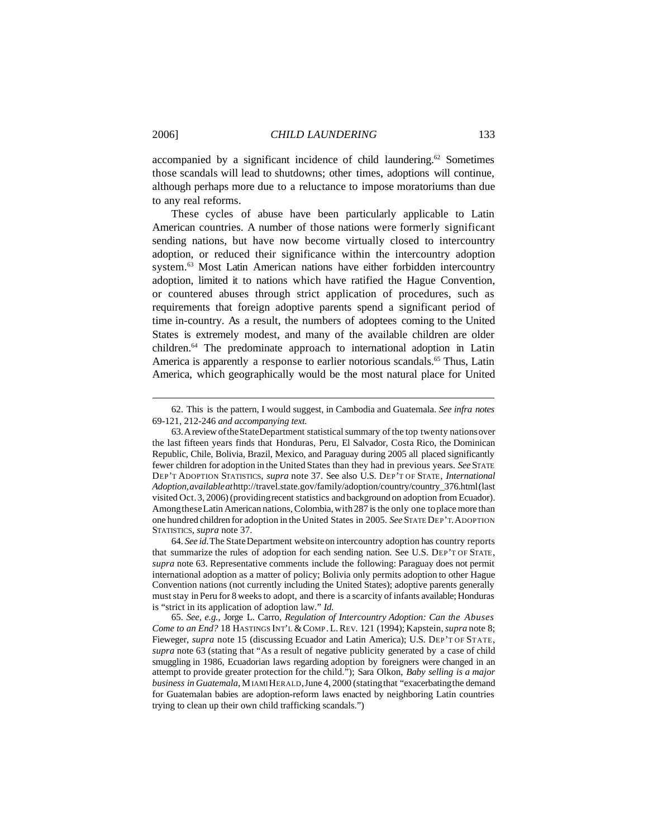accompanied by a significant incidence of child laundering.<sup>62</sup> Sometimes those scandals will lead to shutdowns; other times, adoptions will continue, although perhaps more due to a reluctance to impose moratoriums than due to any real reforms.

These cycles of abuse have been particularly applicable to Latin American countries. A number of those nations were formerly significant sending nations, but have now become virtually closed to intercountry adoption, or reduced their significance within the intercountry adoption system.<sup>63</sup> Most Latin American nations have either forbidden intercountry adoption, limited it to nations which have ratified the Hague Convention, or countered abuses through strict application of procedures, such as requirements that foreign adoptive parents spend a significant period of time in-country. As a result, the numbers of adoptees coming to the United States is extremely modest, and many of the available children are older children.<sup>64</sup> The predominate approach to international adoption in Latin America is apparently a response to earlier notorious scandals.<sup>65</sup> Thus, Latin America, which geographically would be the most natural place for United

<sup>62.</sup> This is the pattern, I would suggest, in Cambodia and Guatemala. *See infra notes* 69-121, 212-246 *and accompanying text.*

<sup>63.</sup>AreviewoftheStateDepartment statisticalsummary of the top twenty nationsover the last fifteen years finds that Honduras, Peru, El Salvador, Costa Rico, the Dominican Republic, Chile, Bolivia, Brazil, Mexico, and Paraguay during 2005 all placed significantly fewer children for adoption in the United States than they had in previous years. *See* STATE DEP'T ADOPTION STATISTICS, *supra* note 37. See also U.S. DEP'T OF STATE, *International Adoption,availableat*http://travel.state.gov/family/adoption/country/country\_376.html(last visited Oct.3, 2006) (providingrecent statistics and background on adoption from Ecuador). AmongtheseLatin American nations, Colombia, with287 is the only one toplace more than one hundred children for adoption in the United States in 2005. *See* STATE DEP'T.ADOPTION STATISTICS, *supra* note 37.

<sup>64.</sup> *See id*.The StateDepartment websiteon intercountry adoption has country reports that summarize the rules of adoption for each sending nation. See U.S. DEP'T OF STATE, *supra* note 63. Representative comments include the following: Paraguay does not permit international adoption as a matter of policy; Bolivia only permits adoption to other Hague Convention nations (not currently including the United States); adoptive parents generally muststay in Peru for 8 weeksto adopt, and there is a scarcity of infants available; Honduras is "strict in its application of adoption law." *Id.*

<sup>65.</sup> *See, e.g.*, Jorge L. Carro, *Regulation of Intercountry Adoption: Can the Abuses Come to an End?* 18 HASTINGS INT'L & COMP. L. REV. 121 (1994); Kapstein, *supra* note 8; Fieweger, *supra* note 15 (discussing Ecuador and Latin America); U.S. DEP'T OF STATE, *supra* note 63 (stating that "As a result of negative publicity generated by a case of child smuggling in 1986, Ecuadorian laws regarding adoption by foreigners were changed in an attempt to provide greater protection for the child."); Sara Olkon, *Baby selling is a major business in Guatemala*, MIAMIHERALD,June 4, 2000 (statingthat "exacerbatingthe demand for Guatemalan babies are adoption-reform laws enacted by neighboring Latin countries trying to clean up their own child trafficking scandals.")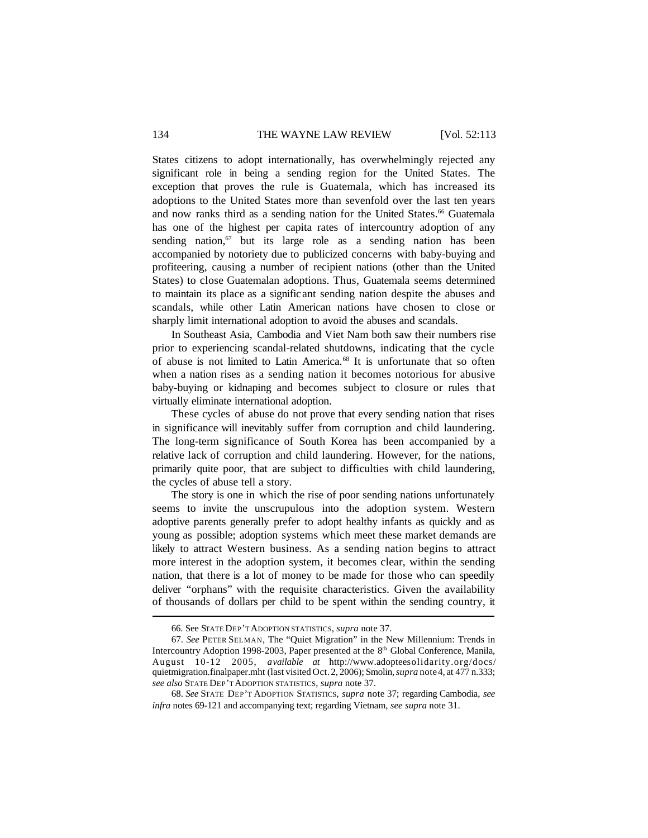#### 134 THE WAYNE LAW REVIEW [Vol. 52:113

States citizens to adopt internationally, has overwhelmingly rejected any significant role in being a sending region for the United States. The exception that proves the rule is Guatemala, which has increased its adoptions to the United States more than sevenfold over the last ten years and now ranks third as a sending nation for the United States.<sup>66</sup> Guatemala has one of the highest per capita rates of intercountry adoption of any sending nation,<sup>67</sup> but its large role as a sending nation has been accompanied by notoriety due to publicized concerns with baby-buying and profiteering, causing a number of recipient nations (other than the United States) to close Guatemalan adoptions. Thus, Guatemala seems determined to maintain its place as a signific ant sending nation despite the abuses and scandals, while other Latin American nations have chosen to close or sharply limit international adoption to avoid the abuses and scandals.

In Southeast Asia, Cambodia and Viet Nam both saw their numbers rise prior to experiencing scandal-related shutdowns, indicating that the cycle of abuse is not limited to Latin America.<sup>68</sup> It is unfortunate that so often when a nation rises as a sending nation it becomes notorious for abusive baby-buying or kidnaping and becomes subject to closure or rules that virtually eliminate international adoption.

These cycles of abuse do not prove that every sending nation that rises in significance will inevitably suffer from corruption and child laundering. The long-term significance of South Korea has been accompanied by a relative lack of corruption and child laundering. However, for the nations, primarily quite poor, that are subject to difficulties with child laundering, the cycles of abuse tell a story.

The story is one in which the rise of poor sending nations unfortunately seems to invite the unscrupulous into the adoption system. Western adoptive parents generally prefer to adopt healthy infants as quickly and as young as possible; adoption systems which meet these market demands are likely to attract Western business. As a sending nation begins to attract more interest in the adoption system, it becomes clear, within the sending nation, that there is a lot of money to be made for those who can speedily deliver "orphans" with the requisite characteristics. Given the availability of thousands of dollars per child to be spent within the sending country, it

<sup>66.</sup> See STATE DEP'T ADOPTION STATISTICS, *supra* note 37.

<sup>67.</sup> *See* PETER SELMAN, The "Quiet Migration" in the New Millennium: Trends in Intercountry Adoption 1998-2003, Paper presented at the 8<sup>th</sup> Global Conference, Manila, August 10-12 2005, *available at* http://www.adopteesolidarity.org/docs/ quietmigration.finalpaper.mht (last visited Oct.2, 2006); Smolin,*supra* note4, at 477 n.333; *see also* STATE DEP'T ADOPTION STATISTICS, *supra* note 37.

<sup>68.</sup> *See* STATE DEP'T ADOPTION STATISTICS, *supra* note 37; regarding Cambodia, *see infra* notes 69-121 and accompanying text; regarding Vietnam, *see supra* note 31.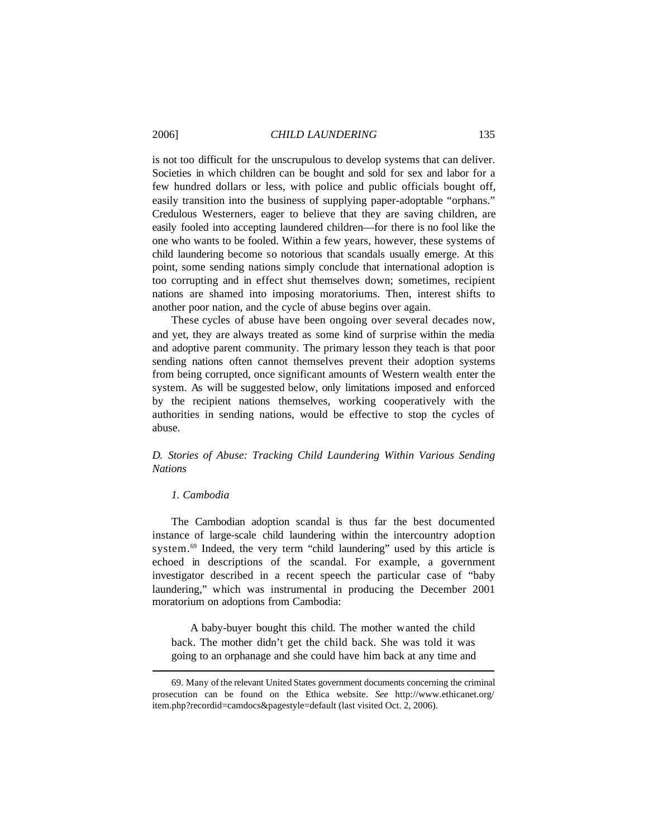is not too difficult for the unscrupulous to develop systems that can deliver. Societies in which children can be bought and sold for sex and labor for a few hundred dollars or less, with police and public officials bought off, easily transition into the business of supplying paper-adoptable "orphans." Credulous Westerners, eager to believe that they are saving children, are easily fooled into accepting laundered children—for there is no fool like the one who wants to be fooled. Within a few years, however, these systems of child laundering become so notorious that scandals usually emerge. At this point, some sending nations simply conclude that international adoption is too corrupting and in effect shut themselves down; sometimes, recipient nations are shamed into imposing moratoriums. Then, interest shifts to another poor nation, and the cycle of abuse begins over again.

These cycles of abuse have been ongoing over several decades now, and yet, they are always treated as some kind of surprise within the media and adoptive parent community. The primary lesson they teach is that poor sending nations often cannot themselves prevent their adoption systems from being corrupted, once significant amounts of Western wealth enter the system. As will be suggested below, only limitations imposed and enforced by the recipient nations themselves, working cooperatively with the authorities in sending nations, would be effective to stop the cycles of abuse.

# *D. Stories of Abuse: Tracking Child Laundering Within Various Sending Nations*

# *1. Cambodia*

The Cambodian adoption scandal is thus far the best documented instance of large-scale child laundering within the intercountry adoption system.<sup>69</sup> Indeed, the very term "child laundering" used by this article is echoed in descriptions of the scandal. For example, a government investigator described in a recent speech the particular case of "baby laundering," which was instrumental in producing the December 2001 moratorium on adoptions from Cambodia:

A baby-buyer bought this child. The mother wanted the child back. The mother didn't get the child back. She was told it was going to an orphanage and she could have him back at any time and

<sup>69.</sup> Many of the relevant United States government documents concerning the criminal prosecution can be found on the Ethica website. *See* http://www.ethicanet.org/ item.php?recordid=camdocs&pagestyle=default (last visited Oct. 2, 2006).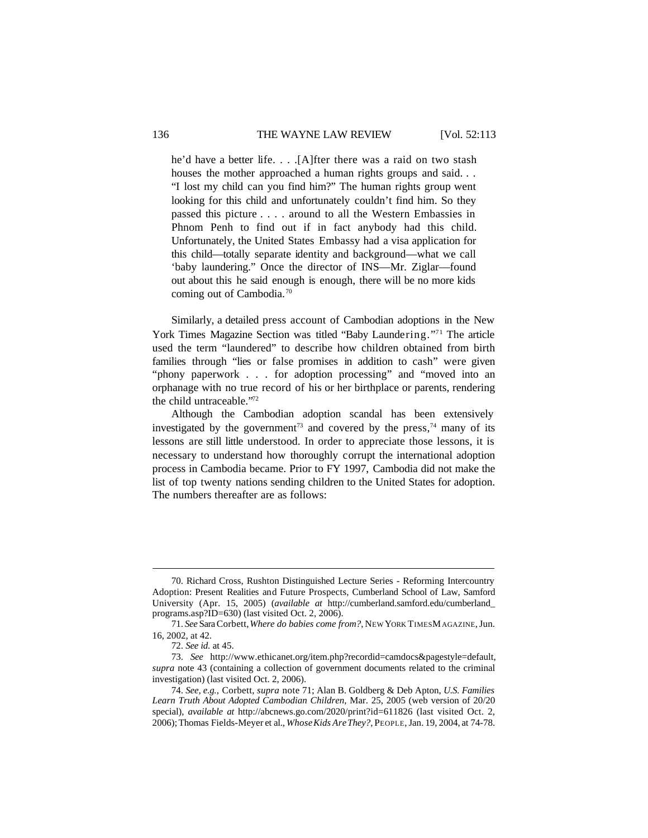he'd have a better life. . . .[A]fter there was a raid on two stash houses the mother approached a human rights groups and said. . . "I lost my child can you find him?" The human rights group went looking for this child and unfortunately couldn't find him. So they passed this picture . . . . around to all the Western Embassies in Phnom Penh to find out if in fact anybody had this child. Unfortunately, the United States Embassy had a visa application for this child—totally separate identity and background—what we call 'baby laundering." Once the director of INS—Mr. Ziglar—found out about this he said enough is enough, there will be no more kids coming out of Cambodia.<sup>70</sup>

Similarly, a detailed press account of Cambodian adoptions in the New York Times Magazine Section was titled "Baby Laundering."<sup>71</sup> The article used the term "laundered" to describe how children obtained from birth families through "lies or false promises in addition to cash" were given "phony paperwork . . . for adoption processing" and "moved into an orphanage with no true record of his or her birthplace or parents, rendering the child untraceable."<sup>72</sup>

Although the Cambodian adoption scandal has been extensively investigated by the government<sup>73</sup> and covered by the press,<sup>74</sup> many of its lessons are still little understood. In order to appreciate those lessons, it is necessary to understand how thoroughly corrupt the international adoption process in Cambodia became. Prior to FY 1997, Cambodia did not make the list of top twenty nations sending children to the United States for adoption. The numbers thereafter are as follows:

<sup>70.</sup> Richard Cross, Rushton Distinguished Lecture Series - Reforming Intercountry Adoption: Present Realities and Future Prospects, Cumberland School of Law, Samford University (Apr. 15, 2005) (*available at* http://cumberland.samford.edu/cumberland\_ programs.asp?ID=630) (last visited Oct. 2, 2006).

<sup>71.</sup> *See* SaraCorbett,*Where do babies come from?*, NEW YORK TIMESMAGAZINE,Jun. 16, 2002, at 42.

<sup>72.</sup> *See id*. at 45.

<sup>73.</sup> *See* http://www.ethicanet.org/item.php?recordid=camdocs&pagestyle=default, *supra* note 43 (containing a collection of government documents related to the criminal investigation) (last visited Oct. 2, 2006).

<sup>74.</sup> *See, e.g.*, Corbett, *supra* note 71; Alan B. Goldberg & Deb Apton, *U.S. Families Learn Truth About Adopted Cambodian Children*, Mar. 25, 2005 (web version of 20/20 special), *available at* http://abcnews.go.com/2020/print?id=611826 (last visited Oct. 2, 2006);Thomas Fields-Meyer et al., *WhoseKids AreThey?*, PEOPLE,Jan. 19, 2004, at 74-78.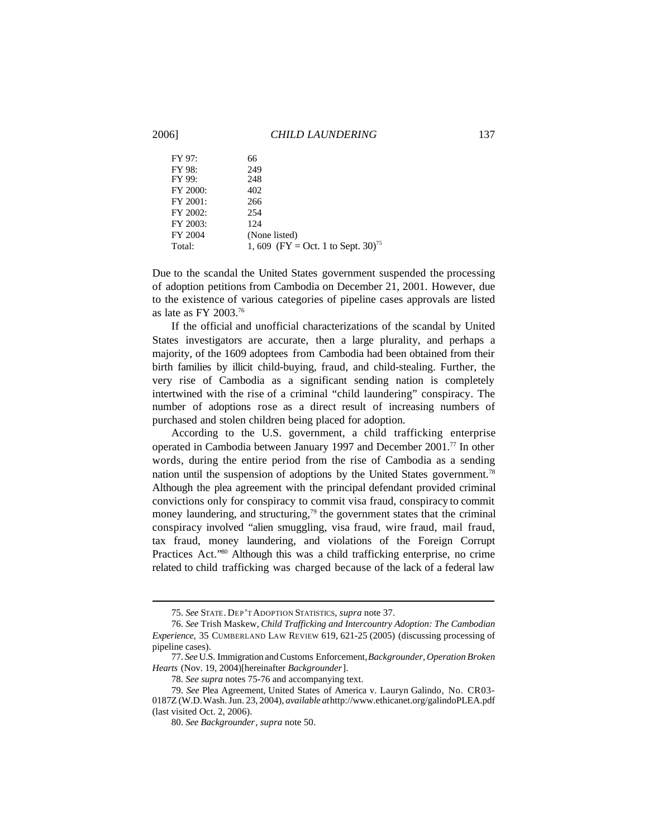## 2006] *CHILD LAUNDERING* 137

| 66                                             |
|------------------------------------------------|
| 249                                            |
| 248                                            |
| 402                                            |
| 266                                            |
| 254                                            |
| 124                                            |
| (None listed)                                  |
| 1, 609 (FY = Oct. 1 to Sept. 30) <sup>75</sup> |
|                                                |

Due to the scandal the United States government suspended the processing of adoption petitions from Cambodia on December 21, 2001. However, due to the existence of various categories of pipeline cases approvals are listed as late as FY 2003.<sup>76</sup>

If the official and unofficial characterizations of the scandal by United States investigators are accurate, then a large plurality, and perhaps a majority, of the 1609 adoptees from Cambodia had been obtained from their birth families by illicit child-buying, fraud, and child-stealing. Further, the very rise of Cambodia as a significant sending nation is completely intertwined with the rise of a criminal "child laundering" conspiracy. The number of adoptions rose as a direct result of increasing numbers of purchased and stolen children being placed for adoption.

According to the U.S. government, a child trafficking enterprise operated in Cambodia between January 1997 and December 2001.<sup>77</sup> In other words, during the entire period from the rise of Cambodia as a sending nation until the suspension of adoptions by the United States government.<sup>78</sup> Although the plea agreement with the principal defendant provided criminal convictions only for conspiracy to commit visa fraud, conspiracy to commit money laundering, and structuring, $79$  the government states that the criminal conspiracy involved "alien smuggling, visa fraud, wire fraud, mail fraud, tax fraud, money laundering, and violations of the Foreign Corrupt Practices Act."<sup>80</sup> Although this was a child trafficking enterprise, no crime related to child trafficking was charged because of the lack of a federal law

<sup>75.</sup> *See* STATE. DEP'T ADOPTION STATISTICS, *supra* note 37.

<sup>76.</sup> *See* Trish Maskew, *Child Trafficking and Intercountry Adoption: The Cambodian Experience*, 35 CUMBERLAND LAW REVIEW 619, 621-25 (2005) (discussing processing of pipeline cases).

<sup>77.</sup> *See* U.S. Immigration andCustoms Enforcement,*Backgrounder, Operation Broken Hearts* (Nov. 19, 2004)[hereinafter *Backgrounder*].

<sup>78.</sup> *See supra* notes 75-76 and accompanying text.

<sup>79.</sup> *See* Plea Agreement, United States of America v. Lauryn Galindo, No. CR03- 0187Z (W.D.Wash.Jun. 23, 2004), *available at*http://www.ethicanet.org/galindoPLEA.pdf (last visited Oct. 2, 2006).

<sup>80.</sup> *See Backgrounder*, *supra* note 50.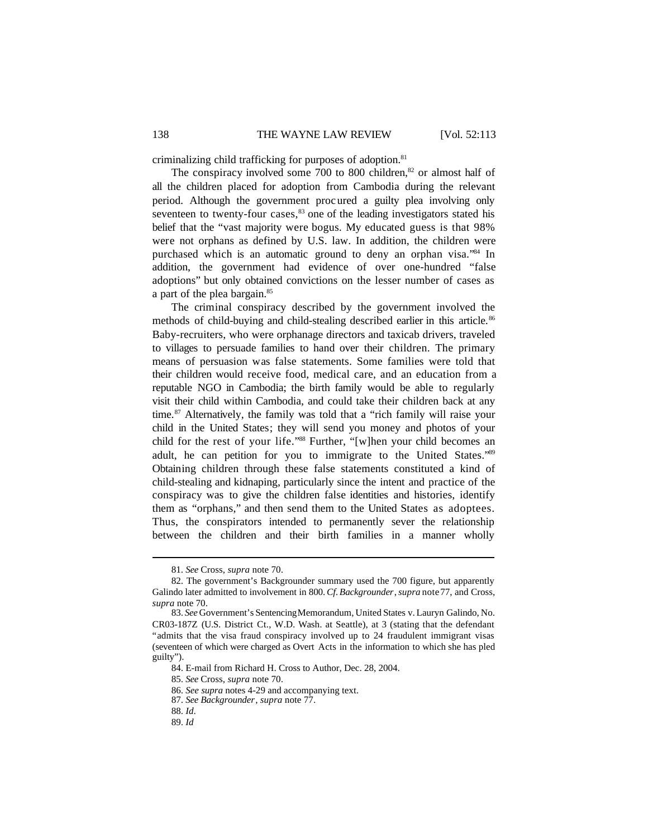criminalizing child trafficking for purposes of adoption.<sup>81</sup>

The conspiracy involved some  $700$  to  $800$  children, $82$  or almost half of all the children placed for adoption from Cambodia during the relevant period. Although the government proc ured a guilty plea involving only seventeen to twenty-four cases, $83$  one of the leading investigators stated his belief that the "vast majority were bogus. My educated guess is that 98% were not orphans as defined by U.S. law. In addition, the children were purchased which is an automatic ground to deny an orphan visa."<sup>84</sup> In addition, the government had evidence of over one-hundred "false adoptions" but only obtained convictions on the lesser number of cases as a part of the plea bargain.<sup>85</sup>

The criminal conspiracy described by the government involved the methods of child-buying and child-stealing described earlier in this article.<sup>86</sup> Baby-recruiters, who were orphanage directors and taxicab drivers, traveled to villages to persuade families to hand over their children. The primary means of persuasion was false statements. Some families were told that their children would receive food, medical care, and an education from a reputable NGO in Cambodia; the birth family would be able to regularly visit their child within Cambodia, and could take their children back at any time.<sup>87</sup> Alternatively, the family was told that a "rich family will raise your child in the United States; they will send you money and photos of your child for the rest of your life."<sup>88</sup> Further, "[w]hen your child becomes an adult, he can petition for you to immigrate to the United States."<sup>89</sup> Obtaining children through these false statements constituted a kind of child-stealing and kidnaping, particularly since the intent and practice of the conspiracy was to give the children false identities and histories, identify them as "orphans," and then send them to the United States as adoptees. Thus, the conspirators intended to permanently sever the relationship between the children and their birth families in a manner wholly

<sup>81.</sup> *See* Cross, *supra* note 70.

<sup>82.</sup> The government's Backgrounder summary used the 700 figure, but apparently Galindo later admitted to involvement in 800.*Cf*. *Backgrounder*,*supra* note77, and Cross, *supra* note 70.

<sup>83.</sup> *See* Government's SentencingMemorandum, United States v. Lauryn Galindo, No. CR03-187Z (U.S. District Ct., W.D. Wash. at Seattle), at 3 (stating that the defendant "admits that the visa fraud conspiracy involved up to 24 fraudulent immigrant visas (seventeen of which were charged as Overt Acts in the information to which she has pled guilty").

<sup>84.</sup> E-mail from Richard H. Cross to Author, Dec. 28, 2004.

<sup>85.</sup> *See* Cross, *supra* note 70.

<sup>86.</sup> *See supra* notes 4-29 and accompanying text.

<sup>87.</sup> *See Backgrounder*, *supra* note 77.

<sup>88.</sup> *Id*.

<sup>89.</sup> *Id*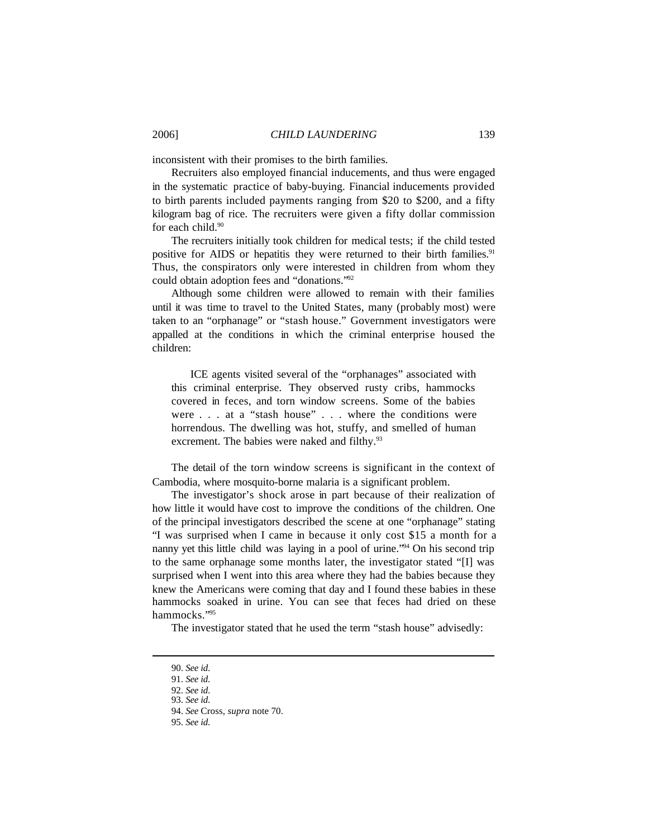inconsistent with their promises to the birth families.

Recruiters also employed financial inducements, and thus were engaged in the systematic practice of baby-buying. Financial inducements provided to birth parents included payments ranging from \$20 to \$200, and a fifty kilogram bag of rice. The recruiters were given a fifty dollar commission for each child.<sup>90</sup>

The recruiters initially took children for medical tests; if the child tested positive for AIDS or hepatitis they were returned to their birth families.<sup>91</sup> Thus, the conspirators only were interested in children from whom they could obtain adoption fees and "donations."<sup>92</sup>

Although some children were allowed to remain with their families until it was time to travel to the United States, many (probably most) were taken to an "orphanage" or "stash house." Government investigators were appalled at the conditions in which the criminal enterprise housed the children:

ICE agents visited several of the "orphanages" associated with this criminal enterprise. They observed rusty cribs, hammocks covered in feces, and torn window screens. Some of the babies were . . . at a "stash house" . . . where the conditions were horrendous. The dwelling was hot, stuffy, and smelled of human excrement. The babies were naked and filthy.<sup>93</sup>

The detail of the torn window screens is significant in the context of Cambodia, where mosquito-borne malaria is a significant problem.

The investigator's shock arose in part because of their realization of how little it would have cost to improve the conditions of the children. One of the principal investigators described the scene at one "orphanage" stating "I was surprised when I came in because it only cost \$15 a month for a nanny yet this little child was laying in a pool of urine.<sup>"94</sup> On his second trip to the same orphanage some months later, the investigator stated "[I] was surprised when I went into this area where they had the babies because they knew the Americans were coming that day and I found these babies in these hammocks soaked in urine. You can see that feces had dried on these hammocks."<sup>95</sup>

The investigator stated that he used the term "stash house" advisedly:

<sup>90.</sup> *See id*.

<sup>91.</sup> *See id*.

<sup>92.</sup> *See id*.

<sup>93.</sup> *See id*.

<sup>94.</sup> *See* Cross, *supra* note 70.

<sup>95.</sup> *See id*.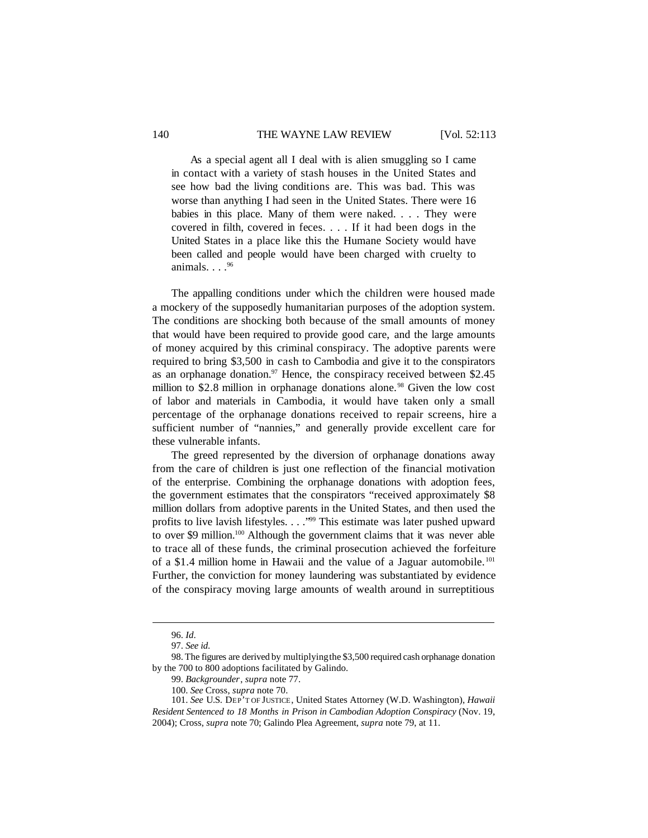As a special agent all I deal with is alien smuggling so I came in contact with a variety of stash houses in the United States and see how bad the living conditions are. This was bad. This was worse than anything I had seen in the United States. There were 16 babies in this place. Many of them were naked. . . . They were covered in filth, covered in feces. . . . If it had been dogs in the United States in a place like this the Humane Society would have been called and people would have been charged with cruelty to animals.  $\ldots$ . 96

The appalling conditions under which the children were housed made a mockery of the supposedly humanitarian purposes of the adoption system. The conditions are shocking both because of the small amounts of money that would have been required to provide good care, and the large amounts of money acquired by this criminal conspiracy. The adoptive parents were required to bring \$3,500 in cash to Cambodia and give it to the conspirators as an orphanage donation.<sup>97</sup> Hence, the conspiracy received between \$2.45 million to \$2.8 million in orphanage donations alone.<sup>98</sup> Given the low cost of labor and materials in Cambodia, it would have taken only a small percentage of the orphanage donations received to repair screens, hire a sufficient number of "nannies," and generally provide excellent care for these vulnerable infants.

The greed represented by the diversion of orphanage donations away from the care of children is just one reflection of the financial motivation of the enterprise. Combining the orphanage donations with adoption fees, the government estimates that the conspirators "received approximately \$8 million dollars from adoptive parents in the United States, and then used the profits to live lavish lifestyles. . . ."<sup>99</sup> This estimate was later pushed upward to over \$9 million.<sup>100</sup> Although the government claims that it was never able to trace all of these funds, the criminal prosecution achieved the forfeiture of a \$1.4 million home in Hawaii and the value of a Jaguar automobile. <sup>101</sup> Further, the conviction for money laundering was substantiated by evidence of the conspiracy moving large amounts of wealth around in surreptitious

<sup>96.</sup> *Id*.

<sup>97.</sup> *See id*.

<sup>98.</sup> The figures are derived by multiplyingthe \$3,500 required cash orphanage donation by the 700 to 800 adoptions facilitated by Galindo.

<sup>99.</sup> *Backgrounder*, *supra* note 77.

<sup>100.</sup> *See* Cross, *supra* note 70.

<sup>101.</sup> *See* U.S. DEP'T OF JUSTICE, United States Attorney (W.D. Washington), *Hawaii Resident Sentenced to 18 Months in Prison in Cambodian Adoption Conspiracy* (Nov. 19, 2004); Cross, *supra* note 70; Galindo Plea Agreement, *supra* note 79, at 11.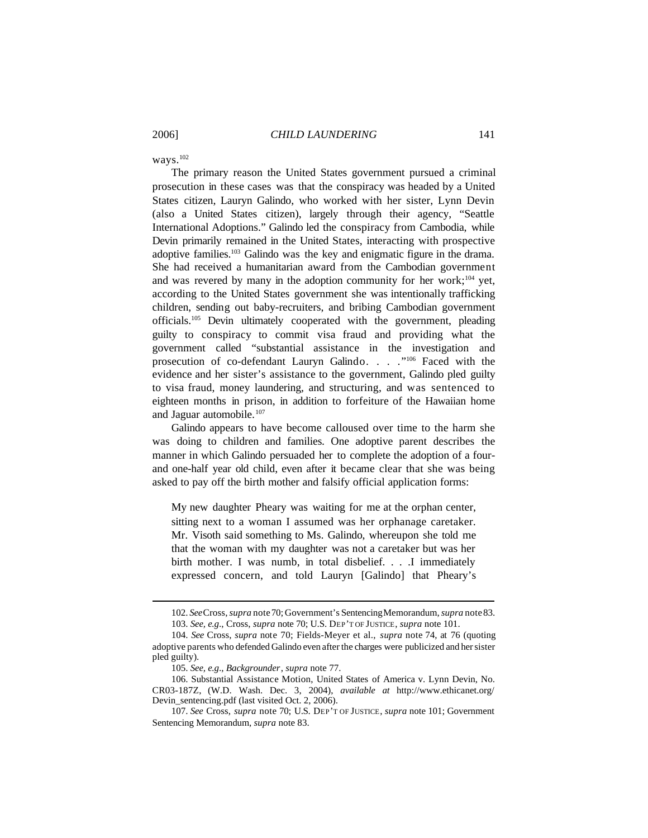ways.<sup>102</sup>

The primary reason the United States government pursued a criminal prosecution in these cases was that the conspiracy was headed by a United States citizen, Lauryn Galindo, who worked with her sister, Lynn Devin (also a United States citizen), largely through their agency, "Seattle International Adoptions." Galindo led the conspiracy from Cambodia, while Devin primarily remained in the United States, interacting with prospective adoptive families.<sup>103</sup> Galindo was the key and enigmatic figure in the drama. She had received a humanitarian award from the Cambodian government and was revered by many in the adoption community for her work;<sup>104</sup> yet, according to the United States government she was intentionally trafficking children, sending out baby-recruiters, and bribing Cambodian government officials.<sup>105</sup> Devin ultimately cooperated with the government, pleading guilty to conspiracy to commit visa fraud and providing what the government called "substantial assistance in the investigation and prosecution of co-defendant Lauryn Galindo. . . . "<sup>106</sup> Faced with the evidence and her sister's assistance to the government, Galindo pled guilty to visa fraud, money laundering, and structuring, and was sentenced to eighteen months in prison, in addition to forfeiture of the Hawaiian home and Jaguar automobile.<sup>107</sup>

Galindo appears to have become calloused over time to the harm she was doing to children and families. One adoptive parent describes the manner in which Galindo persuaded her to complete the adoption of a fourand one-half year old child, even after it became clear that she was being asked to pay off the birth mother and falsify official application forms:

My new daughter Pheary was waiting for me at the orphan center, sitting next to a woman I assumed was her orphanage caretaker. Mr. Visoth said something to Ms. Galindo, whereupon she told me that the woman with my daughter was not a caretaker but was her birth mother. I was numb, in total disbelief. . . .I immediately expressed concern, and told Lauryn [Galindo] that Pheary's

<sup>102.</sup> *See*Cross,*supra* note70; Government's SentencingMemorandum,*supra* note83. 103. *See, e.g*., Cross, *supra* note 70; U.S. DEP'T OF JUSTICE, *supra* note 101.

<sup>104.</sup> *See* Cross, *supra* note 70; Fields-Meyer et al., *supra* note 74, at 76 (quoting adoptive parents who defended Galindo even after the charges were publicized and hersister pled guilty).

<sup>105.</sup> *See, e.g*., *Backgrounder*, *supra* note 77.

<sup>106.</sup> Substantial Assistance Motion, United States of America v. Lynn Devin, No. CR03-187Z, (W.D. Wash. Dec. 3, 2004), *available at* http://www.ethicanet.org/ Devin\_sentencing.pdf (last visited Oct. 2, 2006).

<sup>107.</sup> *See* Cross, *supra* note 70; U.S. DEP'T OF JUSTICE, *supra* note 101; Government Sentencing Memorandum, *supra* note 83.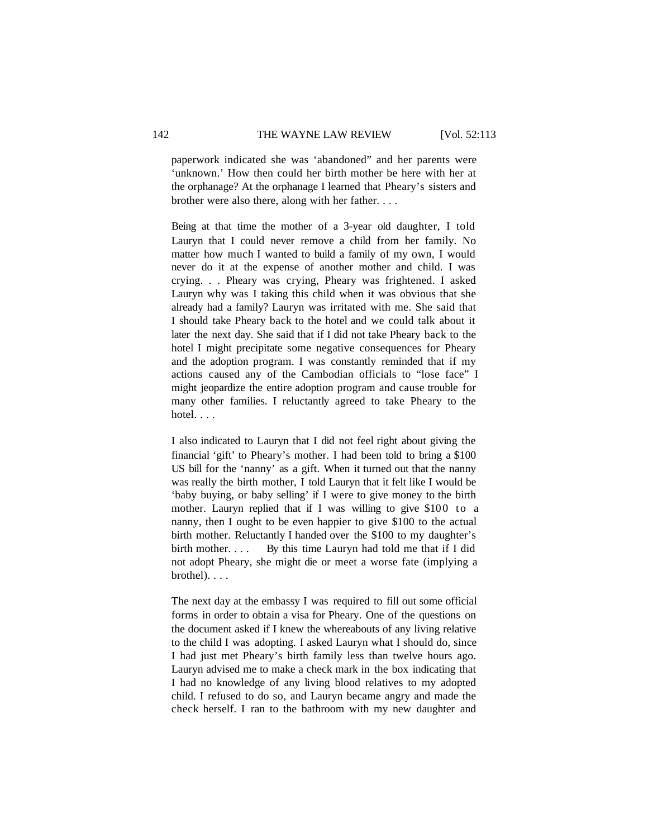paperwork indicated she was 'abandoned" and her parents were 'unknown.' How then could her birth mother be here with her at the orphanage? At the orphanage I learned that Pheary's sisters and brother were also there, along with her father. . . .

Being at that time the mother of a 3-year old daughter, I told Lauryn that I could never remove a child from her family. No matter how much I wanted to build a family of my own, I would never do it at the expense of another mother and child. I was crying. . . Pheary was crying, Pheary was frightened. I asked Lauryn why was I taking this child when it was obvious that she already had a family? Lauryn was irritated with me. She said that I should take Pheary back to the hotel and we could talk about it later the next day. She said that if I did not take Pheary back to the hotel I might precipitate some negative consequences for Pheary and the adoption program. I was constantly reminded that if my actions caused any of the Cambodian officials to "lose face" I might jeopardize the entire adoption program and cause trouble for many other families. I reluctantly agreed to take Pheary to the hotel. . . .

I also indicated to Lauryn that I did not feel right about giving the financial 'gift' to Pheary's mother. I had been told to bring a \$100 US bill for the 'nanny' as a gift. When it turned out that the nanny was really the birth mother, I told Lauryn that it felt like I would be 'baby buying, or baby selling' if I were to give money to the birth mother. Lauryn replied that if I was willing to give \$100 to a nanny, then I ought to be even happier to give \$100 to the actual birth mother. Reluctantly I handed over the \$100 to my daughter's birth mother. . . . By this time Lauryn had told me that if I did not adopt Pheary, she might die or meet a worse fate (implying a brothel). . . .

The next day at the embassy I was required to fill out some official forms in order to obtain a visa for Pheary. One of the questions on the document asked if I knew the whereabouts of any living relative to the child I was adopting. I asked Lauryn what I should do, since I had just met Pheary's birth family less than twelve hours ago. Lauryn advised me to make a check mark in the box indicating that I had no knowledge of any living blood relatives to my adopted child. I refused to do so, and Lauryn became angry and made the check herself. I ran to the bathroom with my new daughter and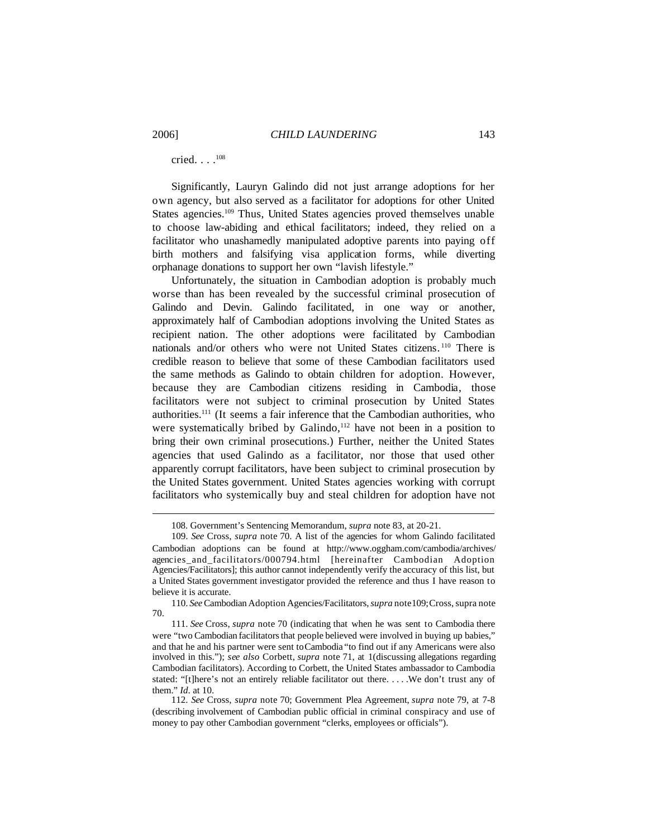cried. . . .<sup>108</sup>

Significantly, Lauryn Galindo did not just arrange adoptions for her own agency, but also served as a facilitator for adoptions for other United States agencies.<sup>109</sup> Thus, United States agencies proved themselves unable to choose law-abiding and ethical facilitators; indeed, they relied on a facilitator who unashamedly manipulated adoptive parents into paying off birth mothers and falsifying visa application forms, while diverting orphanage donations to support her own "lavish lifestyle."

Unfortunately, the situation in Cambodian adoption is probably much worse than has been revealed by the successful criminal prosecution of Galindo and Devin. Galindo facilitated, in one way or another, approximately half of Cambodian adoptions involving the United States as recipient nation. The other adoptions were facilitated by Cambodian nationals and/or others who were not United States citizens. <sup>110</sup> There is credible reason to believe that some of these Cambodian facilitators used the same methods as Galindo to obtain children for adoption. However, because they are Cambodian citizens residing in Cambodia, those facilitators were not subject to criminal prosecution by United States authorities.<sup>111</sup> (It seems a fair inference that the Cambodian authorities, who were systematically bribed by Galindo, $112$  have not been in a position to bring their own criminal prosecutions.) Further, neither the United States agencies that used Galindo as a facilitator, nor those that used other apparently corrupt facilitators, have been subject to criminal prosecution by the United States government. United States agencies working with corrupt facilitators who systemically buy and steal children for adoption have not

<sup>108.</sup> Government's Sentencing Memorandum, *supra* note 83, at 20-21.

<sup>109.</sup> *See* Cross, *supra* note 70. A list of the agencies for whom Galindo facilitated Cambodian adoptions can be found at http://www.oggham.com/cambodia/archives/ agencies\_and\_facilitators/000794.html [hereinafter Cambodian Adoption Agencies/Facilitators]; this author cannot independently verify the accuracy of this list, but a United States government investigator provided the reference and thus I have reason to believe it is accurate.

<sup>110.</sup> *See*Cambodian Adoption Agencies/Facilitators,*supra* note109;Cross,supra note 70.

<sup>111.</sup> *See* Cross, *supra* note 70 (indicating that when he was sent to Cambodia there were "two Cambodian facilitators that people believed were involved in buying up babies," and that he and his partner were sent toCambodia "to find out if any Americans were also involved in this."); *see also* Corbett, *supra* note 71, at 1(discussing allegations regarding Cambodian facilitators). According to Corbett, the United States ambassador to Cambodia stated: "[t]here's not an entirely reliable facilitator out there. . . . .We don't trust any of them." *Id*. at 10.

<sup>112.</sup> *See* Cross, *supra* note 70; Government Plea Agreement, *supra* note 79, at 7-8 (describing involvement of Cambodian public official in criminal conspiracy and use of money to pay other Cambodian government "clerks, employees or officials").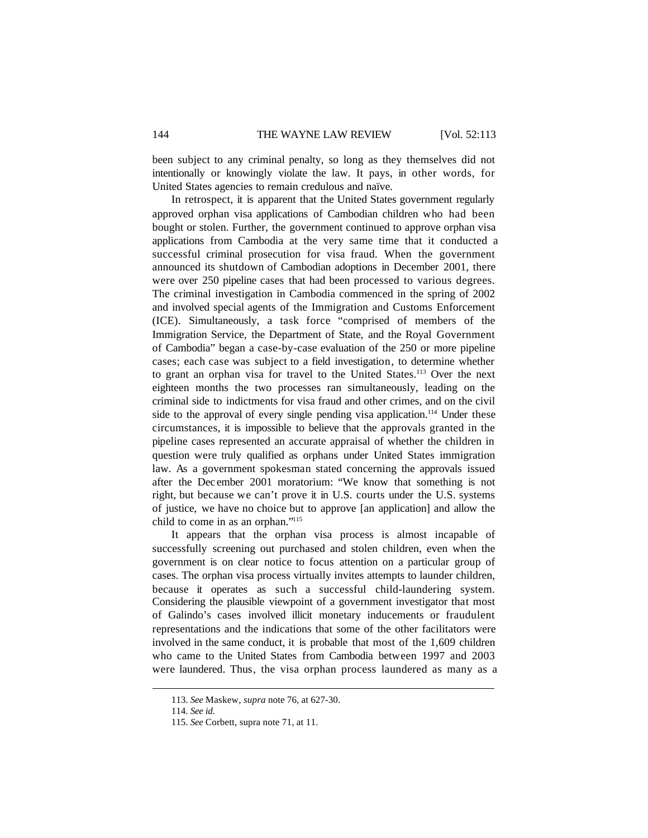been subject to any criminal penalty, so long as they themselves did not intentionally or knowingly violate the law. It pays, in other words, for United States agencies to remain credulous and naïve.

In retrospect, it is apparent that the United States government regularly approved orphan visa applications of Cambodian children who had been bought or stolen. Further, the government continued to approve orphan visa applications from Cambodia at the very same time that it conducted a successful criminal prosecution for visa fraud. When the government announced its shutdown of Cambodian adoptions in December 2001, there were over 250 pipeline cases that had been processed to various degrees. The criminal investigation in Cambodia commenced in the spring of 2002 and involved special agents of the Immigration and Customs Enforcement (ICE). Simultaneously, a task force "comprised of members of the Immigration Service, the Department of State, and the Royal Government of Cambodia" began a case-by-case evaluation of the 250 or more pipeline cases; each case was subject to a field investigation, to determine whether to grant an orphan visa for travel to the United States.<sup>113</sup> Over the next eighteen months the two processes ran simultaneously, leading on the criminal side to indictments for visa fraud and other crimes, and on the civil side to the approval of every single pending visa application.<sup>114</sup> Under these circumstances, it is impossible to believe that the approvals granted in the pipeline cases represented an accurate appraisal of whether the children in question were truly qualified as orphans under United States immigration law. As a government spokesman stated concerning the approvals issued after the Dec ember 2001 moratorium: "We know that something is not right, but because we can't prove it in U.S. courts under the U.S. systems of justice, we have no choice but to approve [an application] and allow the child to come in as an orphan."<sup>115</sup>

It appears that the orphan visa process is almost incapable of successfully screening out purchased and stolen children, even when the government is on clear notice to focus attention on a particular group of cases. The orphan visa process virtually invites attempts to launder children, because it operates as such a successful child-laundering system. Considering the plausible viewpoint of a government investigator that most of Galindo's cases involved illicit monetary inducements or fraudulent representations and the indications that some of the other facilitators were involved in the same conduct, it is probable that most of the 1,609 children who came to the United States from Cambodia between 1997 and 2003 were laundered. Thus, the visa orphan process laundered as many as a

<sup>113.</sup> *See* Maskew, *supra* note 76, at 627-30.

<sup>114.</sup> *See id*.

<sup>115.</sup> *See* Corbett, supra note 71, at 11.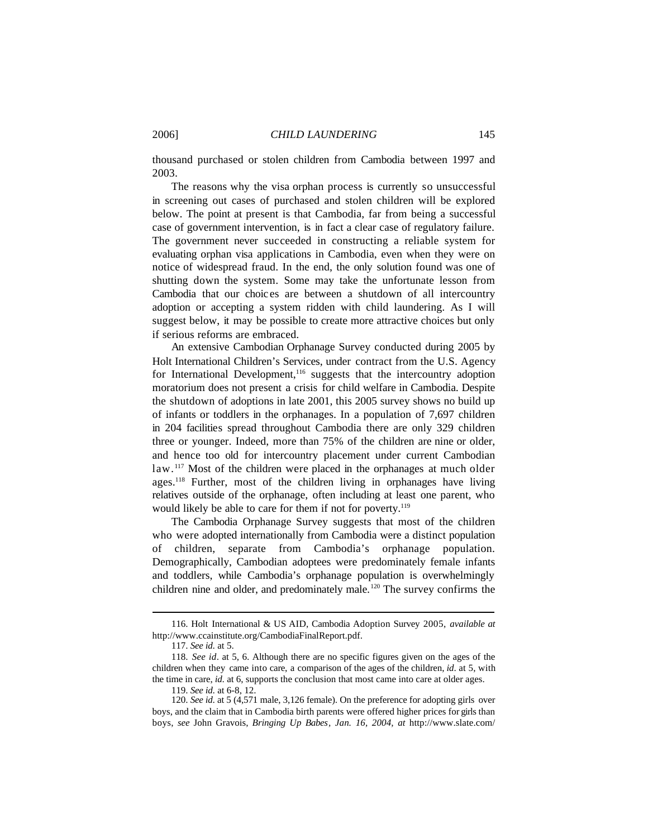thousand purchased or stolen children from Cambodia between 1997 and 2003.

The reasons why the visa orphan process is currently so unsuccessful in screening out cases of purchased and stolen children will be explored below. The point at present is that Cambodia, far from being a successful case of government intervention, is in fact a clear case of regulatory failure. The government never succeeded in constructing a reliable system for evaluating orphan visa applications in Cambodia, even when they were on notice of widespread fraud. In the end, the only solution found was one of shutting down the system. Some may take the unfortunate lesson from Cambodia that our choic es are between a shutdown of all intercountry adoption or accepting a system ridden with child laundering. As I will suggest below, it may be possible to create more attractive choices but only if serious reforms are embraced.

An extensive Cambodian Orphanage Survey conducted during 2005 by Holt International Children's Services, under contract from the U.S. Agency for International Development,<sup>116</sup> suggests that the intercountry adoption moratorium does not present a crisis for child welfare in Cambodia. Despite the shutdown of adoptions in late 2001, this 2005 survey shows no build up of infants or toddlers in the orphanages. In a population of 7,697 children in 204 facilities spread throughout Cambodia there are only 329 children three or younger. Indeed, more than 75% of the children are nine or older, and hence too old for intercountry placement under current Cambodian law.<sup>117</sup> Most of the children were placed in the orphanages at much older ages.<sup>118</sup> Further, most of the children living in orphanages have living relatives outside of the orphanage, often including at least one parent, who would likely be able to care for them if not for poverty.<sup>119</sup>

The Cambodia Orphanage Survey suggests that most of the children who were adopted internationally from Cambodia were a distinct population of children, separate from Cambodia's orphanage population. Demographically, Cambodian adoptees were predominately female infants and toddlers, while Cambodia's orphanage population is overwhelmingly children nine and older, and predominately male.<sup>120</sup> The survey confirms the

<sup>116.</sup> Holt International & US AID, Cambodia Adoption Survey 2005, *available at* http://www.ccainstitute.org/CambodiaFinalReport.pdf.

<sup>117.</sup> *See id*. at 5.

<sup>118.</sup> *See id*. at 5, 6. Although there are no specific figures given on the ages of the children when they came into care, a comparison of the ages of the children, *id*. at 5, with the time in care, *id*. at 6, supports the conclusion that most came into care at older ages.

<sup>119.</sup> *See id*. at 6-8, 12.

<sup>120.</sup> *See id*. at 5 (4,571 male, 3,126 female). On the preference for adopting girls over boys, and the claim that in Cambodia birth parents were offered higher prices for girls than boys, *see* John Gravois, *Bringing Up Babes, Jan. 16, 2004, at* http://www.slate.com/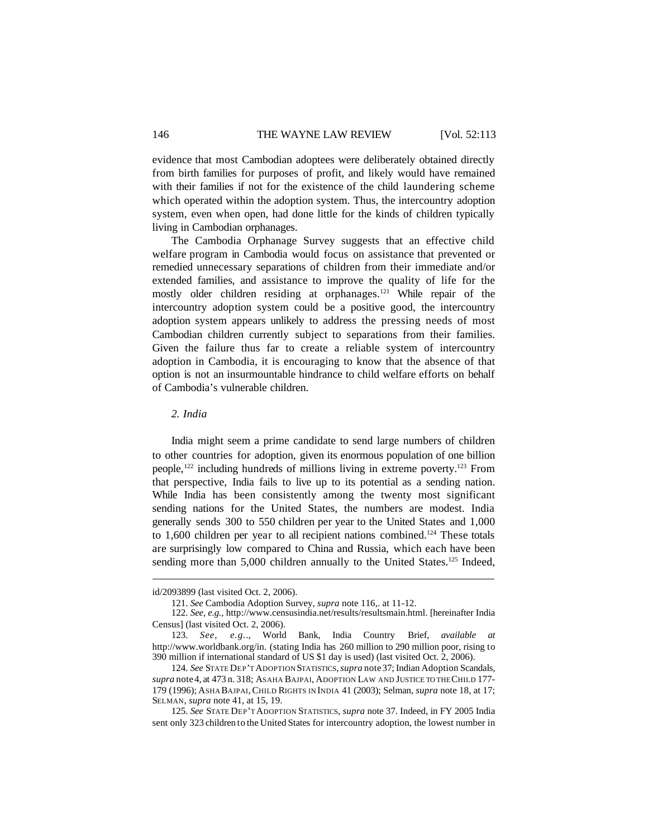evidence that most Cambodian adoptees were deliberately obtained directly from birth families for purposes of profit, and likely would have remained with their families if not for the existence of the child laundering scheme which operated within the adoption system. Thus, the intercountry adoption system, even when open, had done little for the kinds of children typically living in Cambodian orphanages.

The Cambodia Orphanage Survey suggests that an effective child welfare program in Cambodia would focus on assistance that prevented or remedied unnecessary separations of children from their immediate and/or extended families, and assistance to improve the quality of life for the mostly older children residing at orphanages.<sup>121</sup> While repair of the intercountry adoption system could be a positive good, the intercountry adoption system appears unlikely to address the pressing needs of most Cambodian children currently subject to separations from their families. Given the failure thus far to create a reliable system of intercountry adoption in Cambodia, it is encouraging to know that the absence of that option is not an insurmountable hindrance to child welfare efforts on behalf of Cambodia's vulnerable children.

*2. India*

India might seem a prime candidate to send large numbers of children to other countries for adoption, given its enormous population of one billion people,<sup>122</sup> including hundreds of millions living in extreme poverty.<sup>123</sup> From that perspective, India fails to live up to its potential as a sending nation. While India has been consistently among the twenty most significant sending nations for the United States, the numbers are modest. India generally sends 300 to 550 children per year to the United States and 1,000 to  $1,600$  children per year to all recipient nations combined.<sup>124</sup> These totals are surprisingly low compared to China and Russia, which each have been sending more than 5,000 children annually to the United States.<sup>125</sup> Indeed,

id/2093899 (last visited Oct. 2, 2006).

<sup>121.</sup> *See* Cambodia Adoption Survey, *supra* note 116,. at 11-12.

<sup>122.</sup> *See, e.g.*, http://www.censusindia.net/results/resultsmain.html. [hereinafter India Census] (last visited Oct. 2, 2006).

<sup>123.</sup> *See, e.g.*., World Bank, India Country Brief, *available at* http://www.worldbank.org/in. (stating India has 260 million to 290 million poor, rising to 390 million if international standard of US \$1 day is used) (last visited Oct. 2, 2006).

<sup>124.</sup> *See* STATE DEP'T ADOPTION STATISTICS,*supra* note37;Indian Adoption Scandals, *supra* note4, at 473 n. 318; ASAHA BAJPAI, ADOPTION LAW AND JUSTICE TO THECHILD 177- 179 (1996); ASHA BAJPAI,CHILD RIGHTS IN INDIA 41 (2003); Selman, *supra* note 18, at 17; SELMAN, *supra* note 41, at 15, 19.

<sup>125.</sup> *See* STATE DEP'T ADOPTION STATISTICS, *supra* note 37. Indeed, in FY 2005 India sent only 323 children to the United States for intercountry adoption, the lowest number in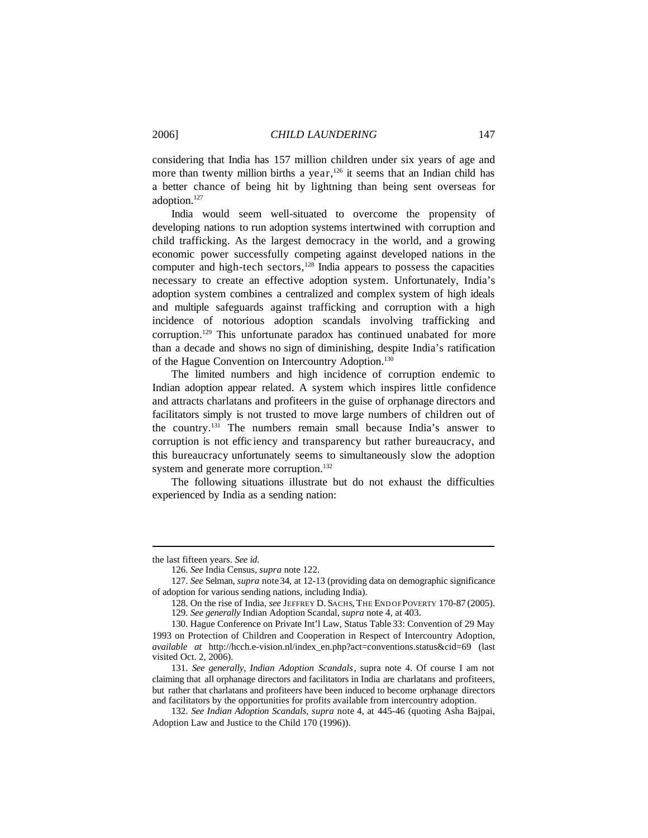considering that India has 157 million children under six years of age and more than twenty million births a year,<sup>126</sup> it seems that an Indian child has a better chance of being hit by lightning than being sent overseas for adoption.<sup>127</sup>

India would seem well-situated to overcome the propensity of developing nations to run adoption systems intertwined with corruption and child trafficking. As the largest democracy in the world, and a growing economic power successfully competing against developed nations in the computer and high-tech sectors, $128$  India appears to possess the capacities necessary to create an effective adoption system. Unfortunately, India's adoption system combines a centralized and complex system of high ideals and multiple safeguards against trafficking and corruption with a high incidence of notorious adoption scandals involving trafficking and corruption.<sup>129</sup> This unfortunate paradox has continued unabated for more than a decade and shows no sign of diminishing, despite India's ratification of the Hague Convention on Intercountry Adoption.<sup>130</sup>

The limited numbers and high incidence of corruption endemic to Indian adoption appear related. A system which inspires little confidence and attracts charlatans and profiteers in the guise of orphanage directors and facilitators simply is not trusted to move large numbers of children out of the country.<sup>131</sup> The numbers remain small because India's answer to corruption is not effic iency and transparency but rather bureaucracy, and this bureaucracy unfortunately seems to simultaneously slow the adoption system and generate more corruption.<sup>132</sup>

The following situations illustrate but do not exhaust the difficulties experienced by India as a sending nation:

the last fifteen years. *See id*.

<sup>126.</sup> *See* India Census, *supra* note 122.

<sup>127.</sup> *See* Selman, *supra* note34, at 12-13 (providing data on demographic significance of adoption for various sending nations, including India).

<sup>128.</sup> On the rise of India, *see* JEFFREY D. SACHS, THE END OFPOVERTY 170-87 (2005).

<sup>129.</sup> *See generally* Indian Adoption Scandal, *supra* note 4, at 403.

<sup>130.</sup> Hague Conference on Private Int'l Law, Status Table 33: Convention of 29 May 1993 on Protection of Children and Cooperation in Respect of Intercountry Adoption, *available at* http://hcch.e-vision.nl/index\_en.php?act=conventions.status&cid=69 (last visited Oct. 2, 2006).

<sup>131.</sup> *See generally, Indian Adoption Scandals*, supra note 4. Of course I am not claiming that all orphanage directors and facilitators in India are charlatans and profiteers, but rather that charlatans and profiteers have been induced to become orphanage directors and facilitators by the opportunities for profits available from intercountry adoption.

<sup>132.</sup> *See Indian Adoption Scandals, supra* note 4, at 445-46 (quoting Asha Bajpai, Adoption Law and Justice to the Child 170 (1996)).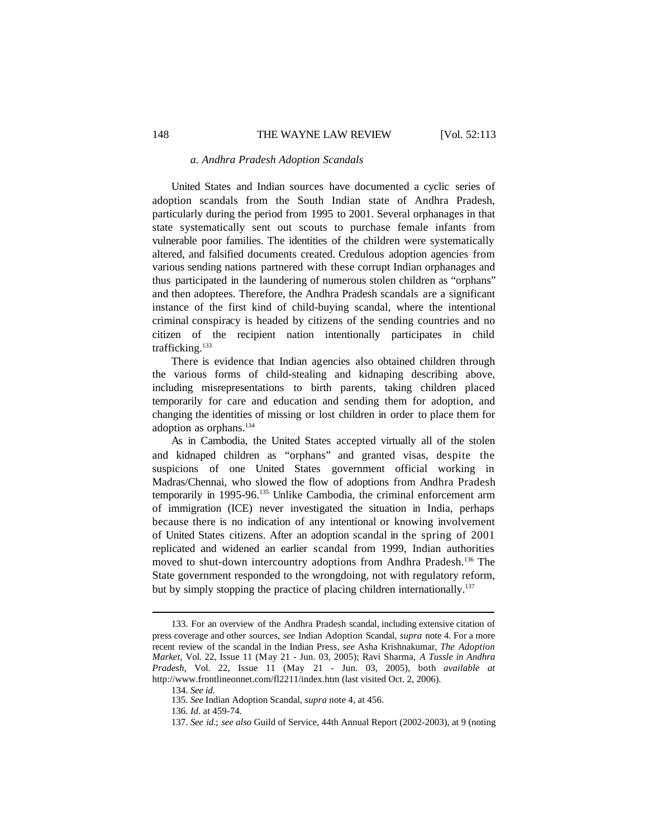#### *a. Andhra Pradesh Adoption Scandals*

United States and Indian sources have documented a cyclic series of adoption scandals from the South Indian state of Andhra Pradesh, particularly during the period from 1995 to 2001. Several orphanages in that state systematically sent out scouts to purchase female infants from vulnerable poor families. The identities of the children were systematically altered, and falsified documents created. Credulous adoption agencies from various sending nations partnered with these corrupt Indian orphanages and thus participated in the laundering of numerous stolen children as "orphans" and then adoptees. Therefore, the Andhra Pradesh scandals are a significant instance of the first kind of child-buying scandal, where the intentional criminal conspiracy is headed by citizens of the sending countries and no citizen of the recipient nation intentionally participates in child trafficking.<sup>133</sup>

There is evidence that Indian agencies also obtained children through the various forms of child-stealing and kidnaping describing above, including misrepresentations to birth parents, taking children placed temporarily for care and education and sending them for adoption, and changing the identities of missing or lost children in order to place them for adoption as orphans.<sup>134</sup>

As in Cambodia, the United States accepted virtually all of the stolen and kidnaped children as "orphans" and granted visas, despite the suspicions of one United States government official working in Madras/Chennai, who slowed the flow of adoptions from Andhra Pradesh temporarily in 1995-96.<sup>135</sup> Unlike Cambodia, the criminal enforcement arm of immigration (ICE) never investigated the situation in India, perhaps because there is no indication of any intentional or knowing involvement of United States citizens. After an adoption scandal in the spring of 2001 replicated and widened an earlier scandal from 1999, Indian authorities moved to shut-down intercountry adoptions from Andhra Pradesh.<sup>136</sup> The State government responded to the wrongdoing, not with regulatory reform, but by simply stopping the practice of placing children internationally.<sup>137</sup>

<sup>133.</sup> For an overview of the Andhra Pradesh scandal, including extensive citation of press coverage and other sources, *see* Indian Adoption Scandal, *supra* note 4. For a more recent review of the scandal in the Indian Press, *see* Asha Krishnakumar, *The Adoption Market*, Vol. 22, Issue 11 (May 21 - Jun. 03, 2005); Ravi Sharma, *A Tussle in Andhra Pradesh*, Vol. 22, Issue 11 (May 21 - Jun. 03, 2005), both *available at* http://www.frontlineonnet.com/fl2211/index.htm (last visited Oct. 2, 2006).

<sup>134.</sup> *See id*.

<sup>135.</sup> *See* Indian Adoption Scandal, *supra* note 4, at 456.

<sup>136.</sup> *Id*. at 459-74.

<sup>137.</sup> *See id*.; *see also* Guild of Service, 44th Annual Report (2002-2003), at 9 (noting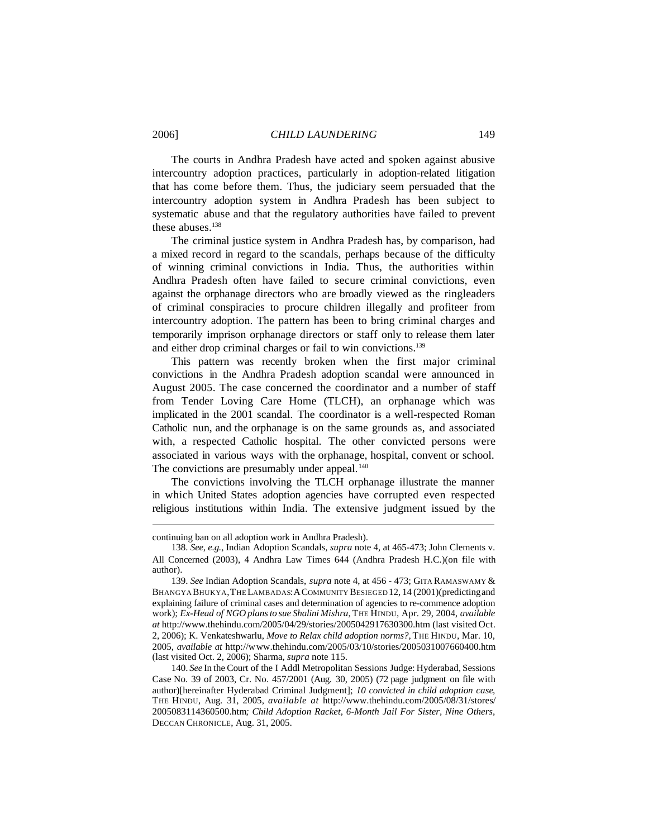The courts in Andhra Pradesh have acted and spoken against abusive intercountry adoption practices, particularly in adoption-related litigation that has come before them. Thus, the judiciary seem persuaded that the intercountry adoption system in Andhra Pradesh has been subject to systematic abuse and that the regulatory authorities have failed to prevent these abuses.<sup>138</sup>

The criminal justice system in Andhra Pradesh has, by comparison, had a mixed record in regard to the scandals, perhaps because of the difficulty of winning criminal convictions in India. Thus, the authorities within Andhra Pradesh often have failed to secure criminal convictions, even against the orphanage directors who are broadly viewed as the ringleaders of criminal conspiracies to procure children illegally and profiteer from intercountry adoption. The pattern has been to bring criminal charges and temporarily imprison orphanage directors or staff only to release them later and either drop criminal charges or fail to win convictions.<sup>139</sup>

This pattern was recently broken when the first major criminal convictions in the Andhra Pradesh adoption scandal were announced in August 2005. The case concerned the coordinator and a number of staff from Tender Loving Care Home (TLCH), an orphanage which was implicated in the 2001 scandal. The coordinator is a well-respected Roman Catholic nun, and the orphanage is on the same grounds as, and associated with, a respected Catholic hospital. The other convicted persons were associated in various ways with the orphanage, hospital, convent or school. The convictions are presumably under appeal.<sup>140</sup>

The convictions involving the TLCH orphanage illustrate the manner in which United States adoption agencies have corrupted even respected religious institutions within India. The extensive judgment issued by the

continuing ban on all adoption work in Andhra Pradesh).

<sup>138.</sup> *See, e.g.*, Indian Adoption Scandals, *supra* note 4, at 465-473; John Clements v. All Concerned (2003), 4 Andhra Law Times 644 (Andhra Pradesh H.C.)(on file with author).

<sup>139.</sup> *See* Indian Adoption Scandals, *supra* note 4, at 456 - 473; GITA RAMASWAMY & BHANGYA BHUKYA,THE LAMBADAS:ACOMMUNITY BESIEGED 12, 14 (2001)(predictingand explaining failure of criminal cases and determination of agencies to re-commence adoption work); *Ex-Head of NGO plansto sue Shalini Mishra*, THE HINDU, Apr. 29, 2004, *available at* http://www.thehindu.com/2005/04/29/stories/2005042917630300.htm (last visited Oct. 2, 2006); K. Venkateshwarlu, *Move to Relax child adoption norms?,* THE HINDU, Mar. 10, 2005, *available at* http://www.thehindu.com/2005/03/10/stories/2005031007660400.htm (last visited Oct. 2, 2006); Sharma, *supra* note 115.

<sup>140.</sup> *See* In the Court of the I Addl Metropolitan Sessions Judge: Hyderabad, Sessions Case No. 39 of 2003, Cr. No. 457/2001 (Aug. 30, 2005) (72 page judgment on file with author)[hereinafter Hyderabad Criminal Judgment]; *10 convicted in child adoption case*, THE HINDU, Aug. 31, 2005, *available at* http://www.thehindu.com/2005/08/31/stores/ 2005083114360500.htm*; Child Adoption Racket, 6-Month Jail For Sister, Nine Others*, DECCAN CHRONICLE, Aug. 31, 2005.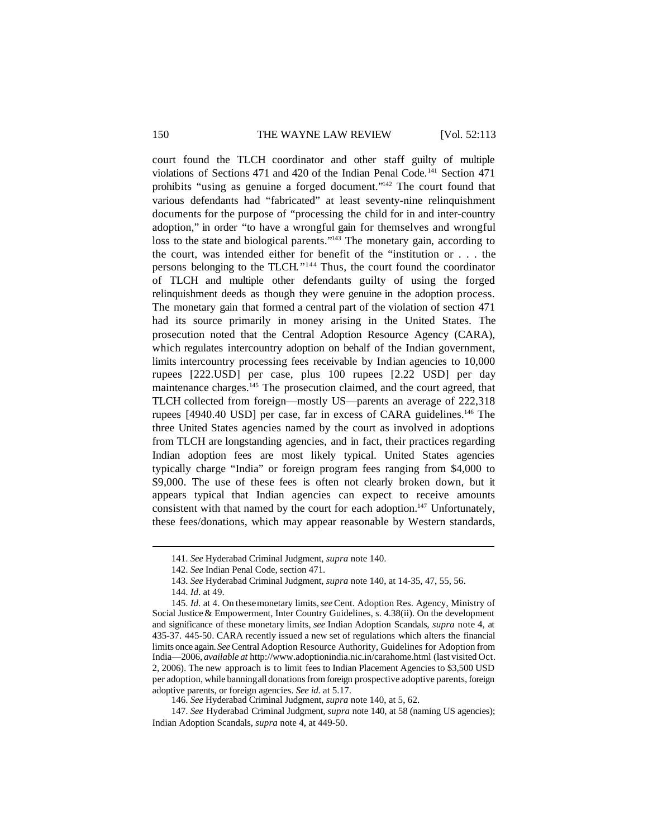court found the TLCH coordinator and other staff guilty of multiple violations of Sections 471 and 420 of the Indian Penal Code.<sup>141</sup> Section 471 prohibits "using as genuine a forged document."<sup>142</sup> The court found that various defendants had "fabricated" at least seventy-nine relinquishment documents for the purpose of "processing the child for in and inter-country adoption," in order "to have a wrongful gain for themselves and wrongful loss to the state and biological parents."<sup>143</sup> The monetary gain, according to the court, was intended either for benefit of the "institution or . . . the persons belonging to the TLCH."<sup>144</sup> Thus, the court found the coordinator of TLCH and multiple other defendants guilty of using the forged relinquishment deeds as though they were genuine in the adoption process. The monetary gain that formed a central part of the violation of section 471 had its source primarily in money arising in the United States. The prosecution noted that the Central Adoption Resource Agency (CARA), which regulates intercountry adoption on behalf of the Indian government, limits intercountry processing fees receivable by Indian agencies to 10,000 rupees [222.USD] per case, plus 100 rupees [2.22 USD] per day maintenance charges.<sup>145</sup> The prosecution claimed, and the court agreed, that TLCH collected from foreign—mostly US—parents an average of 222,318 rupees [4940.40 USD] per case, far in excess of CARA guidelines.<sup>146</sup> The three United States agencies named by the court as involved in adoptions from TLCH are longstanding agencies, and in fact, their practices regarding Indian adoption fees are most likely typical. United States agencies typically charge "India" or foreign program fees ranging from \$4,000 to \$9,000. The use of these fees is often not clearly broken down, but it appears typical that Indian agencies can expect to receive amounts consistent with that named by the court for each adoption.<sup>147</sup> Unfortunately, these fees/donations, which may appear reasonable by Western standards,

<sup>141.</sup> *See* Hyderabad Criminal Judgment, *supra* note 140.

<sup>142.</sup> *See* Indian Penal Code, section 471.

<sup>143.</sup> *See* Hyderabad Criminal Judgment, *supra* note 140, at 14-35, 47, 55, 56.

<sup>144.</sup> *Id*. at 49.

<sup>145.</sup> *Id*. at 4. On thesemonetary limits,*see*Cent. Adoption Res. Agency, Ministry of Social Justice & Empowerment, Inter Country Guidelines, s. 4.38(ii). On the development and significance of these monetary limits, *see* Indian Adoption Scandals, *supra* note 4, at 435-37. 445-50. CARA recently issued a new set of regulations which alters the financial limits once again. *See*Central Adoption Resource Authority, Guidelines for Adoption from India—2006, *available at* http://www.adoptionindia.nic.in/carahome.html (last visited Oct. 2, 2006). The new approach is to limit fees to Indian Placement Agencies to \$3,500 USD per adoption, while banningall donationsfrom foreign prospective adoptive parents, foreign adoptive parents, or foreign agencies. *See id*. at 5.17.

<sup>146.</sup> *See* Hyderabad Criminal Judgment, *supra* note 140, at 5, 62.

<sup>147.</sup> *See* Hyderabad Criminal Judgment, *supra* note 140, at 58 (naming US agencies); Indian Adoption Scandals, *supra* note 4, at 449-50.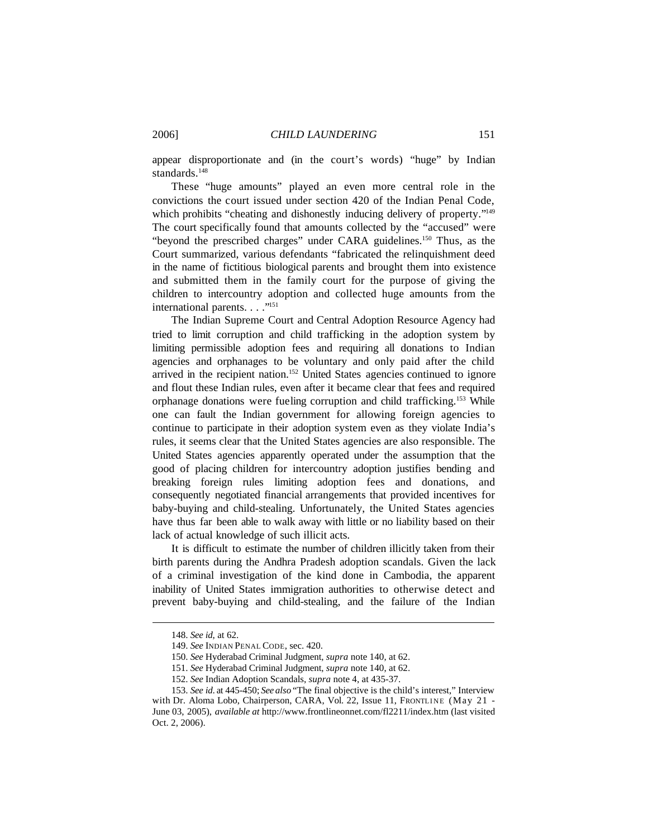appear disproportionate and (in the court's words) "huge" by Indian standards.<sup>148</sup>

These "huge amounts" played an even more central role in the convictions the court issued under section 420 of the Indian Penal Code, which prohibits "cheating and dishonestly inducing delivery of property."<sup>149</sup> The court specifically found that amounts collected by the "accused" were "beyond the prescribed charges" under CARA guidelines.<sup>150</sup> Thus, as the Court summarized, various defendants "fabricated the relinquishment deed in the name of fictitious biological parents and brought them into existence and submitted them in the family court for the purpose of giving the children to intercountry adoption and collected huge amounts from the international parents. . . . "<sup>151</sup>

The Indian Supreme Court and Central Adoption Resource Agency had tried to limit corruption and child trafficking in the adoption system by limiting permissible adoption fees and requiring all donations to Indian agencies and orphanages to be voluntary and only paid after the child arrived in the recipient nation.<sup>152</sup> United States agencies continued to ignore and flout these Indian rules, even after it became clear that fees and required orphanage donations were fueling corruption and child trafficking.<sup>153</sup> While one can fault the Indian government for allowing foreign agencies to continue to participate in their adoption system even as they violate India's rules, it seems clear that the United States agencies are also responsible. The United States agencies apparently operated under the assumption that the good of placing children for intercountry adoption justifies bending and breaking foreign rules limiting adoption fees and donations, and consequently negotiated financial arrangements that provided incentives for baby-buying and child-stealing. Unfortunately, the United States agencies have thus far been able to walk away with little or no liability based on their lack of actual knowledge of such illicit acts.

It is difficult to estimate the number of children illicitly taken from their birth parents during the Andhra Pradesh adoption scandals. Given the lack of a criminal investigation of the kind done in Cambodia, the apparent inability of United States immigration authorities to otherwise detect and prevent baby-buying and child-stealing, and the failure of the Indian

<sup>148.</sup> *See id*, at 62.

<sup>149.</sup> *See* INDIAN PENAL CODE, sec. 420.

<sup>150.</sup> *See* Hyderabad Criminal Judgment, *supra* note 140, at 62.

<sup>151.</sup> *See* Hyderabad Criminal Judgment, *supra* note 140, at 62.

<sup>152.</sup> *See* Indian Adoption Scandals, *supra* note 4, at 435-37.

<sup>153.</sup> *See id*. at 445-450; *See also* "The final objective is the child's interest," Interview with Dr. Aloma Lobo, Chairperson, CARA, Vol. 22, Issue 11, FRONTLINE (May 21 -June 03, 2005), *available at* http://www.frontlineonnet.com/fl2211/index.htm (last visited Oct. 2, 2006).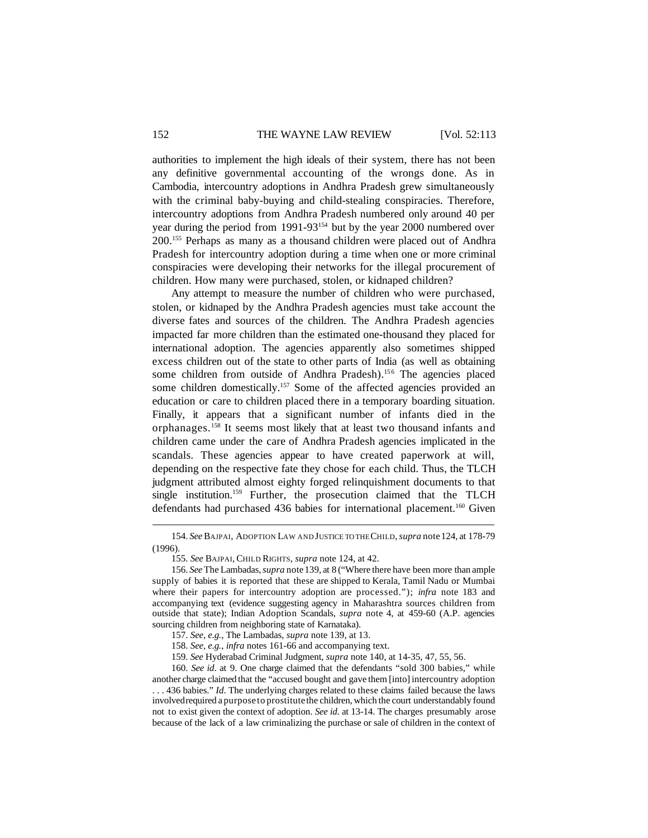authorities to implement the high ideals of their system, there has not been any definitive governmental accounting of the wrongs done. As in Cambodia, intercountry adoptions in Andhra Pradesh grew simultaneously with the criminal baby-buying and child-stealing conspiracies. Therefore, intercountry adoptions from Andhra Pradesh numbered only around 40 per year during the period from 1991-93<sup>154</sup> but by the year 2000 numbered over 200.<sup>155</sup> Perhaps as many as a thousand children were placed out of Andhra Pradesh for intercountry adoption during a time when one or more criminal conspiracies were developing their networks for the illegal procurement of children. How many were purchased, stolen, or kidnaped children?

Any attempt to measure the number of children who were purchased, stolen, or kidnaped by the Andhra Pradesh agencies must take account the diverse fates and sources of the children. The Andhra Pradesh agencies impacted far more children than the estimated one-thousand they placed for international adoption. The agencies apparently also sometimes shipped excess children out of the state to other parts of India (as well as obtaining some children from outside of Andhra Pradesh).<sup>156</sup> The agencies placed some children domestically.<sup>157</sup> Some of the affected agencies provided an education or care to children placed there in a temporary boarding situation. Finally, it appears that a significant number of infants died in the orphanages.<sup>158</sup> It seems most likely that at least two thousand infants and children came under the care of Andhra Pradesh agencies implicated in the scandals. These agencies appear to have created paperwork at will, depending on the respective fate they chose for each child. Thus, the TLCH judgment attributed almost eighty forged relinquishment documents to that single institution.<sup>159</sup> Further, the prosecution claimed that the TLCH defendants had purchased 436 babies for international placement.<sup>160</sup> Given

<sup>154.</sup> *See*BAJPAI, ADOPTION LAW AND JUSTICE TO THECHILD,*supra* note124, at 178-79 (1996).

<sup>155.</sup> *See* BAJPAI,CHILD RIGHTS, *supra* note 124, at 42.

<sup>156.</sup> *See*The Lambadas,*supra* note139, at 8 ("Where there have been more than ample supply of babies it is reported that these are shipped to Kerala, Tamil Nadu or Mumbai where their papers for intercountry adoption are processed."); *infra* note 183 and accompanying text (evidence suggesting agency in Maharashtra sources children from outside that state); Indian Adoption Scandals, *supra* note 4, at 459-60 (A.P. agencies sourcing children from neighboring state of Karnataka).

<sup>157.</sup> *See, e.g.*, The Lambadas, *supra* note 139, at 13.

<sup>158.</sup> *See, e.g.*, *infra* notes 161-66 and accompanying text.

<sup>159.</sup> *See* Hyderabad Criminal Judgment, *supra* note 140, at 14-35, 47, 55, 56.

<sup>160.</sup> *See id*. at 9. One charge claimed that the defendants "sold 300 babies," while another charge claimed that the "accused bought and gave them [into] intercountry adoption . . . 436 babies." *Id*. The underlying charges related to these claims failed because the laws involvedrequired a purpose to prostitute the children, which the court understandably found not to exist given the context of adoption. *See id*. at 13-14. The charges presumably arose because of the lack of a law criminalizing the purchase or sale of children in the context of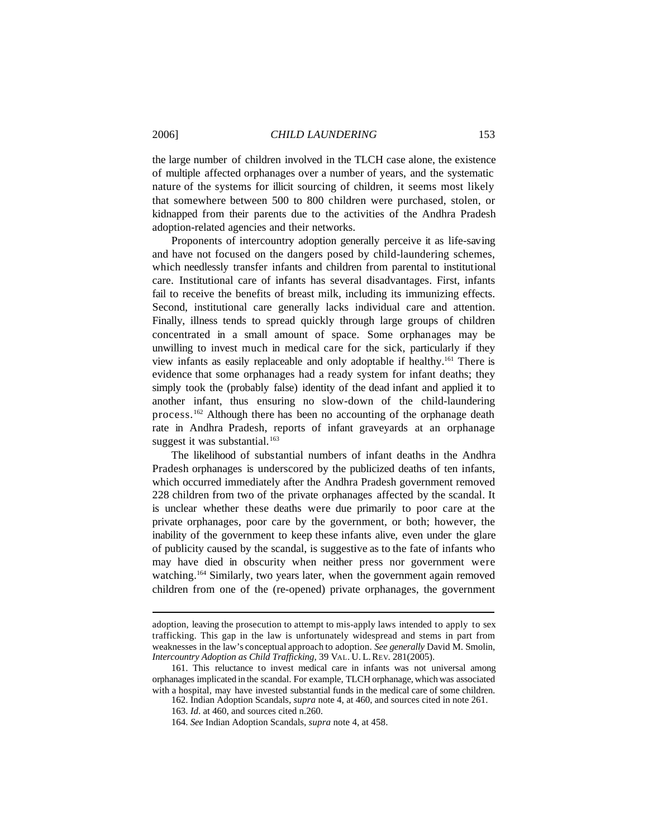the large number of children involved in the TLCH case alone, the existence of multiple affected orphanages over a number of years, and the systematic nature of the systems for illicit sourcing of children, it seems most likely that somewhere between 500 to 800 children were purchased, stolen, or kidnapped from their parents due to the activities of the Andhra Pradesh adoption-related agencies and their networks.

Proponents of intercountry adoption generally perceive it as life-saving and have not focused on the dangers posed by child-laundering schemes, which needlessly transfer infants and children from parental to institutional care. Institutional care of infants has several disadvantages. First, infants fail to receive the benefits of breast milk, including its immunizing effects. Second, institutional care generally lacks individual care and attention. Finally, illness tends to spread quickly through large groups of children concentrated in a small amount of space. Some orphanages may be unwilling to invest much in medical care for the sick, particularly if they view infants as easily replaceable and only adoptable if healthy.<sup>161</sup> There is evidence that some orphanages had a ready system for infant deaths; they simply took the (probably false) identity of the dead infant and applied it to another infant, thus ensuring no slow-down of the child-laundering process.<sup>162</sup> Although there has been no accounting of the orphanage death rate in Andhra Pradesh, reports of infant graveyards at an orphanage suggest it was substantial.<sup>163</sup>

The likelihood of substantial numbers of infant deaths in the Andhra Pradesh orphanages is underscored by the publicized deaths of ten infants, which occurred immediately after the Andhra Pradesh government removed 228 children from two of the private orphanages affected by the scandal. It is unclear whether these deaths were due primarily to poor care at the private orphanages, poor care by the government, or both; however, the inability of the government to keep these infants alive, even under the glare of publicity caused by the scandal, is suggestive as to the fate of infants who may have died in obscurity when neither press nor government were watching.<sup>164</sup> Similarly, two years later, when the government again removed children from one of the (re-opened) private orphanages, the government

adoption, leaving the prosecution to attempt to mis-apply laws intended to apply to sex trafficking. This gap in the law is unfortunately widespread and stems in part from weaknesses in the law's conceptual approach to adoption. *See generally* David M. Smolin, *Intercountry Adoption as Child Trafficking*, 39 VAL. U. L.REV. 281(2005).

<sup>161.</sup> This reluctance to invest medical care in infants was not universal among orphanages implicated in the scandal. For example, TLCH orphanage, which was associated with a hospital, may have invested substantial funds in the medical care of some children.

<sup>162.</sup> Indian Adoption Scandals, *supra* note 4, at 460, and sources cited in note 261.

<sup>163.</sup> *Id*. at 460, and sources cited n.260.

<sup>164.</sup> *See* Indian Adoption Scandals, *supra* note 4, at 458.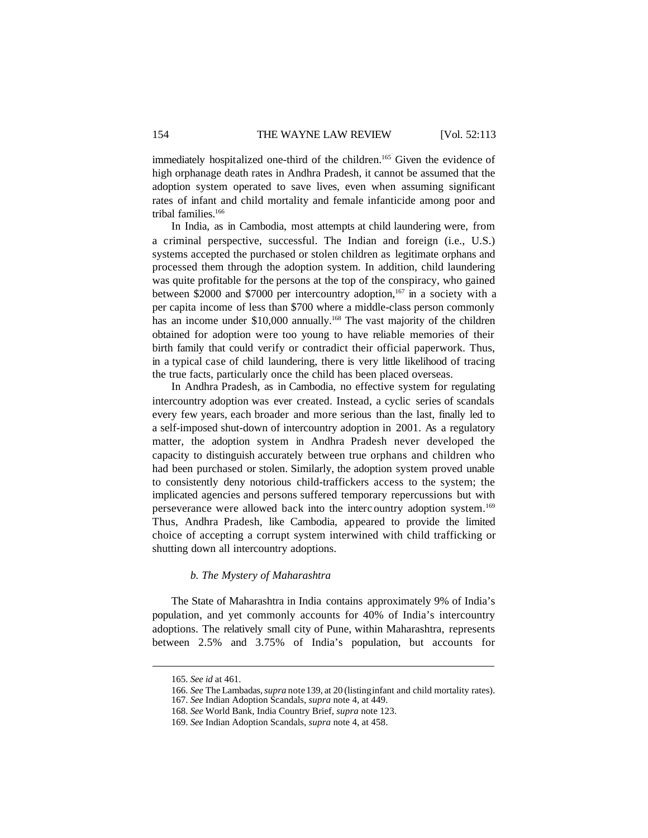immediately hospitalized one-third of the children.<sup>165</sup> Given the evidence of high orphanage death rates in Andhra Pradesh, it cannot be assumed that the adoption system operated to save lives, even when assuming significant rates of infant and child mortality and female infanticide among poor and tribal families.<sup>166</sup>

In India, as in Cambodia, most attempts at child laundering were, from a criminal perspective, successful. The Indian and foreign (i.e., U.S.) systems accepted the purchased or stolen children as legitimate orphans and processed them through the adoption system. In addition, child laundering was quite profitable for the persons at the top of the conspiracy, who gained between \$2000 and \$7000 per intercountry adoption,<sup>167</sup> in a society with a per capita income of less than \$700 where a middle-class person commonly has an income under \$10,000 annually.<sup>168</sup> The vast majority of the children obtained for adoption were too young to have reliable memories of their birth family that could verify or contradict their official paperwork. Thus, in a typical case of child laundering, there is very little likelihood of tracing the true facts, particularly once the child has been placed overseas.

In Andhra Pradesh, as in Cambodia, no effective system for regulating intercountry adoption was ever created. Instead, a cyclic series of scandals every few years, each broader and more serious than the last, finally led to a self-imposed shut-down of intercountry adoption in 2001. As a regulatory matter, the adoption system in Andhra Pradesh never developed the capacity to distinguish accurately between true orphans and children who had been purchased or stolen. Similarly, the adoption system proved unable to consistently deny notorious child-traffickers access to the system; the implicated agencies and persons suffered temporary repercussions but with perseverance were allowed back into the interc ountry adoption system.<sup>169</sup> Thus, Andhra Pradesh, like Cambodia, appeared to provide the limited choice of accepting a corrupt system interwined with child trafficking or shutting down all intercountry adoptions.

# *b. The Mystery of Maharashtra*

The State of Maharashtra in India contains approximately 9% of India's population, and yet commonly accounts for 40% of India's intercountry adoptions. The relatively small city of Pune, within Maharashtra, represents between 2.5% and 3.75% of India's population, but accounts for

<sup>165.</sup> *See id* at 461.

<sup>166.</sup> *See* The Lambadas,*supra* note139, at 20 (listinginfant and child mortality rates).

<sup>167.</sup> *See* Indian Adoption Scandals, *supra* note 4, at 449.

<sup>168.</sup> *See* World Bank, India Country Brief, *supra* note 123.

<sup>169.</sup> *See* Indian Adoption Scandals, *supra* note 4, at 458.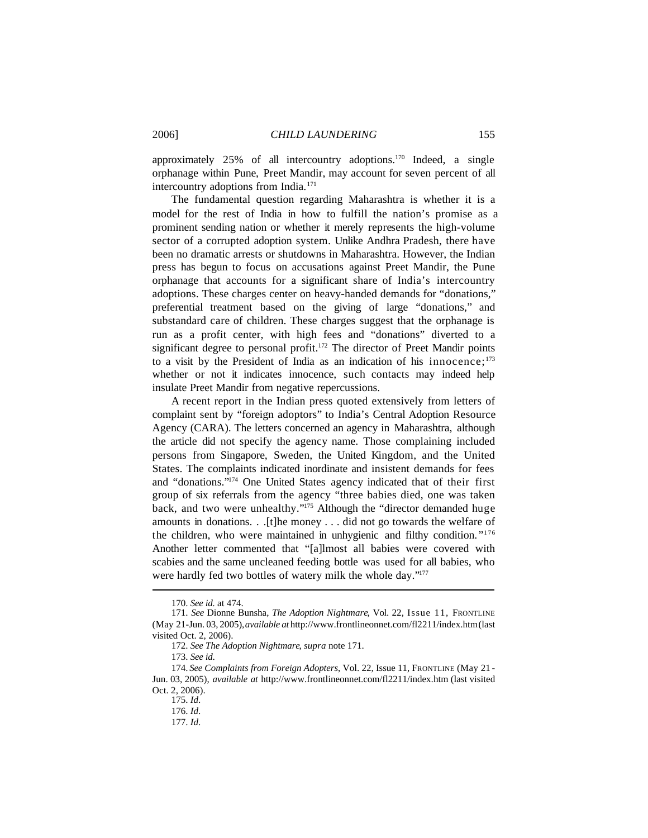approximately 25% of all intercountry adoptions.<sup>170</sup> Indeed, a single orphanage within Pune, Preet Mandir, may account for seven percent of all intercountry adoptions from India.<sup>171</sup>

The fundamental question regarding Maharashtra is whether it is a model for the rest of India in how to fulfill the nation's promise as a prominent sending nation or whether it merely represents the high-volume sector of a corrupted adoption system. Unlike Andhra Pradesh, there have been no dramatic arrests or shutdowns in Maharashtra. However, the Indian press has begun to focus on accusations against Preet Mandir, the Pune orphanage that accounts for a significant share of India's intercountry adoptions. These charges center on heavy-handed demands for "donations," preferential treatment based on the giving of large "donations," and substandard care of children. These charges suggest that the orphanage is run as a profit center, with high fees and "donations" diverted to a significant degree to personal profit.<sup>172</sup> The director of Preet Mandir points to a visit by the President of India as an indication of his innocence;  $173$ whether or not it indicates innocence, such contacts may indeed help insulate Preet Mandir from negative repercussions.

A recent report in the Indian press quoted extensively from letters of complaint sent by "foreign adoptors" to India's Central Adoption Resource Agency (CARA). The letters concerned an agency in Maharashtra, although the article did not specify the agency name. Those complaining included persons from Singapore, Sweden, the United Kingdom, and the United States. The complaints indicated inordinate and insistent demands for fees and "donations."<sup>174</sup> One United States agency indicated that of their first group of six referrals from the agency "three babies died, one was taken back, and two were unhealthy."<sup>175</sup> Although the "director demanded huge amounts in donations. . .[t]he money . . . did not go towards the welfare of the children, who were maintained in unhygienic and filthy condition."<sup>176</sup> Another letter commented that "[a]lmost all babies were covered with scabies and the same uncleaned feeding bottle was used for all babies, who were hardly fed two bottles of watery milk the whole day."177

<sup>170.</sup> *See id.* at 474.

<sup>171.</sup> *See* Dionne Bunsha, *The Adoption Nightmare*, Vol. 22, Issue 11, FRONTLINE (May 21-Jun. 03, 2005),*available at* http://www.frontlineonnet.com/fl2211/index.htm(last visited Oct. 2, 2006).

<sup>172.</sup> *See The Adoption Nightmare*, *supra* note 171.

<sup>173.</sup> *See id*.

<sup>174.</sup> *See Complaints from Foreign Adopters*, Vol. 22, Issue 11, FRONTLINE (May 21 - Jun. 03, 2005), *available at* http://www.frontlineonnet.com/fl2211/index.htm (last visited Oct. 2, 2006).

<sup>175.</sup> *Id*.

<sup>176.</sup> *Id*.

<sup>177.</sup> *Id*.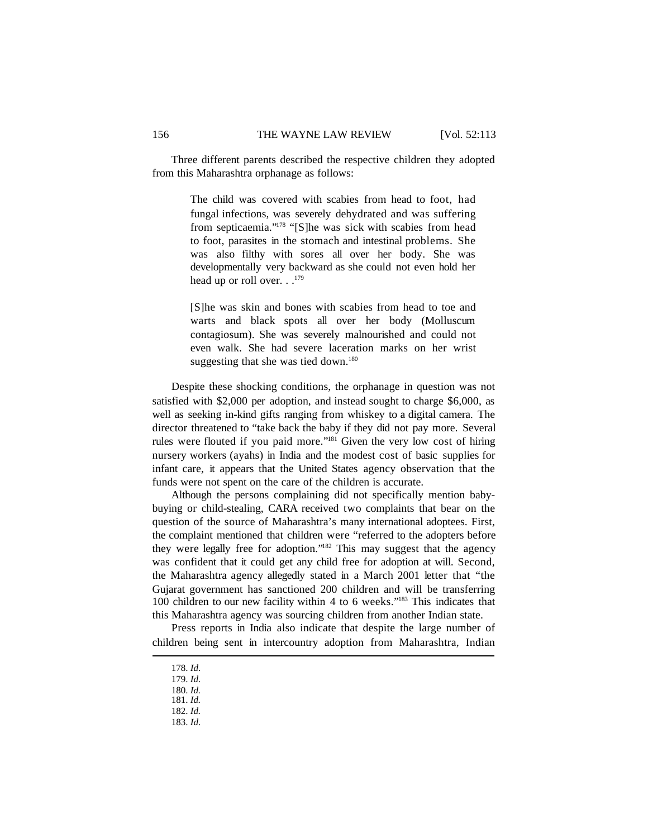Three different parents described the respective children they adopted from this Maharashtra orphanage as follows:

> The child was covered with scabies from head to foot, had fungal infections, was severely dehydrated and was suffering from septicaemia."<sup>178</sup> "[S]he was sick with scabies from head to foot, parasites in the stomach and intestinal problems. She was also filthy with sores all over her body. She was developmentally very backward as she could not even hold her head up or roll over. . .<sup>179</sup>

> [S]he was skin and bones with scabies from head to toe and warts and black spots all over her body (Molluscum contagiosum). She was severely malnourished and could not even walk. She had severe laceration marks on her wrist suggesting that she was tied down.<sup>180</sup>

Despite these shocking conditions, the orphanage in question was not satisfied with \$2,000 per adoption, and instead sought to charge \$6,000, as well as seeking in-kind gifts ranging from whiskey to a digital camera. The director threatened to "take back the baby if they did not pay more. Several rules were flouted if you paid more."<sup>181</sup> Given the very low cost of hiring nursery workers (ayahs) in India and the modest cost of basic supplies for infant care, it appears that the United States agency observation that the funds were not spent on the care of the children is accurate.

Although the persons complaining did not specifically mention babybuying or child-stealing, CARA received two complaints that bear on the question of the source of Maharashtra's many international adoptees. First, the complaint mentioned that children were "referred to the adopters before they were legally free for adoption."<sup>182</sup> This may suggest that the agency was confident that it could get any child free for adoption at will. Second, the Maharashtra agency allegedly stated in a March 2001 letter that "the Gujarat government has sanctioned 200 children and will be transferring 100 children to our new facility within 4 to 6 weeks."<sup>183</sup> This indicates that this Maharashtra agency was sourcing children from another Indian state.

Press reports in India also indicate that despite the large number of children being sent in intercountry adoption from Maharashtra, Indian

<sup>178.</sup> *Id*.

<sup>179.</sup> *Id*.

<sup>180.</sup> *Id.*

<sup>181.</sup> *Id.*

<sup>182.</sup> *Id.*

<sup>183.</sup> *Id*.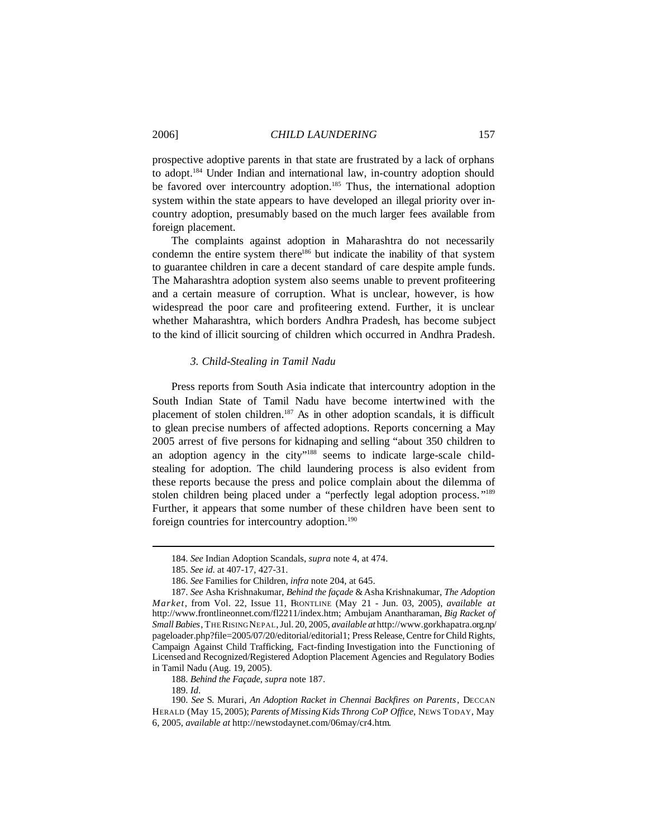prospective adoptive parents in that state are frustrated by a lack of orphans to adopt.<sup>184</sup> Under Indian and international law, in-country adoption should be favored over intercountry adoption.<sup>185</sup> Thus, the international adoption system within the state appears to have developed an illegal priority over incountry adoption, presumably based on the much larger fees available from foreign placement.

The complaints against adoption in Maharashtra do not necessarily condemn the entire system there<sup>186</sup> but indicate the inability of that system to guarantee children in care a decent standard of care despite ample funds. The Maharashtra adoption system also seems unable to prevent profiteering and a certain measure of corruption. What is unclear, however, is how widespread the poor care and profiteering extend. Further, it is unclear whether Maharashtra, which borders Andhra Pradesh, has become subject to the kind of illicit sourcing of children which occurred in Andhra Pradesh.

## *3. Child-Stealing in Tamil Nadu*

Press reports from South Asia indicate that intercountry adoption in the South Indian State of Tamil Nadu have become intertwined with the placement of stolen children.<sup>187</sup> As in other adoption scandals, it is difficult to glean precise numbers of affected adoptions. Reports concerning a May 2005 arrest of five persons for kidnaping and selling "about 350 children to an adoption agency in the city"<sup>188</sup> seems to indicate large-scale childstealing for adoption. The child laundering process is also evident from these reports because the press and police complain about the dilemma of stolen children being placed under a "perfectly legal adoption process."<sup>189</sup> Further, it appears that some number of these children have been sent to foreign countries for intercountry adoption.<sup>190</sup>

188. *Behind the Façade*, *supra* note 187.

189. *Id*.

<sup>184.</sup> *See* Indian Adoption Scandals, *supra* note 4, at 474.

<sup>185.</sup> *See id*. at 407-17, 427-31.

<sup>186.</sup> *See* Families for Children, *infra* note 204, at 645.

<sup>187.</sup> *See* Asha Krishnakumar, *Behind the façade* &Asha Krishnakumar, *The Adoption Market*, from Vol. 22, Issue 11, FRONTLINE (May 21 - Jun. 03, 2005), *available at* http://www.frontlineonnet.com/fl2211/index.htm; Ambujam Anantharaman, *Big Racket of Small Babies*, THERISINGNEPAL,Jul. 20, 2005, *available at* http://www.gorkhapatra.org.np/ pageloader.php?file=2005/07/20/editorial/editorial1; Press Release, Centre for Child Rights, Campaign Against Child Trafficking, Fact-finding Investigation into the Functioning of Licensed and Recognized/Registered Adoption Placement Agencies and Regulatory Bodies in Tamil Nadu (Aug. 19, 2005).

<sup>190.</sup> *See* S. Murari, *An Adoption Racket in Chennai Backfires on Parents*, DECCAN HERALD (May 15, 2005); *Parents of MissingKids Throng CoP Office*, NEWS TODAY, May 6, 2005, *available at* http://newstodaynet.com/06may/cr4.htm.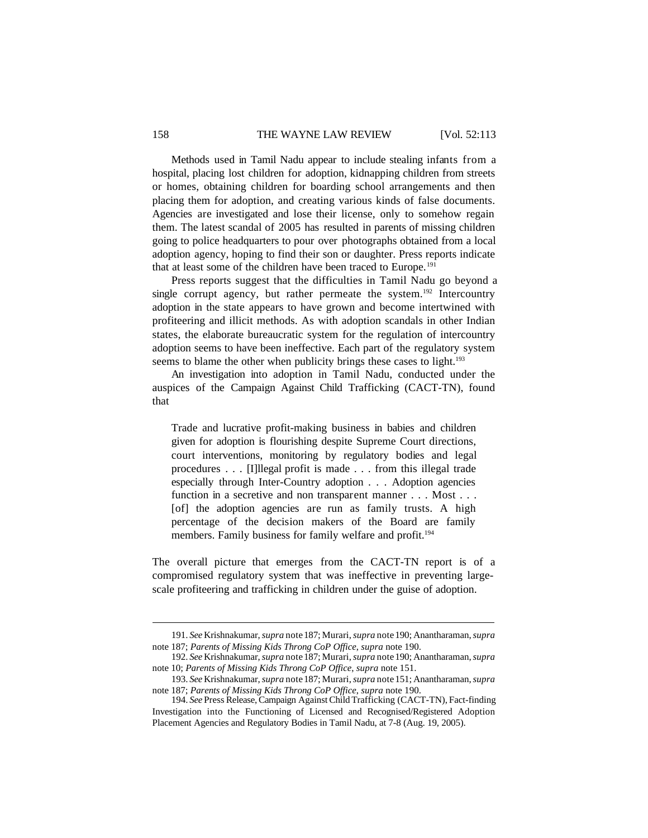## 158 THE WAYNE LAW REVIEW [Vol. 52:113

Methods used in Tamil Nadu appear to include stealing infants from a hospital, placing lost children for adoption, kidnapping children from streets or homes, obtaining children for boarding school arrangements and then placing them for adoption, and creating various kinds of false documents. Agencies are investigated and lose their license, only to somehow regain them. The latest scandal of 2005 has resulted in parents of missing children going to police headquarters to pour over photographs obtained from a local adoption agency, hoping to find their son or daughter. Press reports indicate that at least some of the children have been traced to Europe.<sup>191</sup>

Press reports suggest that the difficulties in Tamil Nadu go beyond a single corrupt agency, but rather permeate the system.<sup>192</sup> Intercountry adoption in the state appears to have grown and become intertwined with profiteering and illicit methods. As with adoption scandals in other Indian states, the elaborate bureaucratic system for the regulation of intercountry adoption seems to have been ineffective. Each part of the regulatory system seems to blame the other when publicity brings these cases to light.<sup>193</sup>

An investigation into adoption in Tamil Nadu, conducted under the auspices of the Campaign Against Child Trafficking (CACT-TN), found that

Trade and lucrative profit-making business in babies and children given for adoption is flourishing despite Supreme Court directions, court interventions, monitoring by regulatory bodies and legal procedures . . . [I]llegal profit is made . . . from this illegal trade especially through Inter-Country adoption . . . Adoption agencies function in a secretive and non transparent manner . . . Most . . . [of] the adoption agencies are run as family trusts. A high percentage of the decision makers of the Board are family members. Family business for family welfare and profit.<sup>194</sup>

The overall picture that emerges from the CACT-TN report is of a compromised regulatory system that was ineffective in preventing largescale profiteering and trafficking in children under the guise of adoption.

<sup>191.</sup> *See* Krishnakumar,*supra* note187; Murari,*supra* note190; Anantharaman,*supra* note 187; *Parents of Missing Kids Throng CoP Office*, *supra* note 190.

<sup>192.</sup> *See* Krishnakumar,*supra* note187; Murari,*supra* note190; Anantharaman,*supra* note 10; *Parents of Missing Kids Throng CoP Office*, *supra* note 151.

<sup>193.</sup> *See* Krishnakumar,*supra* note187; Murari,*supra* note151; Anantharaman,*supra* note 187; *Parents of Missing Kids Throng CoP Office*, *supra* note 190.

<sup>194.</sup> *See* Press Release,Campaign AgainstChild Trafficking (CACT-TN), Fact-finding Investigation into the Functioning of Licensed and Recognised/Registered Adoption Placement Agencies and Regulatory Bodies in Tamil Nadu, at 7-8 (Aug. 19, 2005).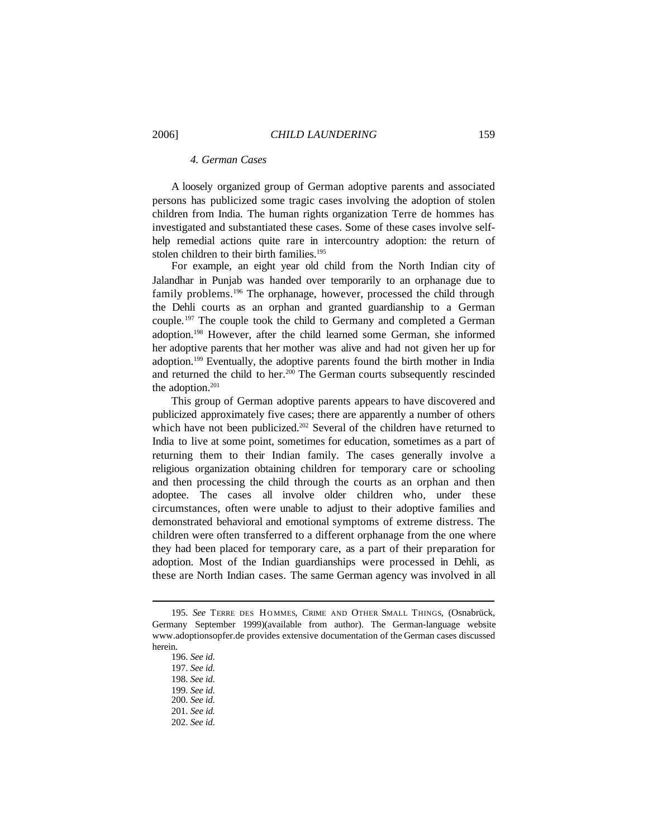# *4. German Cases*

A loosely organized group of German adoptive parents and associated persons has publicized some tragic cases involving the adoption of stolen children from India. The human rights organization Terre de hommes has investigated and substantiated these cases. Some of these cases involve selfhelp remedial actions quite rare in intercountry adoption: the return of stolen children to their birth families.<sup>195</sup>

For example, an eight year old child from the North Indian city of Jalandhar in Punjab was handed over temporarily to an orphanage due to family problems.<sup>196</sup> The orphanage, however, processed the child through the Dehli courts as an orphan and granted guardianship to a German couple.<sup>197</sup> The couple took the child to Germany and completed a German adoption.<sup>198</sup> However, after the child learned some German, she informed her adoptive parents that her mother was alive and had not given her up for adoption.<sup>199</sup> Eventually, the adoptive parents found the birth mother in India and returned the child to her.<sup>200</sup> The German courts subsequently rescinded the adoption.<sup>201</sup>

This group of German adoptive parents appears to have discovered and publicized approximately five cases; there are apparently a number of others which have not been publicized.<sup>202</sup> Several of the children have returned to India to live at some point, sometimes for education, sometimes as a part of returning them to their Indian family. The cases generally involve a religious organization obtaining children for temporary care or schooling and then processing the child through the courts as an orphan and then adoptee. The cases all involve older children who, under these circumstances, often were unable to adjust to their adoptive families and demonstrated behavioral and emotional symptoms of extreme distress. The children were often transferred to a different orphanage from the one where they had been placed for temporary care, as a part of their preparation for adoption. Most of the Indian guardianships were processed in Dehli, as these are North Indian cases. The same German agency was involved in all

<sup>195.</sup> See TERRE DES HOMMES, CRIME AND OTHER SMALL THINGS, (Osnabrück, Germany September 1999)(available from author). The German-language website www.adoptionsopfer.de provides extensive documentation of the German cases discussed herein.

<sup>196.</sup> *See id*.

<sup>197.</sup> *See id*.

<sup>198.</sup> *See id*.

<sup>199.</sup> *See id*.

<sup>200.</sup> *See id*.

<sup>201.</sup> *See id.*

<sup>202.</sup> *See id*.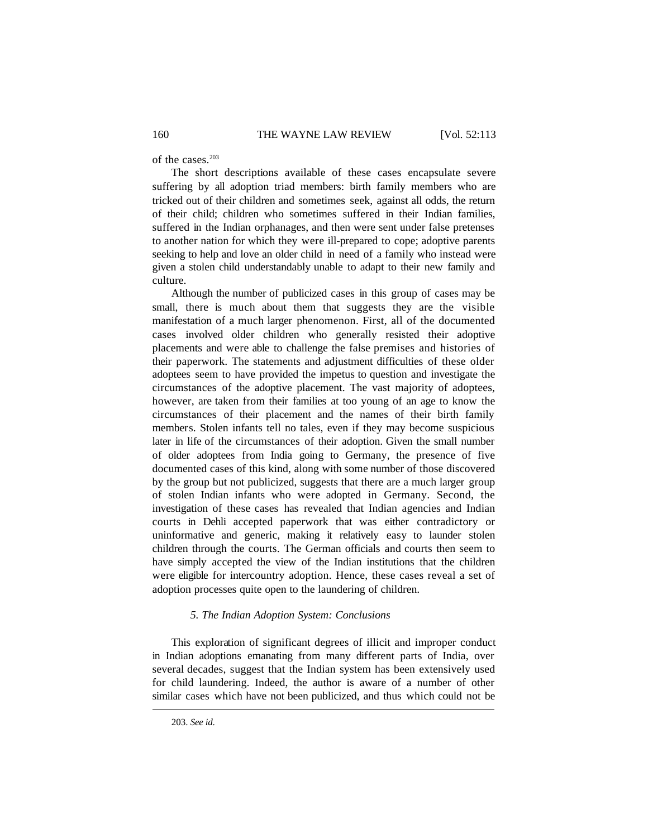of the cases.<sup>203</sup>

The short descriptions available of these cases encapsulate severe suffering by all adoption triad members: birth family members who are tricked out of their children and sometimes seek, against all odds, the return of their child; children who sometimes suffered in their Indian families, suffered in the Indian orphanages, and then were sent under false pretenses to another nation for which they were ill-prepared to cope; adoptive parents seeking to help and love an older child in need of a family who instead were given a stolen child understandably unable to adapt to their new family and culture.

Although the number of publicized cases in this group of cases may be small, there is much about them that suggests they are the visible manifestation of a much larger phenomenon. First, all of the documented cases involved older children who generally resisted their adoptive placements and were able to challenge the false premises and histories of their paperwork. The statements and adjustment difficulties of these older adoptees seem to have provided the impetus to question and investigate the circumstances of the adoptive placement. The vast majority of adoptees, however, are taken from their families at too young of an age to know the circumstances of their placement and the names of their birth family members. Stolen infants tell no tales, even if they may become suspicious later in life of the circumstances of their adoption. Given the small number of older adoptees from India going to Germany, the presence of five documented cases of this kind, along with some number of those discovered by the group but not publicized, suggests that there are a much larger group of stolen Indian infants who were adopted in Germany. Second, the investigation of these cases has revealed that Indian agencies and Indian courts in Dehli accepted paperwork that was either contradictory or uninformative and generic, making it relatively easy to launder stolen children through the courts. The German officials and courts then seem to have simply accepted the view of the Indian institutions that the children were eligible for intercountry adoption. Hence, these cases reveal a set of adoption processes quite open to the laundering of children.

#### *5. The Indian Adoption System: Conclusions*

This exploration of significant degrees of illicit and improper conduct in Indian adoptions emanating from many different parts of India, over several decades, suggest that the Indian system has been extensively used for child laundering. Indeed, the author is aware of a number of other similar cases which have not been publicized, and thus which could not be

<sup>203.</sup> *See id*.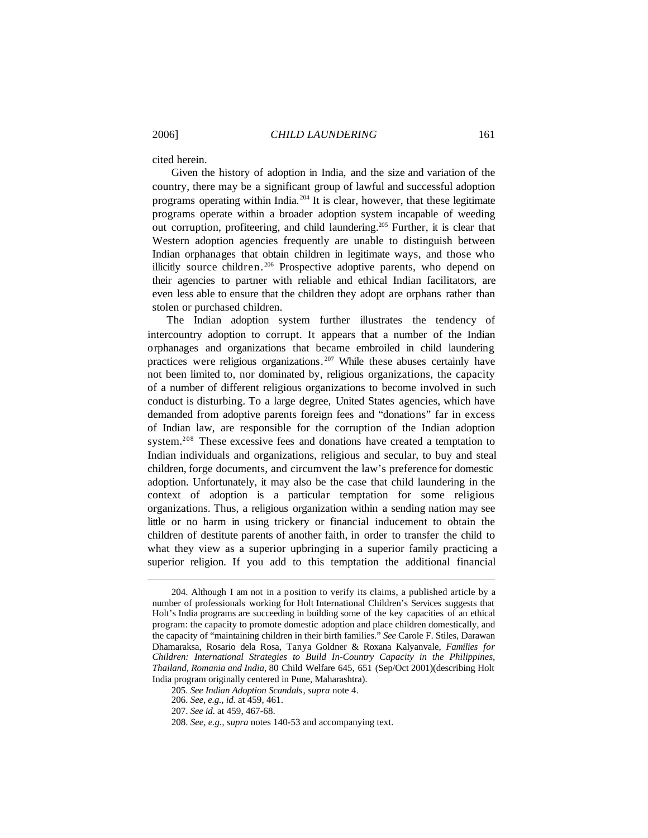cited herein.

Given the history of adoption in India, and the size and variation of the country, there may be a significant group of lawful and successful adoption programs operating within India.<sup>204</sup> It is clear, however, that these legitimate programs operate within a broader adoption system incapable of weeding out corruption, profiteering, and child laundering.<sup>205</sup> Further, it is clear that Western adoption agencies frequently are unable to distinguish between Indian orphanages that obtain children in legitimate ways, and those who illicitly source children. <sup>206</sup> Prospective adoptive parents, who depend on their agencies to partner with reliable and ethical Indian facilitators, are even less able to ensure that the children they adopt are orphans rather than stolen or purchased children.

The Indian adoption system further illustrates the tendency of intercountry adoption to corrupt. It appears that a number of the Indian orphanages and organizations that became embroiled in child laundering practices were religious organizations. <sup>207</sup> While these abuses certainly have not been limited to, nor dominated by, religious organizations, the capacity of a number of different religious organizations to become involved in such conduct is disturbing. To a large degree, United States agencies, which have demanded from adoptive parents foreign fees and "donations" far in excess of Indian law, are responsible for the corruption of the Indian adoption system.<sup>208</sup> These excessive fees and donations have created a temptation to Indian individuals and organizations, religious and secular, to buy and steal children, forge documents, and circumvent the law's preference for domestic adoption. Unfortunately, it may also be the case that child laundering in the context of adoption is a particular temptation for some religious organizations. Thus, a religious organization within a sending nation may see little or no harm in using trickery or financial inducement to obtain the children of destitute parents of another faith, in order to transfer the child to what they view as a superior upbringing in a superior family practicing a superior religion. If you add to this temptation the additional financial

<sup>204.</sup> Although I am not in a position to verify its claims, a published article by a number of professionals working for Holt International Children's Services suggests that Holt's India programs are succeeding in building some of the key capacities of an ethical program: the capacity to promote domestic adoption and place children domestically, and the capacity of "maintaining children in their birth families." *See* Carole F. Stiles, Darawan Dhamaraksa, Rosario dela Rosa, Tanya Goldner & Roxana Kalyanvale, *Families for Children: International Strategies to Build In-Country Capacity in the Philippines, Thailand, Romania and India*, 80 Child Welfare 645, 651 (Sep/Oct 2001)(describing Holt India program originally centered in Pune, Maharashtra).

<sup>205.</sup> *See Indian Adoption Scandals*, *supra* note 4.

<sup>206.</sup> *See, e.g., id.* at 459, 461.

<sup>207.</sup> *See id*. at 459, 467-68.

<sup>208.</sup> *See, e.g., supra* notes 140-53 and accompanying text.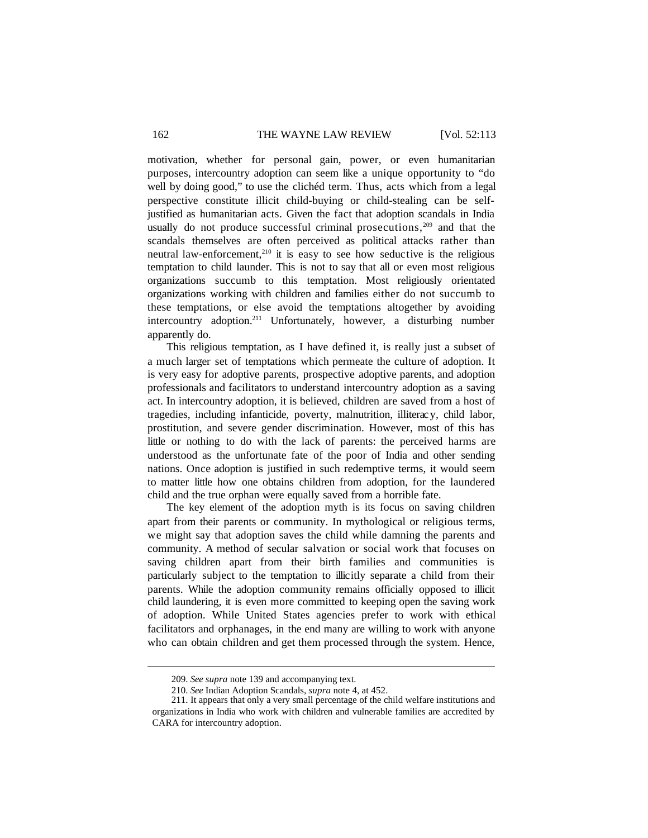## 162 THE WAYNE LAW REVIEW [Vol. 52:113

motivation, whether for personal gain, power, or even humanitarian purposes, intercountry adoption can seem like a unique opportunity to "do well by doing good," to use the clichéd term. Thus, acts which from a legal perspective constitute illicit child-buying or child-stealing can be selfjustified as humanitarian acts. Given the fact that adoption scandals in India usually do not produce successful criminal prosecutions, $209$  and that the scandals themselves are often perceived as political attacks rather than neutral law-enforcement.<sup>210</sup> it is easy to see how seductive is the religious temptation to child launder. This is not to say that all or even most religious organizations succumb to this temptation. Most religiously orientated organizations working with children and families either do not succumb to these temptations, or else avoid the temptations altogether by avoiding intercountry adoption.<sup>211</sup> Unfortunately, however, a disturbing number apparently do.

This religious temptation, as I have defined it, is really just a subset of a much larger set of temptations which permeate the culture of adoption. It is very easy for adoptive parents, prospective adoptive parents, and adoption professionals and facilitators to understand intercountry adoption as a saving act. In intercountry adoption, it is believed, children are saved from a host of tragedies, including infanticide, poverty, malnutrition, illiterac y, child labor, prostitution, and severe gender discrimination. However, most of this has little or nothing to do with the lack of parents: the perceived harms are understood as the unfortunate fate of the poor of India and other sending nations. Once adoption is justified in such redemptive terms, it would seem to matter little how one obtains children from adoption, for the laundered child and the true orphan were equally saved from a horrible fate.

The key element of the adoption myth is its focus on saving children apart from their parents or community. In mythological or religious terms, we might say that adoption saves the child while damning the parents and community. A method of secular salvation or social work that focuses on saving children apart from their birth families and communities is particularly subject to the temptation to illicitly separate a child from their parents. While the adoption community remains officially opposed to illicit child laundering, it is even more committed to keeping open the saving work of adoption. While United States agencies prefer to work with ethical facilitators and orphanages, in the end many are willing to work with anyone who can obtain children and get them processed through the system. Hence,

<sup>209.</sup> *See supra* note 139 and accompanying text.

<sup>210.</sup> *See* Indian Adoption Scandals, *supra* note 4, at 452.

<sup>211.</sup> It appears that only a very small percentage of the child welfare institutions and organizations in India who work with children and vulnerable families are accredited by CARA for intercountry adoption.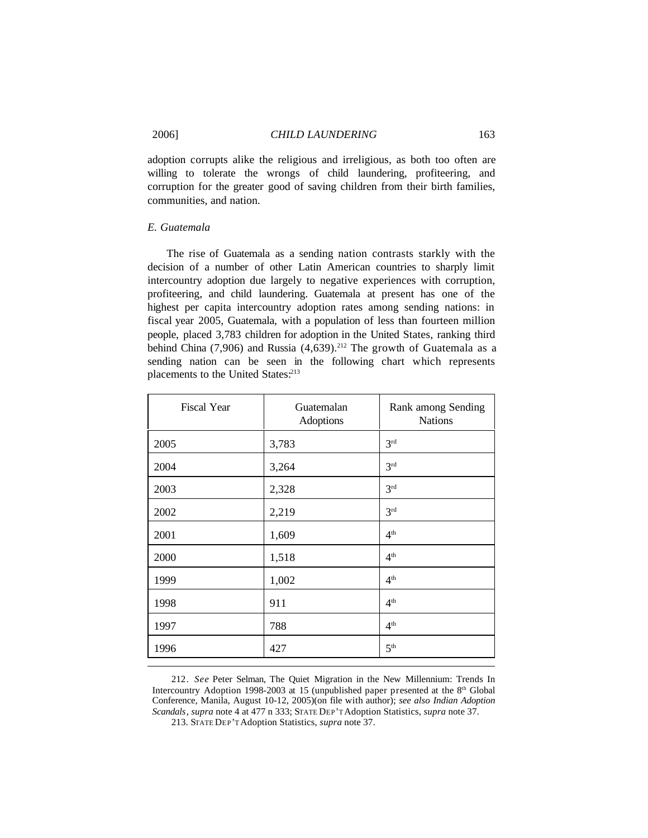adoption corrupts alike the religious and irreligious, as both too often are willing to tolerate the wrongs of child laundering, profiteering, and corruption for the greater good of saving children from their birth families, communities, and nation.

# *E. Guatemala*

The rise of Guatemala as a sending nation contrasts starkly with the decision of a number of other Latin American countries to sharply limit intercountry adoption due largely to negative experiences with corruption, profiteering, and child laundering. Guatemala at present has one of the highest per capita intercountry adoption rates among sending nations: in fiscal year 2005, Guatemala, with a population of less than fourteen million people, placed 3,783 children for adoption in the United States, ranking third behind China  $(7,906)$  and Russia  $(4,639)$ .<sup>212</sup> The growth of Guatemala as a sending nation can be seen in the following chart which represents placements to the United States:<sup>213</sup>

| <b>Fiscal Year</b> | Guatemalan<br>Adoptions | Rank among Sending<br><b>Nations</b> |
|--------------------|-------------------------|--------------------------------------|
| 2005               | 3,783                   | 3 <sup>rd</sup>                      |
| 2004               | 3,264                   | 3 <sup>rd</sup>                      |
| 2003               | 2,328                   | 3 <sup>rd</sup>                      |
| 2002               | 2,219                   | 3 <sup>rd</sup>                      |
| 2001               | 1,609                   | 4 <sup>th</sup>                      |
| 2000               | 1,518                   | 4 <sup>th</sup>                      |
| 1999               | 1,002                   | 4 <sup>th</sup>                      |
| 1998               | 911                     | 4 <sup>th</sup>                      |
| 1997               | 788                     | 4 <sup>th</sup>                      |
| 1996               | 427                     | 5 <sup>th</sup>                      |

212. *See* Peter Selman, The Quiet Migration in the New Millennium: Trends In Intercountry Adoption 1998-2003 at 15 (unpublished paper presented at the  $8<sup>th</sup>$  Global Conference, Manila, August 10-12, 2005)(on file with author); *see also Indian Adoption Scandals*, *supra* note 4 at 477 n 333; STATE DEP'T Adoption Statistics, *supra* note 37.

213. STATE DEP'T Adoption Statistics, *supra* note 37.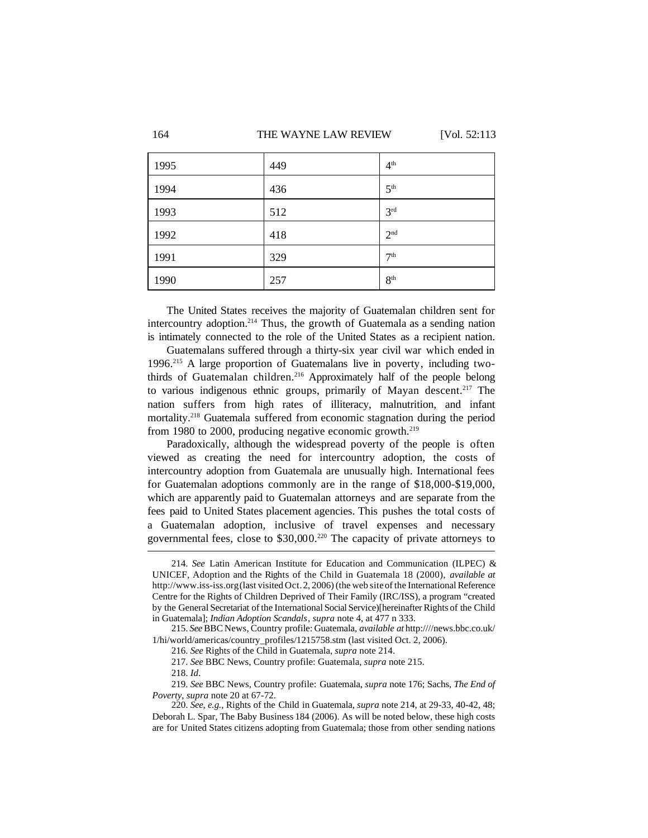## 164 THE WAYNE LAW REVIEW [Vol. 52:113

| 1995 | 449 | 4 <sup>th</sup> |
|------|-----|-----------------|
| 1994 | 436 | 5 <sup>th</sup> |
| 1993 | 512 | 3 <sup>rd</sup> |
| 1992 | 418 | 2 <sup>nd</sup> |
| 1991 | 329 | 7 <sup>th</sup> |
| 1990 | 257 | 8 <sup>th</sup> |

The United States receives the majority of Guatemalan children sent for intercountry adoption.<sup>214</sup> Thus, the growth of Guatemala as a sending nation is intimately connected to the role of the United States as a recipient nation.

Guatemalans suffered through a thirty-six year civil war which ended in 1996.<sup>215</sup> A large proportion of Guatemalans live in poverty, including twothirds of Guatemalan children.<sup>216</sup> Approximately half of the people belong to various indigenous ethnic groups, primarily of Mayan descent.<sup>217</sup> The nation suffers from high rates of illiteracy, malnutrition, and infant mortality.<sup>218</sup> Guatemala suffered from economic stagnation during the period from 1980 to 2000, producing negative economic growth.<sup>219</sup>

Paradoxically, although the widespread poverty of the people is often viewed as creating the need for intercountry adoption, the costs of intercountry adoption from Guatemala are unusually high. International fees for Guatemalan adoptions commonly are in the range of \$18,000-\$19,000, which are apparently paid to Guatemalan attorneys and are separate from the fees paid to United States placement agencies. This pushes the total costs of a Guatemalan adoption, inclusive of travel expenses and necessary governmental fees, close to \$30,000.<sup>220</sup> The capacity of private attorneys to

<sup>214.</sup> *See* Latin American Institute for Education and Communication (ILPEC) & UNICEF, Adoption and the Rights of the Child in Guatemala 18 (2000), *available at* http://www.iss-iss.org (last visited Oct.2, 2006) (the web site of the International Reference Centre for the Rights of Children Deprived of Their Family (IRC/ISS), a program "created by the General Secretariat of the International Social Service)[hereinafter Rights of the Child in Guatemala]; *Indian Adoption Scandals*, *supra* note 4, at 477 n 333.

<sup>215.</sup> *See*BBC News, Country profile: Guatemala, *available at* http:////news.bbc.co.uk/ 1/hi/world/americas/country\_profiles/1215758.stm (last visited Oct. 2, 2006).

<sup>216.</sup> *See* Rights of the Child in Guatemala, *supra* note 214.

<sup>217.</sup> *See* BBC News, Country profile: Guatemala, *supra* note 215.

<sup>218.</sup> *Id*.

<sup>219.</sup> *See* BBC News, Country profile: Guatemala, *supra* note 176; Sachs, *The End of Poverty*, *supra* note 20 at 67-72.

<sup>220.</sup> *See*, *e.g.*, Rights of the Child in Guatemala, *supra* note 214, at 29-33, 40-42, 48; Deborah L. Spar, The Baby Business 184 (2006). As will be noted below, these high costs are for United States citizens adopting from Guatemala; those from other sending nations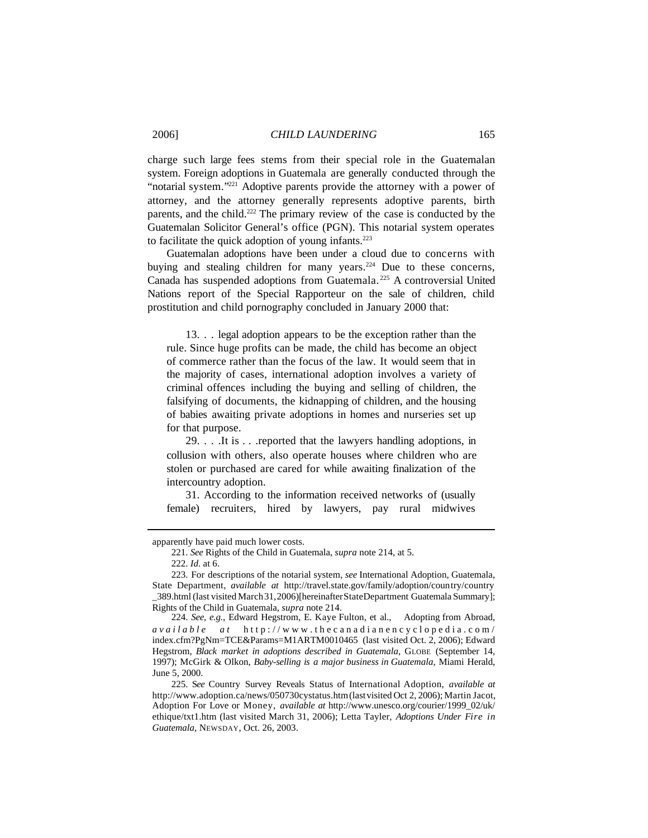charge such large fees stems from their special role in the Guatemalan system. Foreign adoptions in Guatemala are generally conducted through the "notarial system."<sup>221</sup> Adoptive parents provide the attorney with a power of attorney, and the attorney generally represents adoptive parents, birth parents, and the child.<sup>222</sup> The primary review of the case is conducted by the Guatemalan Solicitor General's office (PGN). This notarial system operates to facilitate the quick adoption of young infants. $223$ 

Guatemalan adoptions have been under a cloud due to concerns with buying and stealing children for many years.<sup>224</sup> Due to these concerns, Canada has suspended adoptions from Guatemala. <sup>225</sup> A controversial United Nations report of the Special Rapporteur on the sale of children, child prostitution and child pornography concluded in January 2000 that:

13. . . legal adoption appears to be the exception rather than the rule. Since huge profits can be made, the child has become an object of commerce rather than the focus of the law. It would seem that in the majority of cases, international adoption involves a variety of criminal offences including the buying and selling of children, the falsifying of documents, the kidnapping of children, and the housing of babies awaiting private adoptions in homes and nurseries set up for that purpose.

29. . . .It is . . .reported that the lawyers handling adoptions, in collusion with others, also operate houses where children who are stolen or purchased are cared for while awaiting finalization of the intercountry adoption.

31. According to the information received networks of (usually female) recruiters, hired by lawyers, pay rural midwives

apparently have paid much lower costs.

<sup>221.</sup> *See* Rights of the Child in Guatemala, *supra* note 214, at 5.

<sup>222.</sup> *Id*. at 6.

<sup>223.</sup> For descriptions of the notarial system, *see* International Adoption, Guatemala, State Department, *available at* http://travel.state.gov/family/adoption/country/country \_389.html(last visited March31,2006)[hereinafterStateDepartment Guatemala Summary]; Rights of the Child in Guatemala, *supra* note 214.

<sup>224.</sup> *See*, *e.g.*, Edward Hegstrom, E. Kaye Fulton, et al., Adopting from Abroad, *available at* http://www.thecanadianencyclopedia.com/ index.cfm?PgNm=TCE&Params=M1ARTM0010465 (last visited Oct. 2, 2006); Edward Hegstrom, *Black market in adoptions described in Guatemala*, GLOBE (September 14, 1997); McGirk & Olkon, *Baby-selling is a major business in Guatemala,* Miami Herald, June 5, 2000.

<sup>225.</sup> S*ee* Country Survey Reveals Status of International Adoption, *available at* http://www.adoption.ca/news/050730cystatus.htm(lastvisited Oct 2, 2006); Martin Jacot, Adoption For Love or Money, *available at* http://www.unesco.org/courier/1999\_02/uk/ ethique/txt1.htm (last visited March 31, 2006); Letta Tayler, *Adoptions Under Fire in Guatemala*, NEWSDAY, Oct. 26, 2003.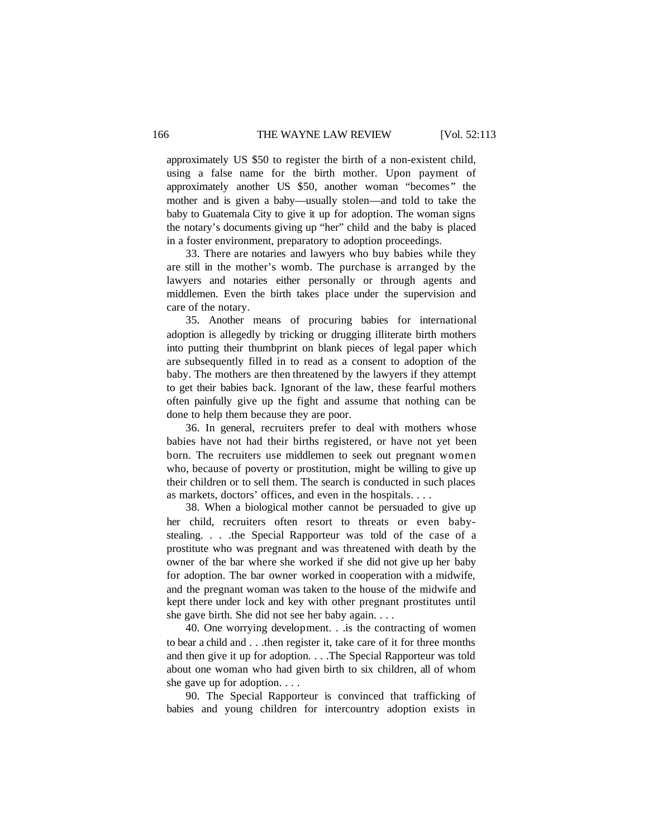approximately US \$50 to register the birth of a non-existent child, using a false name for the birth mother. Upon payment of approximately another US \$50, another woman "becomes" the mother and is given a baby—usually stolen—and told to take the baby to Guatemala City to give it up for adoption. The woman signs the notary's documents giving up "her" child and the baby is placed in a foster environment, preparatory to adoption proceedings.

33. There are notaries and lawyers who buy babies while they are still in the mother's womb. The purchase is arranged by the lawyers and notaries either personally or through agents and middlemen. Even the birth takes place under the supervision and care of the notary.

35. Another means of procuring babies for international adoption is allegedly by tricking or drugging illiterate birth mothers into putting their thumbprint on blank pieces of legal paper which are subsequently filled in to read as a consent to adoption of the baby. The mothers are then threatened by the lawyers if they attempt to get their babies back. Ignorant of the law, these fearful mothers often painfully give up the fight and assume that nothing can be done to help them because they are poor.

36. In general, recruiters prefer to deal with mothers whose babies have not had their births registered, or have not yet been born. The recruiters use middlemen to seek out pregnant women who, because of poverty or prostitution, might be willing to give up their children or to sell them. The search is conducted in such places as markets, doctors' offices, and even in the hospitals. . . .

38. When a biological mother cannot be persuaded to give up her child, recruiters often resort to threats or even babystealing. . . .the Special Rapporteur was told of the case of a prostitute who was pregnant and was threatened with death by the owner of the bar where she worked if she did not give up her baby for adoption. The bar owner worked in cooperation with a midwife, and the pregnant woman was taken to the house of the midwife and kept there under lock and key with other pregnant prostitutes until she gave birth. She did not see her baby again. . . .

40. One worrying development. . .is the contracting of women to bear a child and . . .then register it, take care of it for three months and then give it up for adoption. . . .The Special Rapporteur was told about one woman who had given birth to six children, all of whom she gave up for adoption. . . .

90. The Special Rapporteur is convinced that trafficking of babies and young children for intercountry adoption exists in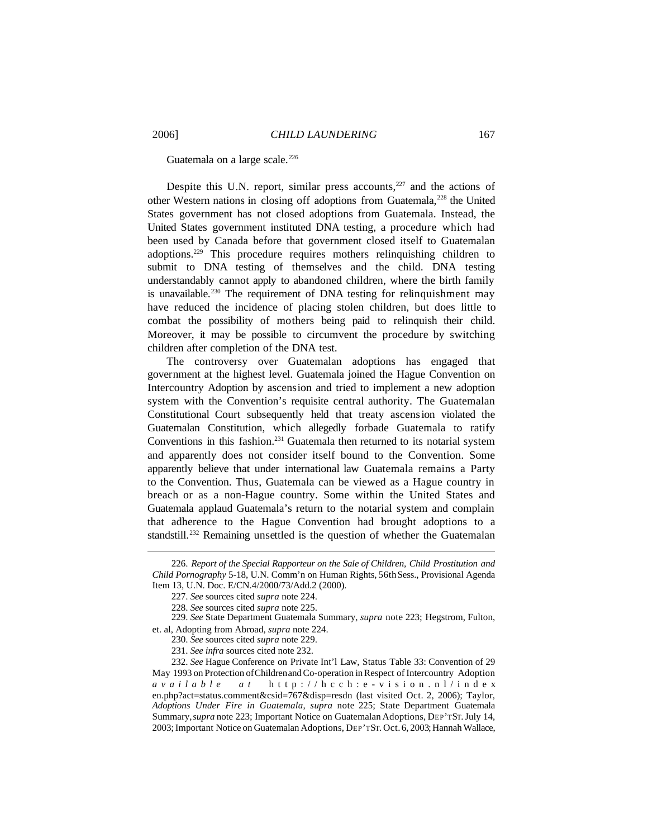Guatemala on a large scale.<sup>226</sup>

Despite this U.N. report, similar press accounts, $227$  and the actions of other Western nations in closing off adoptions from Guatemala,<sup>228</sup> the United States government has not closed adoptions from Guatemala. Instead, the United States government instituted DNA testing, a procedure which had been used by Canada before that government closed itself to Guatemalan adoptions.<sup>229</sup> This procedure requires mothers relinquishing children to submit to DNA testing of themselves and the child. DNA testing understandably cannot apply to abandoned children, where the birth family is unavailable.<sup>230</sup> The requirement of DNA testing for relinquishment may have reduced the incidence of placing stolen children, but does little to combat the possibility of mothers being paid to relinquish their child. Moreover, it may be possible to circumvent the procedure by switching children after completion of the DNA test.

The controversy over Guatemalan adoptions has engaged that government at the highest level. Guatemala joined the Hague Convention on Intercountry Adoption by ascension and tried to implement a new adoption system with the Convention's requisite central authority. The Guatemalan Constitutional Court subsequently held that treaty ascension violated the Guatemalan Constitution, which allegedly forbade Guatemala to ratify Conventions in this fashion.<sup>231</sup> Guatemala then returned to its notarial system and apparently does not consider itself bound to the Convention. Some apparently believe that under international law Guatemala remains a Party to the Convention. Thus, Guatemala can be viewed as a Hague country in breach or as a non-Hague country. Some within the United States and Guatemala applaud Guatemala's return to the notarial system and complain that adherence to the Hague Convention had brought adoptions to a standstill.<sup>232</sup> Remaining unsettled is the question of whether the Guatemalan

229. *See* State Department Guatemala Summary, *supra* note 223; Hegstrom, Fulton, et. al, Adopting from Abroad, *supra* note 224.

<sup>226.</sup> *Report of the Special Rapporteur on the Sale of Children, Child Prostitution and Child Pornography* 5-18, U.N. Comm'n on Human Rights, 56thSess., Provisional Agenda Item 13, U.N. Doc. E/CN.4/2000/73/Add.2 (2000).

<sup>227.</sup> *See* sources cited *supra* note 224.

<sup>228.</sup> *See* sources cited *supra* note 225.

<sup>230.</sup> *See* sources cited *supra* note 229.

<sup>231.</sup> *See infra* sources cited note 232.

<sup>232.</sup> *See* Hague Conference on Private Int'l Law, Status Table 33: Convention of 29 May 1993 on Protection ofChildrenandCo-operation inRespect of Intercountry Adoption *available at* http://hcch:e-vision.nl/index en.php?act=status.comment&csid=767&disp=resdn (last visited Oct. 2, 2006); Taylor, *Adoptions Under Fire in Guatemala*, *supra* note 225; State Department Guatemala Summary,*supra* note 223; Important Notice on Guatemalan Adoptions, DEP'TST.July 14, 2003; Important Notice on Guatemalan Adoptions, DEP'TST. Oct. 6, 2003; Hannah Wallace,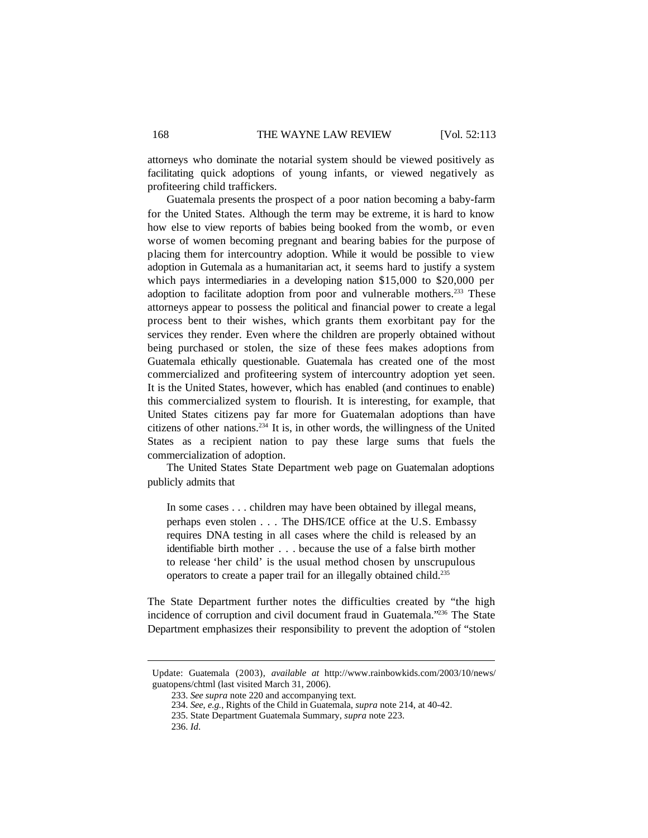attorneys who dominate the notarial system should be viewed positively as facilitating quick adoptions of young infants, or viewed negatively as profiteering child traffickers.

Guatemala presents the prospect of a poor nation becoming a baby-farm for the United States. Although the term may be extreme, it is hard to know how else to view reports of babies being booked from the womb, or even worse of women becoming pregnant and bearing babies for the purpose of placing them for intercountry adoption. While it would be possible to view adoption in Gutemala as a humanitarian act, it seems hard to justify a system which pays intermediaries in a developing nation \$15,000 to \$20,000 per adoption to facilitate adoption from poor and vulnerable mothers.<sup>233</sup> These attorneys appear to possess the political and financial power to create a legal process bent to their wishes, which grants them exorbitant pay for the services they render. Even where the children are properly obtained without being purchased or stolen, the size of these fees makes adoptions from Guatemala ethically questionable. Guatemala has created one of the most commercialized and profiteering system of intercountry adoption yet seen. It is the United States, however, which has enabled (and continues to enable) this commercialized system to flourish. It is interesting, for example, that United States citizens pay far more for Guatemalan adoptions than have citizens of other nations.<sup>234</sup> It is, in other words, the willingness of the United States as a recipient nation to pay these large sums that fuels the commercialization of adoption.

The United States State Department web page on Guatemalan adoptions publicly admits that

In some cases . . . children may have been obtained by illegal means, perhaps even stolen . . . The DHS/ICE office at the U.S. Embassy requires DNA testing in all cases where the child is released by an identifiable birth mother . . . because the use of a false birth mother to release 'her child' is the usual method chosen by unscrupulous operators to create a paper trail for an illegally obtained child.<sup>235</sup>

The State Department further notes the difficulties created by "the high incidence of corruption and civil document fraud in Guatemala."<sup>236</sup> The State Department emphasizes their responsibility to prevent the adoption of "stolen

Update: Guatemala (2003), *available at* http://www.rainbowkids.com/2003/10/news/ guatopens/chtml (last visited March 31, 2006).

<sup>233.</sup> *See supra* note 220 and accompanying text.

<sup>234.</sup> *See*, *e.g.*, Rights of the Child in Guatemala, *supra* note 214, at 40-42.

<sup>235.</sup> State Department Guatemala Summary, *supra* note 223.

<sup>236.</sup> *Id*.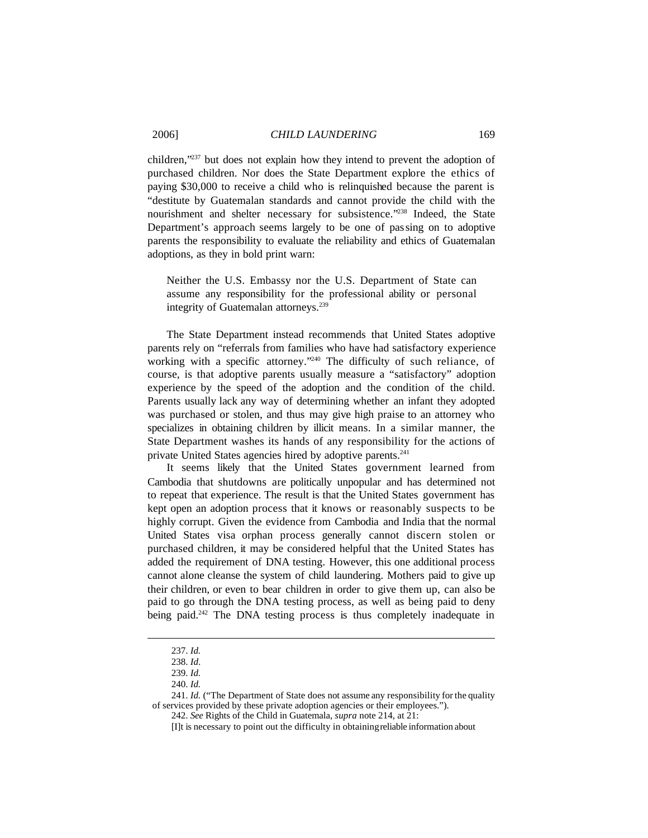children,"<sup>237</sup> but does not explain how they intend to prevent the adoption of purchased children. Nor does the State Department explore the ethics of paying \$30,000 to receive a child who is relinquished because the parent is "destitute by Guatemalan standards and cannot provide the child with the nourishment and shelter necessary for subsistence."<sup>238</sup> Indeed, the State Department's approach seems largely to be one of passing on to adoptive parents the responsibility to evaluate the reliability and ethics of Guatemalan adoptions, as they in bold print warn:

Neither the U.S. Embassy nor the U.S. Department of State can assume any responsibility for the professional ability or personal integrity of Guatemalan attorneys.<sup>239</sup>

The State Department instead recommends that United States adoptive parents rely on "referrals from families who have had satisfactory experience working with a specific attorney."<sup>240</sup> The difficulty of such reliance, of course, is that adoptive parents usually measure a "satisfactory" adoption experience by the speed of the adoption and the condition of the child. Parents usually lack any way of determining whether an infant they adopted was purchased or stolen, and thus may give high praise to an attorney who specializes in obtaining children by illicit means. In a similar manner, the State Department washes its hands of any responsibility for the actions of private United States agencies hired by adoptive parents.<sup>241</sup>

It seems likely that the United States government learned from Cambodia that shutdowns are politically unpopular and has determined not to repeat that experience. The result is that the United States government has kept open an adoption process that it knows or reasonably suspects to be highly corrupt. Given the evidence from Cambodia and India that the normal United States visa orphan process generally cannot discern stolen or purchased children, it may be considered helpful that the United States has added the requirement of DNA testing. However, this one additional process cannot alone cleanse the system of child laundering. Mothers paid to give up their children, or even to bear children in order to give them up, can also be paid to go through the DNA testing process, as well as being paid to deny being paid.<sup>242</sup> The DNA testing process is thus completely inadequate in

<sup>237.</sup> *Id.*

<sup>238.</sup> *Id*.

<sup>239.</sup> *Id.*

<sup>240.</sup> *Id.*

<sup>241.</sup> *Id.* ("The Department of State does not assume any responsibility for the quality of services provided by these private adoption agencies or their employees.").

<sup>242.</sup> *See* Rights of the Child in Guatemala, *supra* note 214, at 21:

<sup>[</sup>I]t is necessary to point out the difficulty in obtainingreliable information about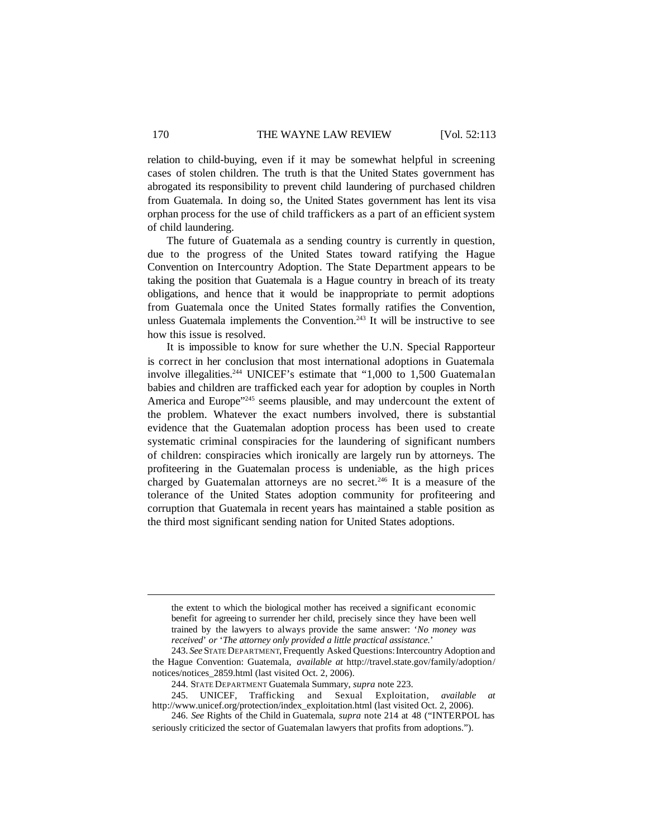relation to child-buying, even if it may be somewhat helpful in screening cases of stolen children. The truth is that the United States government has abrogated its responsibility to prevent child laundering of purchased children from Guatemala. In doing so, the United States government has lent its visa orphan process for the use of child traffickers as a part of an efficient system of child laundering.

The future of Guatemala as a sending country is currently in question, due to the progress of the United States toward ratifying the Hague Convention on Intercountry Adoption. The State Department appears to be taking the position that Guatemala is a Hague country in breach of its treaty obligations, and hence that it would be inappropriate to permit adoptions from Guatemala once the United States formally ratifies the Convention, unless Guatemala implements the Convention.<sup>243</sup> It will be instructive to see how this issue is resolved.

It is impossible to know for sure whether the U.N. Special Rapporteur is correct in her conclusion that most international adoptions in Guatemala involve illegalities.<sup>244</sup> UNICEF's estimate that "1,000 to 1,500 Guatemalan babies and children are trafficked each year for adoption by couples in North America and Europe"<sup>245</sup> seems plausible, and may undercount the extent of the problem. Whatever the exact numbers involved, there is substantial evidence that the Guatemalan adoption process has been used to create systematic criminal conspiracies for the laundering of significant numbers of children: conspiracies which ironically are largely run by attorneys. The profiteering in the Guatemalan process is undeniable, as the high prices charged by Guatemalan attorneys are no secret.<sup>246</sup> It is a measure of the tolerance of the United States adoption community for profiteering and corruption that Guatemala in recent years has maintained a stable position as the third most significant sending nation for United States adoptions.

the extent to which the biological mother has received a significant economic benefit for agreeing to surrender her child, precisely since they have been well trained by the lawyers to always provide the same answer: '*No money was received*' *or* '*The attorney only provided a little practical assistance.*'

<sup>243.</sup> *See* STATE DEPARTMENT, Frequently Asked Questions:Intercountry Adoption and the Hague Convention: Guatemala, *available at* http://travel.state.gov/family/adoption/ notices/notices\_2859.html (last visited Oct. 2, 2006).

<sup>244.</sup> STATE DEPARTMENT Guatemala Summary, *supra* note 223.

<sup>245.</sup> UNICEF, Trafficking and Sexual Exploitation, *available at* http://www.unicef.org/protection/index\_exploitation.html (last visited Oct. 2, 2006).

<sup>246.</sup> *See* Rights of the Child in Guatemala, *supra* note 214 at 48 ("INTERPOL has seriously criticized the sector of Guatemalan lawyers that profits from adoptions.").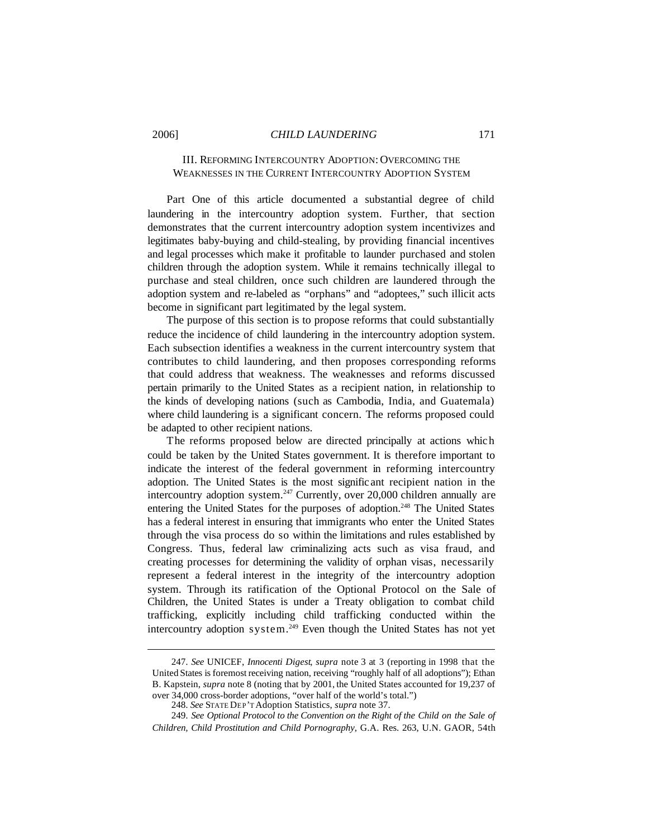# III. REFORMING INTERCOUNTRY ADOPTION: OVERCOMING THE WEAKNESSES IN THE CURRENT INTERCOUNTRY ADOPTION SYSTEM

Part One of this article documented a substantial degree of child laundering in the intercountry adoption system. Further, that section demonstrates that the current intercountry adoption system incentivizes and legitimates baby-buying and child-stealing, by providing financial incentives and legal processes which make it profitable to launder purchased and stolen children through the adoption system. While it remains technically illegal to purchase and steal children, once such children are laundered through the adoption system and re-labeled as "orphans" and "adoptees," such illicit acts become in significant part legitimated by the legal system.

The purpose of this section is to propose reforms that could substantially reduce the incidence of child laundering in the intercountry adoption system. Each subsection identifies a weakness in the current intercountry system that contributes to child laundering, and then proposes corresponding reforms that could address that weakness. The weaknesses and reforms discussed pertain primarily to the United States as a recipient nation, in relationship to the kinds of developing nations (such as Cambodia, India, and Guatemala) where child laundering is a significant concern. The reforms proposed could be adapted to other recipient nations.

The reforms proposed below are directed principally at actions which could be taken by the United States government. It is therefore important to indicate the interest of the federal government in reforming intercountry adoption. The United States is the most signific ant recipient nation in the intercountry adoption system.<sup>247</sup> Currently, over 20,000 children annually are entering the United States for the purposes of adoption.<sup>248</sup> The United States has a federal interest in ensuring that immigrants who enter the United States through the visa process do so within the limitations and rules established by Congress. Thus, federal law criminalizing acts such as visa fraud, and creating processes for determining the validity of orphan visas, necessarily represent a federal interest in the integrity of the intercountry adoption system. Through its ratification of the Optional Protocol on the Sale of Children, the United States is under a Treaty obligation to combat child trafficking, explicitly including child trafficking conducted within the intercountry adoption system.<sup>249</sup> Even though the United States has not yet

<sup>247.</sup> *See* UNICEF, *Innocenti Digest*, *supra* note 3 at 3 (reporting in 1998 that the United States is foremost receiving nation, receiving "roughly half of all adoptions"); Ethan B. Kapstein, *supra* note 8 (noting that by 2001, the United States accounted for 19,237 of over 34,000 cross-border adoptions, "over half of the world's total.")

<sup>248.</sup> *See* STATE DEP'T Adoption Statistics, *supra* note 37.

<sup>249.</sup> *See Optional Protocol to the Convention on the Right of the Child on the Sale of Children, Child Prostitution and Child Pornography*, G.A. Res. 263, U.N. GAOR, 54th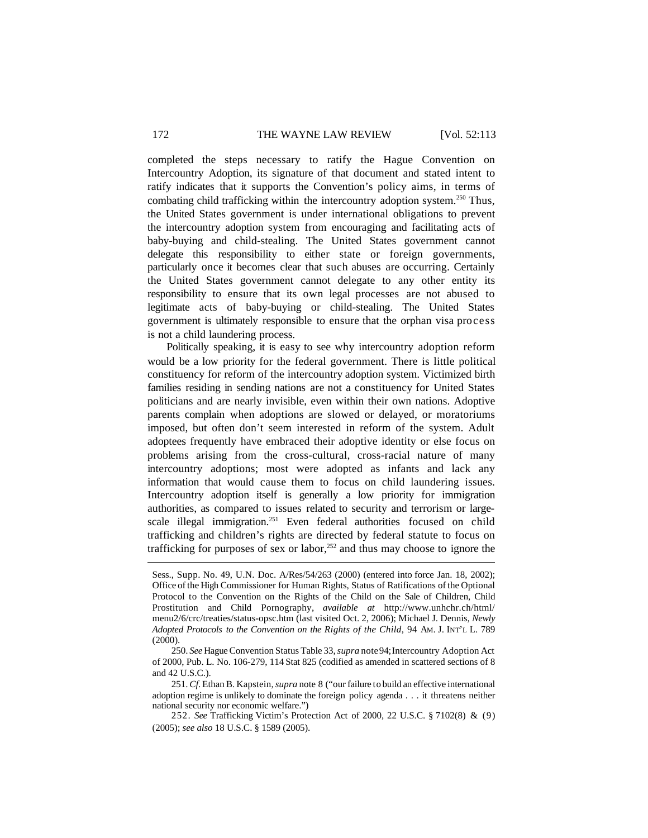completed the steps necessary to ratify the Hague Convention on Intercountry Adoption, its signature of that document and stated intent to ratify indicates that it supports the Convention's policy aims, in terms of combating child trafficking within the intercountry adoption system.<sup>250</sup> Thus, the United States government is under international obligations to prevent the intercountry adoption system from encouraging and facilitating acts of baby-buying and child-stealing. The United States government cannot delegate this responsibility to either state or foreign governments, particularly once it becomes clear that such abuses are occurring. Certainly the United States government cannot delegate to any other entity its responsibility to ensure that its own legal processes are not abused to legitimate acts of baby-buying or child-stealing. The United States government is ultimately responsible to ensure that the orphan visa process is not a child laundering process.

Politically speaking, it is easy to see why intercountry adoption reform would be a low priority for the federal government. There is little political constituency for reform of the intercountry adoption system. Victimized birth families residing in sending nations are not a constituency for United States politicians and are nearly invisible, even within their own nations. Adoptive parents complain when adoptions are slowed or delayed, or moratoriums imposed, but often don't seem interested in reform of the system. Adult adoptees frequently have embraced their adoptive identity or else focus on problems arising from the cross-cultural, cross-racial nature of many intercountry adoptions; most were adopted as infants and lack any information that would cause them to focus on child laundering issues. Intercountry adoption itself is generally a low priority for immigration authorities, as compared to issues related to security and terrorism or largescale illegal immigration.<sup>251</sup> Even federal authorities focused on child trafficking and children's rights are directed by federal statute to focus on trafficking for purposes of sex or labor,<sup>252</sup> and thus may choose to ignore the

Sess., Supp. No. 49, U.N. Doc. A/Res/54/263 (2000) (entered into force Jan. 18, 2002); Office of the High Commissioner for Human Rights, Status of Ratifications ofthe Optional Protocol to the Convention on the Rights of the Child on the Sale of Children, Child Prostitution and Child Pornography, *available at* http://www.unhchr.ch/html/ menu2/6/crc/treaties/status-opsc.htm (last visited Oct. 2, 2006); Michael J. Dennis, *Newly Adopted Protocols to the Convention on the Rights of the Child*, 94 AM. J. INT'L L. 789 (2000).

<sup>250.</sup> *See* HagueConvention Status Table 33,*supra* note94;Intercountry Adoption Act of 2000, Pub. L. No. 106-279, 114 Stat 825 (codified as amended in scattered sections of 8 and 42 U.S.C.).

<sup>251.</sup>*Cf*. Ethan B. Kapstein,*supra* note 8 ("our failure to build an effective international adoption regime is unlikely to dominate the foreign policy agenda . . . it threatens neither national security nor economic welfare.")

<sup>252.</sup> *See* Trafficking Victim's Protection Act of 2000, 22 U.S.C. § 7102(8) & (9) (2005); *see also* 18 U.S.C. § 1589 (2005).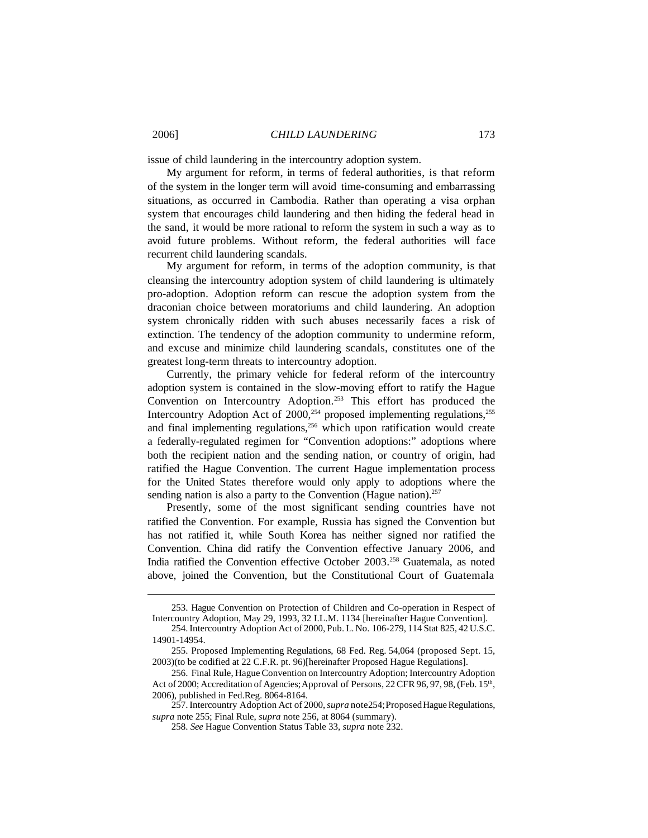issue of child laundering in the intercountry adoption system.

My argument for reform, in terms of federal authorities, is that reform of the system in the longer term will avoid time-consuming and embarrassing situations, as occurred in Cambodia. Rather than operating a visa orphan system that encourages child laundering and then hiding the federal head in the sand, it would be more rational to reform the system in such a way as to avoid future problems. Without reform, the federal authorities will face recurrent child laundering scandals.

My argument for reform, in terms of the adoption community, is that cleansing the intercountry adoption system of child laundering is ultimately pro-adoption. Adoption reform can rescue the adoption system from the draconian choice between moratoriums and child laundering. An adoption system chronically ridden with such abuses necessarily faces a risk of extinction. The tendency of the adoption community to undermine reform, and excuse and minimize child laundering scandals, constitutes one of the greatest long-term threats to intercountry adoption.

Currently, the primary vehicle for federal reform of the intercountry adoption system is contained in the slow-moving effort to ratify the Hague Convention on Intercountry Adoption.<sup>253</sup> This effort has produced the Intercountry Adoption Act of  $2000$ ,<sup>254</sup> proposed implementing regulations,<sup>255</sup> and final implementing regulations, $256$  which upon ratification would create a federally-regulated regimen for "Convention adoptions:" adoptions where both the recipient nation and the sending nation, or country of origin, had ratified the Hague Convention. The current Hague implementation process for the United States therefore would only apply to adoptions where the sending nation is also a party to the Convention (Hague nation). $257$ 

Presently, some of the most significant sending countries have not ratified the Convention. For example, Russia has signed the Convention but has not ratified it, while South Korea has neither signed nor ratified the Convention. China did ratify the Convention effective January 2006, and India ratified the Convention effective October 2003.<sup>258</sup> Guatemala, as noted above, joined the Convention, but the Constitutional Court of Guatemala

<sup>253.</sup> Hague Convention on Protection of Children and Co-operation in Respect of Intercountry Adoption, May 29, 1993, 32 I.L.M. 1134 [hereinafter Hague Convention].

<sup>254.</sup> Intercountry Adoption Act of 2000, Pub. L. No. 106-279, 114 Stat 825, 42 U.S.C. 14901-14954.

<sup>255.</sup> Proposed Implementing Regulations, 68 Fed. Reg. 54,064 (proposed Sept. 15, 2003)(to be codified at 22 C.F.R. pt. 96)[hereinafter Proposed Hague Regulations].

<sup>256.</sup> Final Rule, Hague Convention on Intercountry Adoption; Intercountry Adoption Act of 2000; Accreditation of Agencies; Approval of Persons, 22 CFR 96, 97, 98, (Feb. 15<sup>th</sup>, 2006), published in Fed.Reg. 8064-8164.

<sup>257.</sup> Intercountry Adoption Act of 2000, *supra* note 254; Proposed Hague Regulations, *supra* note 255; Final Rule, *supra* note 256, at 8064 (summary).

<sup>258.</sup> *See* Hague Convention Status Table 33, *supra* note 232.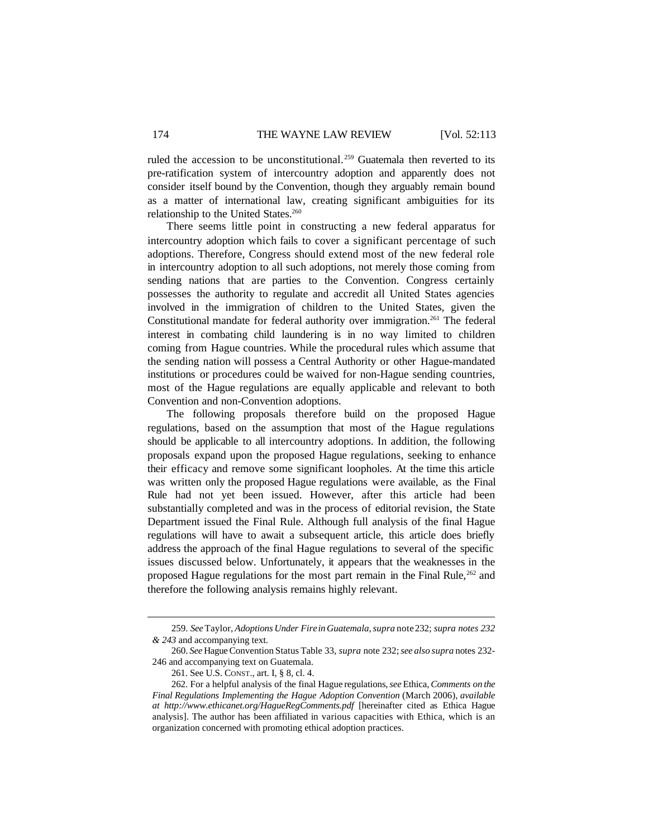ruled the accession to be unconstitutional. <sup>259</sup> Guatemala then reverted to its pre-ratification system of intercountry adoption and apparently does not consider itself bound by the Convention, though they arguably remain bound as a matter of international law, creating significant ambiguities for its relationship to the United States.<sup>260</sup>

There seems little point in constructing a new federal apparatus for intercountry adoption which fails to cover a significant percentage of such adoptions. Therefore, Congress should extend most of the new federal role in intercountry adoption to all such adoptions, not merely those coming from sending nations that are parties to the Convention. Congress certainly possesses the authority to regulate and accredit all United States agencies involved in the immigration of children to the United States, given the Constitutional mandate for federal authority over immigration.<sup>261</sup> The federal interest in combating child laundering is in no way limited to children coming from Hague countries. While the procedural rules which assume that the sending nation will possess a Central Authority or other Hague-mandated institutions or procedures could be waived for non-Hague sending countries, most of the Hague regulations are equally applicable and relevant to both Convention and non-Convention adoptions.

The following proposals therefore build on the proposed Hague regulations, based on the assumption that most of the Hague regulations should be applicable to all intercountry adoptions. In addition, the following proposals expand upon the proposed Hague regulations, seeking to enhance their efficacy and remove some significant loopholes. At the time this article was written only the proposed Hague regulations were available, as the Final Rule had not yet been issued. However, after this article had been substantially completed and was in the process of editorial revision, the State Department issued the Final Rule. Although full analysis of the final Hague regulations will have to await a subsequent article, this article does briefly address the approach of the final Hague regulations to several of the specific issues discussed below. Unfortunately, it appears that the weaknesses in the proposed Hague regulations for the most part remain in the Final Rule,<sup>262</sup> and therefore the following analysis remains highly relevant.

<sup>259.</sup> *See*Taylor, *Adoptions Under Firein Guatemala*,*supra* note232; *supra notes 232 & 243* and accompanying text.

<sup>260.</sup> *See* HagueConvention Status Table 33, *supra* note 232;*see also supra* notes 232- 246 and accompanying text on Guatemala.

<sup>261.</sup> See U.S. CONST., art. I, § 8, cl. 4.

<sup>262.</sup> For a helpful analysis of the final Hague regulations,*see* Ethica,*Comments on the Final Regulations Implementing the Hague Adoption Convention* (March 2006), *available at http://www.ethicanet.org/HagueRegComments.pdf* [hereinafter cited as Ethica Hague analysis]. The author has been affiliated in various capacities with Ethica, which is an organization concerned with promoting ethical adoption practices.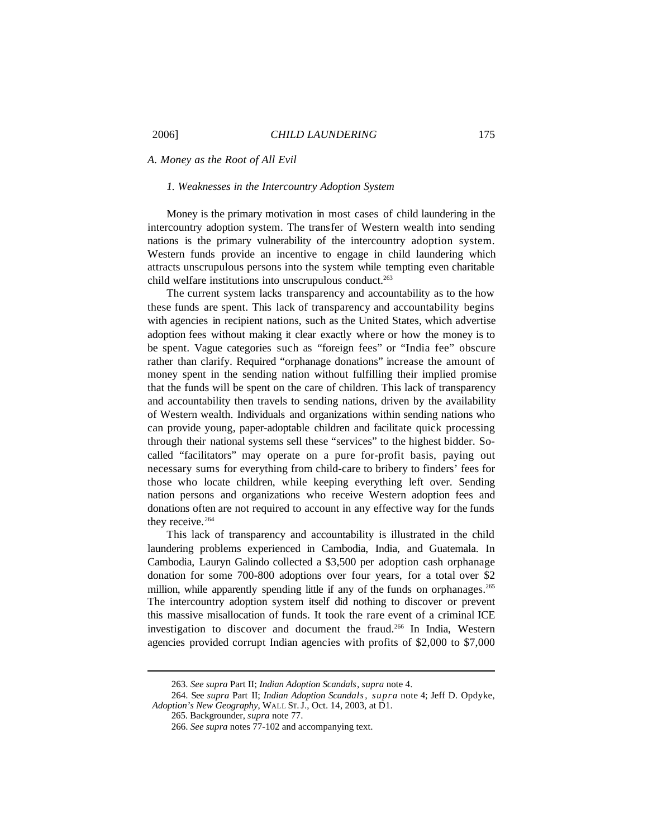*A. Money as the Root of All Evil*

### *1. Weaknesses in the Intercountry Adoption System*

Money is the primary motivation in most cases of child laundering in the intercountry adoption system. The transfer of Western wealth into sending nations is the primary vulnerability of the intercountry adoption system. Western funds provide an incentive to engage in child laundering which attracts unscrupulous persons into the system while tempting even charitable child welfare institutions into unscrupulous conduct.<sup>263</sup>

The current system lacks transparency and accountability as to the how these funds are spent. This lack of transparency and accountability begins with agencies in recipient nations, such as the United States, which advertise adoption fees without making it clear exactly where or how the money is to be spent. Vague categories such as "foreign fees" or "India fee" obscure rather than clarify. Required "orphanage donations" increase the amount of money spent in the sending nation without fulfilling their implied promise that the funds will be spent on the care of children. This lack of transparency and accountability then travels to sending nations, driven by the availability of Western wealth. Individuals and organizations within sending nations who can provide young, paper-adoptable children and facilitate quick processing through their national systems sell these "services" to the highest bidder. Socalled "facilitators" may operate on a pure for-profit basis, paying out necessary sums for everything from child-care to bribery to finders' fees for those who locate children, while keeping everything left over. Sending nation persons and organizations who receive Western adoption fees and donations often are not required to account in any effective way for the funds they receive.<sup>264</sup>

This lack of transparency and accountability is illustrated in the child laundering problems experienced in Cambodia, India, and Guatemala. In Cambodia, Lauryn Galindo collected a \$3,500 per adoption cash orphanage donation for some 700-800 adoptions over four years, for a total over \$2 million, while apparently spending little if any of the funds on orphanages.<sup>265</sup> The intercountry adoption system itself did nothing to discover or prevent this massive misallocation of funds. It took the rare event of a criminal ICE investigation to discover and document the fraud.<sup>266</sup> In India, Western agencies provided corrupt Indian agencies with profits of \$2,000 to \$7,000

<sup>263.</sup> *See supra* Part II; *Indian Adoption Scandals*, *supra* note 4.

<sup>264.</sup> See *supra* Part II; *Indian Adoption Scandals*, *supra* note 4; Jeff D. Opdyke, *Adoption's New Geography*, WALL ST.J., Oct. 14, 2003, at D1.

<sup>265.</sup> Backgrounder, *supra* note 77.

<sup>266.</sup> *See supra* notes 77-102 and accompanying text.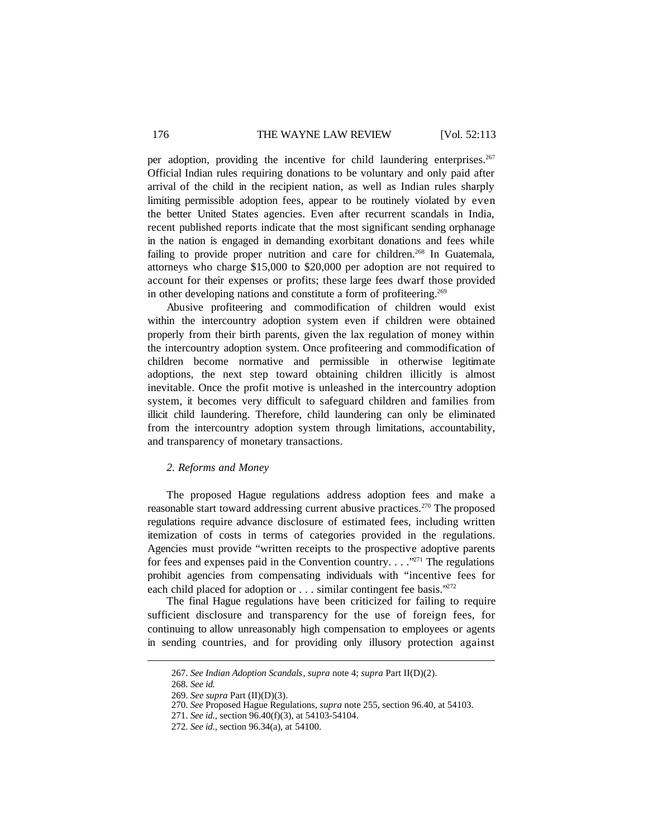## 176 THE WAYNE LAW REVIEW [Vol. 52:113

per adoption, providing the incentive for child laundering enterprises.<sup>267</sup> Official Indian rules requiring donations to be voluntary and only paid after arrival of the child in the recipient nation, as well as Indian rules sharply limiting permissible adoption fees, appear to be routinely violated by even the better United States agencies. Even after recurrent scandals in India, recent published reports indicate that the most significant sending orphanage in the nation is engaged in demanding exorbitant donations and fees while failing to provide proper nutrition and care for children.<sup>268</sup> In Guatemala, attorneys who charge \$15,000 to \$20,000 per adoption are not required to account for their expenses or profits; these large fees dwarf those provided in other developing nations and constitute a form of profiteering.<sup>269</sup>

Abusive profiteering and commodification of children would exist within the intercountry adoption system even if children were obtained properly from their birth parents, given the lax regulation of money within the intercountry adoption system. Once profiteering and commodification of children become normative and permissible in otherwise legitimate adoptions, the next step toward obtaining children illicitly is almost inevitable. Once the profit motive is unleashed in the intercountry adoption system, it becomes very difficult to safeguard children and families from illicit child laundering. Therefore, child laundering can only be eliminated from the intercountry adoption system through limitations, accountability, and transparency of monetary transactions.

### *2. Reforms and Money*

The proposed Hague regulations address adoption fees and make a reasonable start toward addressing current abusive practices.<sup>270</sup> The proposed regulations require advance disclosure of estimated fees, including written itemization of costs in terms of categories provided in the regulations. Agencies must provide "written receipts to the prospective adoptive parents for fees and expenses paid in the Convention country. . . ."<sup>271</sup> The regulations prohibit agencies from compensating individuals with "incentive fees for each child placed for adoption or . . . similar contingent fee basis."<sup>272</sup>

The final Hague regulations have been criticized for failing to require sufficient disclosure and transparency for the use of foreign fees, for continuing to allow unreasonably high compensation to employees or agents in sending countries, and for providing only illusory protection against

<sup>267.</sup> *See Indian Adoption Scandals*, *supra* note 4; *supra* Part II(D)(2).

<sup>268.</sup> *See id.*

<sup>269.</sup> *See supra* Part (II)(D)(3).

<sup>270.</sup> *See* Proposed Hague Regulations, *supra* note 255, section 96.40, at 54103.

<sup>271.</sup> *See id.*, section 96.40(f)(3), at 54103-54104.

<sup>272.</sup> *See id.*, section 96.34(a), at 54100.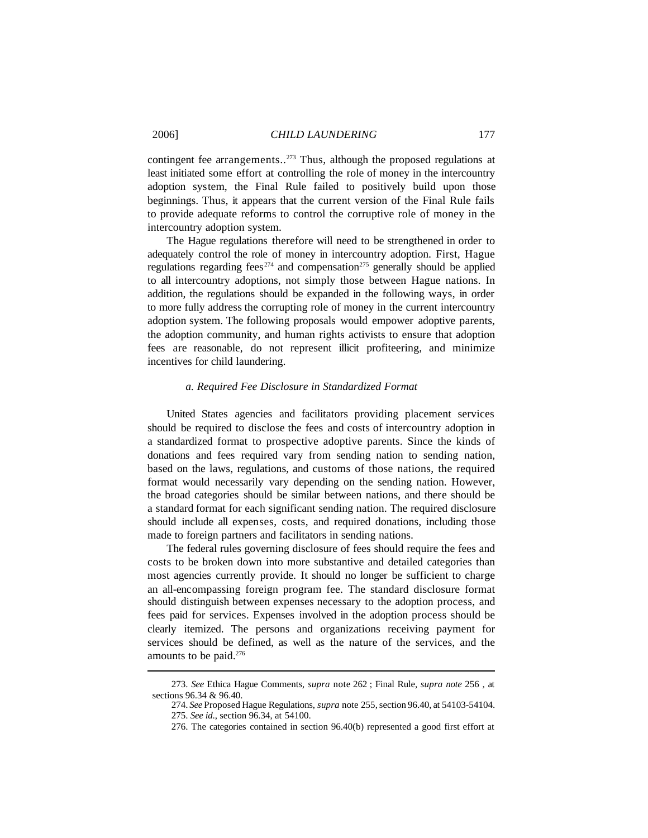contingent fee arrangements..<sup>273</sup> Thus, although the proposed regulations at least initiated some effort at controlling the role of money in the intercountry adoption system, the Final Rule failed to positively build upon those beginnings. Thus, it appears that the current version of the Final Rule fails to provide adequate reforms to control the corruptive role of money in the intercountry adoption system.

The Hague regulations therefore will need to be strengthened in order to adequately control the role of money in intercountry adoption. First, Hague regulations regarding fees<sup> $274$ </sup> and compensation<sup> $275$ </sup> generally should be applied to all intercountry adoptions, not simply those between Hague nations. In addition, the regulations should be expanded in the following ways, in order to more fully address the corrupting role of money in the current intercountry adoption system. The following proposals would empower adoptive parents, the adoption community, and human rights activists to ensure that adoption fees are reasonable, do not represent illicit profiteering, and minimize incentives for child laundering.

## *a. Required Fee Disclosure in Standardized Format*

United States agencies and facilitators providing placement services should be required to disclose the fees and costs of intercountry adoption in a standardized format to prospective adoptive parents. Since the kinds of donations and fees required vary from sending nation to sending nation, based on the laws, regulations, and customs of those nations, the required format would necessarily vary depending on the sending nation. However, the broad categories should be similar between nations, and there should be a standard format for each significant sending nation. The required disclosure should include all expenses, costs, and required donations, including those made to foreign partners and facilitators in sending nations.

The federal rules governing disclosure of fees should require the fees and costs to be broken down into more substantive and detailed categories than most agencies currently provide. It should no longer be sufficient to charge an all-encompassing foreign program fee. The standard disclosure format should distinguish between expenses necessary to the adoption process, and fees paid for services. Expenses involved in the adoption process should be clearly itemized. The persons and organizations receiving payment for services should be defined, as well as the nature of the services, and the amounts to be paid.276

<sup>273.</sup> *See* Ethica Hague Comments, *supra* note 262 ; Final Rule, *supra note* 256 *,* at sections 96.34 & 96.40.

<sup>274.</sup> See Proposed Hague Regulations, *supra* note 255, section 96.40, at 54103-54104. 275. *See id*., section 96.34, at 54100.

<sup>276.</sup> The categories contained in section 96.40(b) represented a good first effort at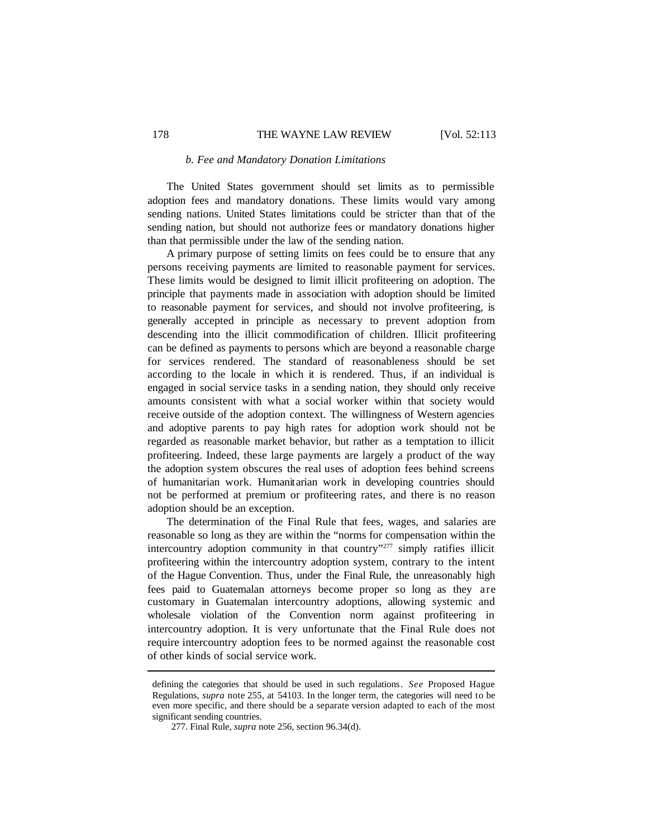#### *b. Fee and Mandatory Donation Limitations*

The United States government should set limits as to permissible adoption fees and mandatory donations. These limits would vary among sending nations. United States limitations could be stricter than that of the sending nation, but should not authorize fees or mandatory donations higher than that permissible under the law of the sending nation.

A primary purpose of setting limits on fees could be to ensure that any persons receiving payments are limited to reasonable payment for services. These limits would be designed to limit illicit profiteering on adoption. The principle that payments made in association with adoption should be limited to reasonable payment for services, and should not involve profiteering, is generally accepted in principle as necessary to prevent adoption from descending into the illicit commodification of children. Illicit profiteering can be defined as payments to persons which are beyond a reasonable charge for services rendered. The standard of reasonableness should be set according to the locale in which it is rendered. Thus, if an individual is engaged in social service tasks in a sending nation, they should only receive amounts consistent with what a social worker within that society would receive outside of the adoption context. The willingness of Western agencies and adoptive parents to pay high rates for adoption work should not be regarded as reasonable market behavior, but rather as a temptation to illicit profiteering. Indeed, these large payments are largely a product of the way the adoption system obscures the real uses of adoption fees behind screens of humanitarian work. Humanitarian work in developing countries should not be performed at premium or profiteering rates, and there is no reason adoption should be an exception.

The determination of the Final Rule that fees, wages, and salaries are reasonable so long as they are within the "norms for compensation within the intercountry adoption community in that country"<sup>277</sup> simply ratifies illicit profiteering within the intercountry adoption system, contrary to the intent of the Hague Convention. Thus, under the Final Rule, the unreasonably high fees paid to Guatemalan attorneys become proper so long as they are customary in Guatemalan intercountry adoptions, allowing systemic and wholesale violation of the Convention norm against profiteering in intercountry adoption. It is very unfortunate that the Final Rule does not require intercountry adoption fees to be normed against the reasonable cost of other kinds of social service work.

defining the categories that should be used in such regulations. *See* Proposed Hague Regulations, *supra* note 255, at 54103. In the longer term, the categories will need to be even more specific, and there should be a separate version adapted to each of the most significant sending countries.

<sup>277.</sup> Final Rule, *supra* note 256, section 96.34(d).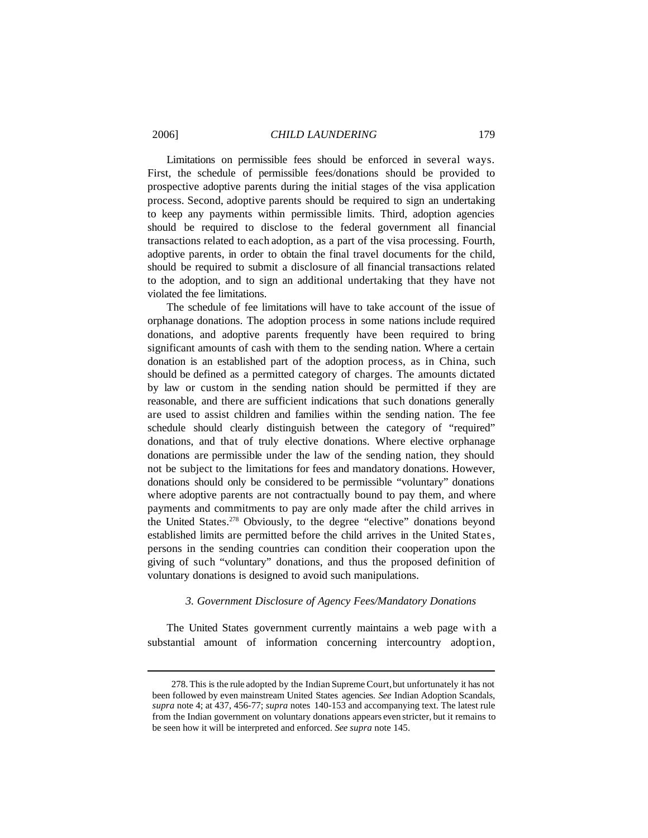Limitations on permissible fees should be enforced in several ways. First, the schedule of permissible fees/donations should be provided to prospective adoptive parents during the initial stages of the visa application process. Second, adoptive parents should be required to sign an undertaking to keep any payments within permissible limits. Third, adoption agencies should be required to disclose to the federal government all financial transactions related to each adoption, as a part of the visa processing. Fourth, adoptive parents, in order to obtain the final travel documents for the child, should be required to submit a disclosure of all financial transactions related to the adoption, and to sign an additional undertaking that they have not violated the fee limitations.

The schedule of fee limitations will have to take account of the issue of orphanage donations. The adoption process in some nations include required donations, and adoptive parents frequently have been required to bring significant amounts of cash with them to the sending nation. Where a certain donation is an established part of the adoption process, as in China, such should be defined as a permitted category of charges. The amounts dictated by law or custom in the sending nation should be permitted if they are reasonable, and there are sufficient indications that such donations generally are used to assist children and families within the sending nation. The fee schedule should clearly distinguish between the category of "required" donations, and that of truly elective donations. Where elective orphanage donations are permissible under the law of the sending nation, they should not be subject to the limitations for fees and mandatory donations. However, donations should only be considered to be permissible "voluntary" donations where adoptive parents are not contractually bound to pay them, and where payments and commitments to pay are only made after the child arrives in the United States.<sup>278</sup> Obviously, to the degree "elective" donations beyond established limits are permitted before the child arrives in the United States, persons in the sending countries can condition their cooperation upon the giving of such "voluntary" donations, and thus the proposed definition of voluntary donations is designed to avoid such manipulations.

# *3. Government Disclosure of Agency Fees/Mandatory Donations*

The United States government currently maintains a web page with a substantial amount of information concerning intercountry adoption,

<sup>278.</sup> This is the rule adopted by the Indian SupremeCourt,but unfortunately it has not been followed by even mainstream United States agencies. *See* Indian Adoption Scandals, *supra* note 4; at 437, 456-77; *supra* notes 140-153 and accompanying text. The latest rule from the Indian government on voluntary donations appears even stricter, but it remains to be seen how it will be interpreted and enforced. *See supra* note 145.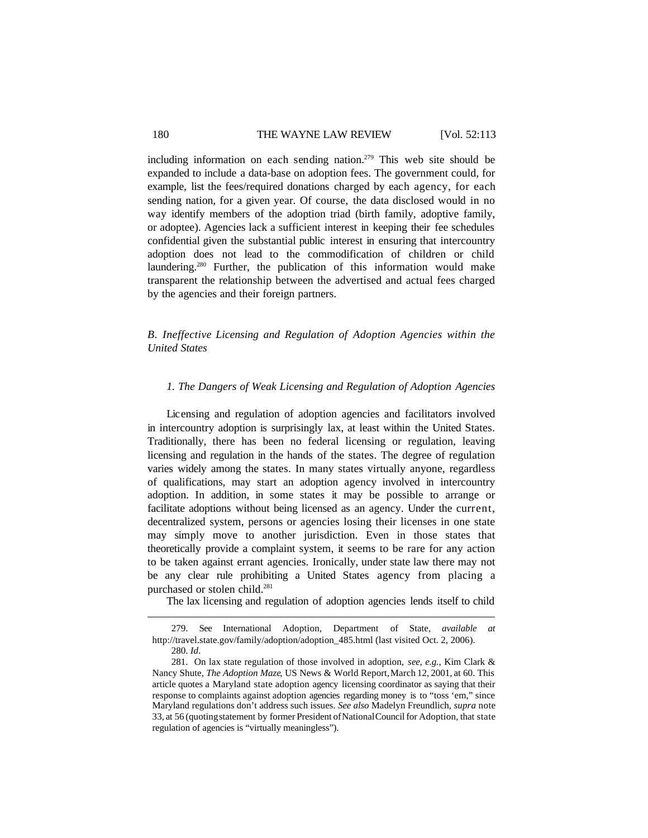including information on each sending nation.<sup>279</sup> This web site should be expanded to include a data-base on adoption fees. The government could, for example, list the fees/required donations charged by each agency, for each sending nation, for a given year. Of course, the data disclosed would in no way identify members of the adoption triad (birth family, adoptive family, or adoptee). Agencies lack a sufficient interest in keeping their fee schedules confidential given the substantial public interest in ensuring that intercountry adoption does not lead to the commodification of children or child laundering.<sup>280</sup> Further, the publication of this information would make transparent the relationship between the advertised and actual fees charged by the agencies and their foreign partners.

*B. Ineffective Licensing and Regulation of Adoption Agencies within the United States*

# *1. The Dangers of Weak Licensing and Regulation of Adoption Agencies*

Licensing and regulation of adoption agencies and facilitators involved in intercountry adoption is surprisingly lax, at least within the United States. Traditionally, there has been no federal licensing or regulation, leaving licensing and regulation in the hands of the states. The degree of regulation varies widely among the states. In many states virtually anyone, regardless of qualifications, may start an adoption agency involved in intercountry adoption. In addition, in some states it may be possible to arrange or facilitate adoptions without being licensed as an agency. Under the current, decentralized system, persons or agencies losing their licenses in one state may simply move to another jurisdiction. Even in those states that theoretically provide a complaint system, it seems to be rare for any action to be taken against errant agencies. Ironically, under state law there may not be any clear rule prohibiting a United States agency from placing a purchased or stolen child.<sup>281</sup>

The lax licensing and regulation of adoption agencies lends itself to child

<sup>279.</sup> See International Adoption, Department of State, *available at* http://travel.state.gov/family/adoption/adoption\_485.html (last visited Oct. 2, 2006). 280. *Id*.

<sup>281.</sup> On lax state regulation of those involved in adoption, *see, e.g.*, Kim Clark & Nancy Shute, *The Adoption Maze*, US News & World Report,March 12, 2001, at 60. This article quotes a Maryland state adoption agency licensing coordinator as saying that their response to complaints against adoption agencies regarding money is to "toss 'em," since Maryland regulations don't address such issues. *See also* Madelyn Freundlich, *supra* note 33, at 56 (quoting statement by former President of National Council for Adoption, that state regulation of agencies is "virtually meaningless").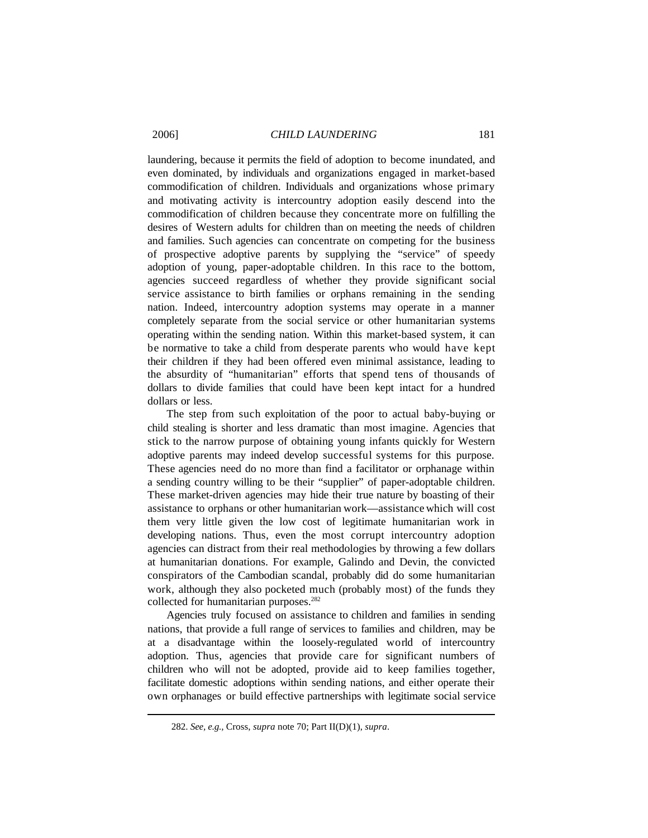laundering, because it permits the field of adoption to become inundated, and even dominated, by individuals and organizations engaged in market-based commodification of children. Individuals and organizations whose primary and motivating activity is intercountry adoption easily descend into the commodification of children because they concentrate more on fulfilling the desires of Western adults for children than on meeting the needs of children and families. Such agencies can concentrate on competing for the business of prospective adoptive parents by supplying the "service" of speedy adoption of young, paper-adoptable children. In this race to the bottom, agencies succeed regardless of whether they provide significant social service assistance to birth families or orphans remaining in the sending nation. Indeed, intercountry adoption systems may operate in a manner completely separate from the social service or other humanitarian systems operating within the sending nation. Within this market-based system, it can be normative to take a child from desperate parents who would have kept their children if they had been offered even minimal assistance, leading to the absurdity of "humanitarian" efforts that spend tens of thousands of dollars to divide families that could have been kept intact for a hundred dollars or less.

The step from such exploitation of the poor to actual baby-buying or child stealing is shorter and less dramatic than most imagine. Agencies that stick to the narrow purpose of obtaining young infants quickly for Western adoptive parents may indeed develop successful systems for this purpose. These agencies need do no more than find a facilitator or orphanage within a sending country willing to be their "supplier" of paper-adoptable children. These market-driven agencies may hide their true nature by boasting of their assistance to orphans or other humanitarian work—assistance which will cost them very little given the low cost of legitimate humanitarian work in developing nations. Thus, even the most corrupt intercountry adoption agencies can distract from their real methodologies by throwing a few dollars at humanitarian donations. For example, Galindo and Devin, the convicted conspirators of the Cambodian scandal, probably did do some humanitarian work, although they also pocketed much (probably most) of the funds they collected for humanitarian purposes.<sup>282</sup>

Agencies truly focused on assistance to children and families in sending nations, that provide a full range of services to families and children, may be at a disadvantage within the loosely-regulated world of intercountry adoption. Thus, agencies that provide care for significant numbers of children who will not be adopted, provide aid to keep families together, facilitate domestic adoptions within sending nations, and either operate their own orphanages or build effective partnerships with legitimate social service

<sup>282.</sup> *See, e.g.,* Cross, *supra* note 70; Part II(D)(1), *supra*.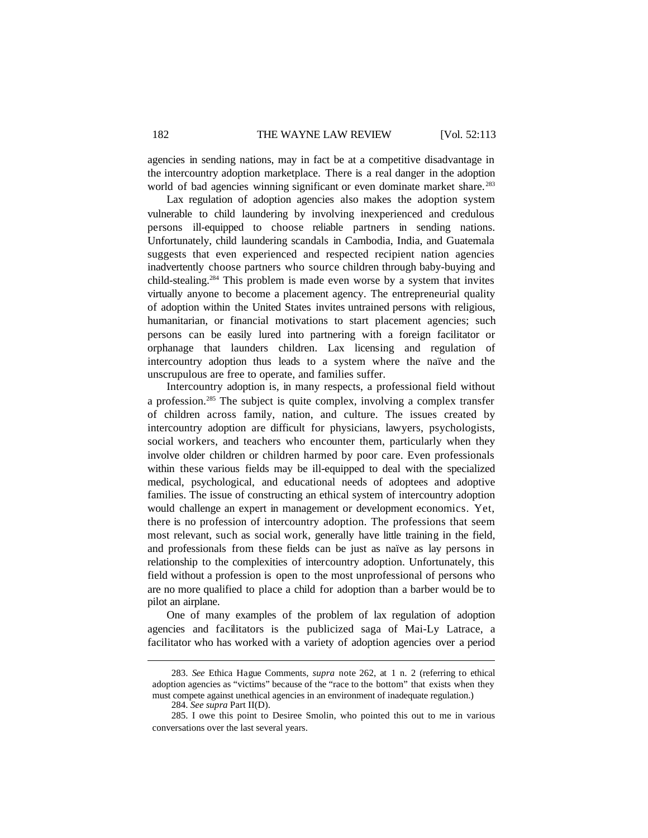agencies in sending nations, may in fact be at a competitive disadvantage in the intercountry adoption marketplace. There is a real danger in the adoption world of bad agencies winning significant or even dominate market share.<sup>283</sup>

Lax regulation of adoption agencies also makes the adoption system vulnerable to child laundering by involving inexperienced and credulous persons ill-equipped to choose reliable partners in sending nations. Unfortunately, child laundering scandals in Cambodia, India, and Guatemala suggests that even experienced and respected recipient nation agencies inadvertently choose partners who source children through baby-buying and child-stealing.<sup>284</sup> This problem is made even worse by a system that invites virtually anyone to become a placement agency. The entrepreneurial quality of adoption within the United States invites untrained persons with religious, humanitarian, or financial motivations to start placement agencies; such persons can be easily lured into partnering with a foreign facilitator or orphanage that launders children. Lax licensing and regulation of intercountry adoption thus leads to a system where the naïve and the unscrupulous are free to operate, and families suffer.

Intercountry adoption is, in many respects, a professional field without a profession.<sup>285</sup> The subject is quite complex, involving a complex transfer of children across family, nation, and culture. The issues created by intercountry adoption are difficult for physicians, lawyers, psychologists, social workers, and teachers who encounter them, particularly when they involve older children or children harmed by poor care. Even professionals within these various fields may be ill-equipped to deal with the specialized medical, psychological, and educational needs of adoptees and adoptive families. The issue of constructing an ethical system of intercountry adoption would challenge an expert in management or development economics. Yet, there is no profession of intercountry adoption. The professions that seem most relevant, such as social work, generally have little training in the field, and professionals from these fields can be just as naïve as lay persons in relationship to the complexities of intercountry adoption. Unfortunately, this field without a profession is open to the most unprofessional of persons who are no more qualified to place a child for adoption than a barber would be to pilot an airplane.

One of many examples of the problem of lax regulation of adoption agencies and facilitators is the publicized saga of Mai-Ly Latrace, a facilitator who has worked with a variety of adoption agencies over a period

<sup>283.</sup> *See* Ethica Hague Comments, *supra* note 262, at 1 n. 2 (referring to ethical adoption agencies as "victims" because of the "race to the bottom" that exists when they must compete against unethical agencies in an environment of inadequate regulation.)

<sup>284.</sup> *See supra* Part II(D).

<sup>285.</sup> I owe this point to Desiree Smolin, who pointed this out to me in various conversations over the last several years.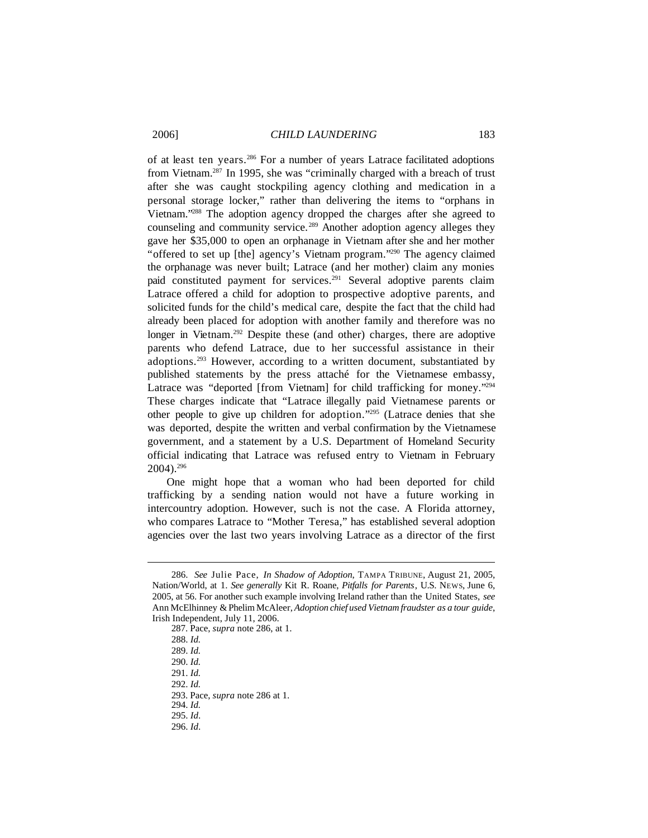of at least ten years.<sup>286</sup> For a number of years Latrace facilitated adoptions from Vietnam.<sup>287</sup> In 1995, she was "criminally charged with a breach of trust after she was caught stockpiling agency clothing and medication in a personal storage locker," rather than delivering the items to "orphans in Vietnam."<sup>288</sup> The adoption agency dropped the charges after she agreed to counseling and community service.<sup>289</sup> Another adoption agency alleges they gave her \$35,000 to open an orphanage in Vietnam after she and her mother "offered to set up [the] agency's Vietnam program."<sup>290</sup> The agency claimed the orphanage was never built; Latrace (and her mother) claim any monies paid constituted payment for services.<sup>291</sup> Several adoptive parents claim Latrace offered a child for adoption to prospective adoptive parents, and solicited funds for the child's medical care, despite the fact that the child had already been placed for adoption with another family and therefore was no longer in Vietnam.<sup>292</sup> Despite these (and other) charges, there are adoptive parents who defend Latrace, due to her successful assistance in their adoptions.<sup>293</sup> However, according to a written document, substantiated by published statements by the press attaché for the Vietnamese embassy, Latrace was "deported [from Vietnam] for child trafficking for money."294 These charges indicate that "Latrace illegally paid Vietnamese parents or other people to give up children for adoption."<sup>295</sup> (Latrace denies that she was deported, despite the written and verbal confirmation by the Vietnamese government, and a statement by a U.S. Department of Homeland Security official indicating that Latrace was refused entry to Vietnam in February 2004).<sup>296</sup>

One might hope that a woman who had been deported for child trafficking by a sending nation would not have a future working in intercountry adoption. However, such is not the case. A Florida attorney, who compares Latrace to "Mother Teresa," has established several adoption agencies over the last two years involving Latrace as a director of the first

<sup>286.</sup> *See* Julie Pace, *In Shadow of Adoption*, TAMPA TRIBUNE, August 21, 2005, Nation/World, at 1. *See generally* Kit R. Roane, *Pitfalls for Parents*, U.S. NEWS, June 6, 2005, at 56. For another such example involving Ireland rather than the United States, *see* Ann McElhinney &Phelim McAleer, *Adoption chief used Vietnam fraudster as a tour guide*, Irish Independent, July 11, 2006.

<sup>287.</sup> Pace, *supra* note 286, at 1.

<sup>288.</sup> *Id.*

<sup>289.</sup> *Id.*

<sup>290.</sup> *Id.*

<sup>291.</sup> *Id.*

<sup>292.</sup> *Id.*

<sup>293.</sup> Pace, *supra* note 286 at 1.

<sup>294.</sup> *Id.*

<sup>295.</sup> *Id*.

<sup>296.</sup> *Id*.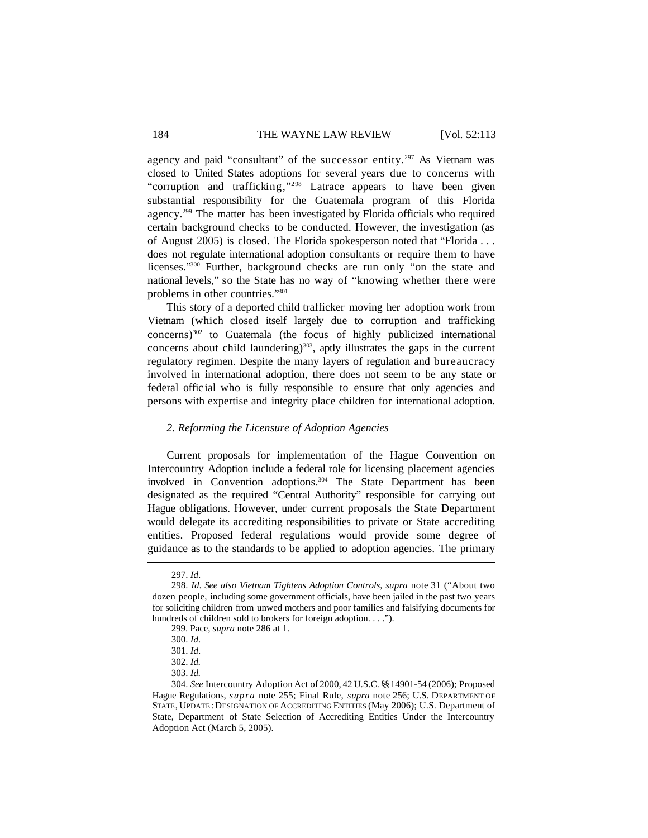agency and paid "consultant" of the successor entity.<sup>297</sup> As Vietnam was closed to United States adoptions for several years due to concerns with "corruption and trafficking,"<sup>298</sup> Latrace appears to have been given substantial responsibility for the Guatemala program of this Florida agency.<sup>299</sup> The matter has been investigated by Florida officials who required certain background checks to be conducted. However, the investigation (as of August 2005) is closed. The Florida spokesperson noted that "Florida . . . does not regulate international adoption consultants or require them to have licenses."<sup>300</sup> Further, background checks are run only "on the state and national levels," so the State has no way of "knowing whether there were problems in other countries."<sup>301</sup>

This story of a deported child trafficker moving her adoption work from Vietnam (which closed itself largely due to corruption and trafficking concerns)<sup>302</sup> to Guatemala (the focus of highly publicized international concerns about child laundering)<sup>303</sup>, aptly illustrates the gaps in the current regulatory regimen. Despite the many layers of regulation and bureaucracy involved in international adoption, there does not seem to be any state or federal offic ial who is fully responsible to ensure that only agencies and persons with expertise and integrity place children for international adoption.

### *2. Reforming the Licensure of Adoption Agencies*

Current proposals for implementation of the Hague Convention on Intercountry Adoption include a federal role for licensing placement agencies involved in Convention adoptions.<sup>304</sup> The State Department has been designated as the required "Central Authority" responsible for carrying out Hague obligations. However, under current proposals the State Department would delegate its accrediting responsibilities to private or State accrediting entities. Proposed federal regulations would provide some degree of guidance as to the standards to be applied to adoption agencies. The primary

<sup>297.</sup> *Id*.

<sup>298.</sup> *Id*. *See also Vietnam Tightens Adoption Controls, supra* note 31 ("About two dozen people, including some government officials, have been jailed in the past two years for soliciting children from unwed mothers and poor families and falsifying documents for hundreds of children sold to brokers for foreign adoption. . . .").

<sup>299.</sup> Pace, *supra* note 286 at 1.

<sup>300.</sup> *Id*.

<sup>301.</sup> *Id*.

<sup>302.</sup> *Id.*

<sup>303.</sup> *Id.*

<sup>304.</sup> *See* Intercountry Adoption Act of 2000, 42 U.S.C. §§14901-54 (2006); Proposed Hague Regulations, *supra* note 255; Final Rule, *supra* note 256; U.S. DEPARTMENT OF STATE, UPDATE:DESIGNATION OF ACCREDITING ENTITIES (May 2006); U.S. Department of State, Department of State Selection of Accrediting Entities Under the Intercountry Adoption Act (March 5, 2005).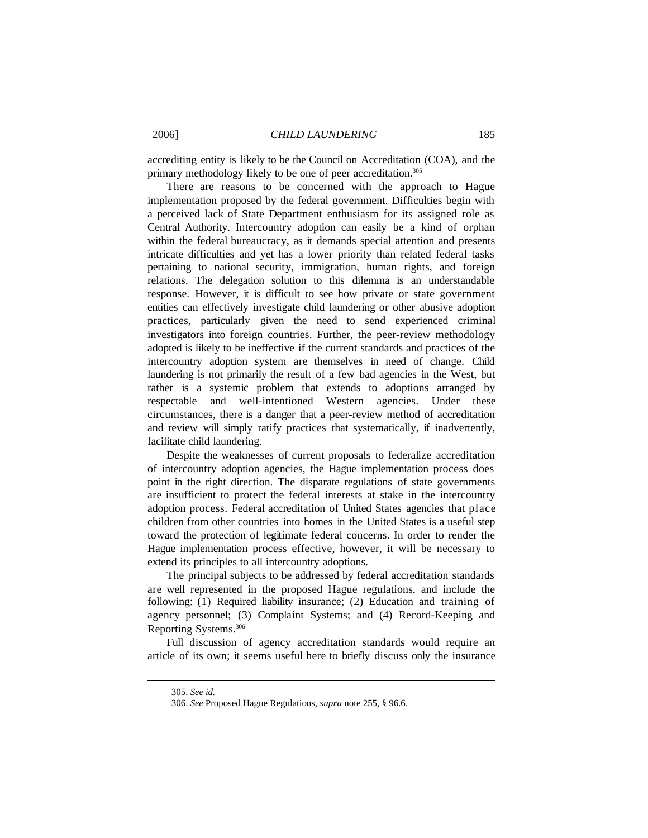accrediting entity is likely to be the Council on Accreditation (COA), and the primary methodology likely to be one of peer accreditation.<sup>305</sup>

There are reasons to be concerned with the approach to Hague implementation proposed by the federal government. Difficulties begin with a perceived lack of State Department enthusiasm for its assigned role as Central Authority. Intercountry adoption can easily be a kind of orphan within the federal bureaucracy, as it demands special attention and presents intricate difficulties and yet has a lower priority than related federal tasks pertaining to national security, immigration, human rights, and foreign relations. The delegation solution to this dilemma is an understandable response. However, it is difficult to see how private or state government entities can effectively investigate child laundering or other abusive adoption practices, particularly given the need to send experienced criminal investigators into foreign countries. Further, the peer-review methodology adopted is likely to be ineffective if the current standards and practices of the intercountry adoption system are themselves in need of change. Child laundering is not primarily the result of a few bad agencies in the West, but rather is a systemic problem that extends to adoptions arranged by respectable and well-intentioned Western agencies. Under these circumstances, there is a danger that a peer-review method of accreditation and review will simply ratify practices that systematically, if inadvertently, facilitate child laundering.

Despite the weaknesses of current proposals to federalize accreditation of intercountry adoption agencies, the Hague implementation process does point in the right direction. The disparate regulations of state governments are insufficient to protect the federal interests at stake in the intercountry adoption process. Federal accreditation of United States agencies that place children from other countries into homes in the United States is a useful step toward the protection of legitimate federal concerns. In order to render the Hague implementation process effective, however, it will be necessary to extend its principles to all intercountry adoptions.

The principal subjects to be addressed by federal accreditation standards are well represented in the proposed Hague regulations, and include the following: (1) Required liability insurance; (2) Education and training of agency personnel; (3) Complaint Systems; and (4) Record-Keeping and Reporting Systems.<sup>306</sup>

Full discussion of agency accreditation standards would require an article of its own; it seems useful here to briefly discuss only the insurance

<sup>305.</sup> *See id.*

<sup>306.</sup> *See* Proposed Hague Regulations, *supra* note 255, § 96.6.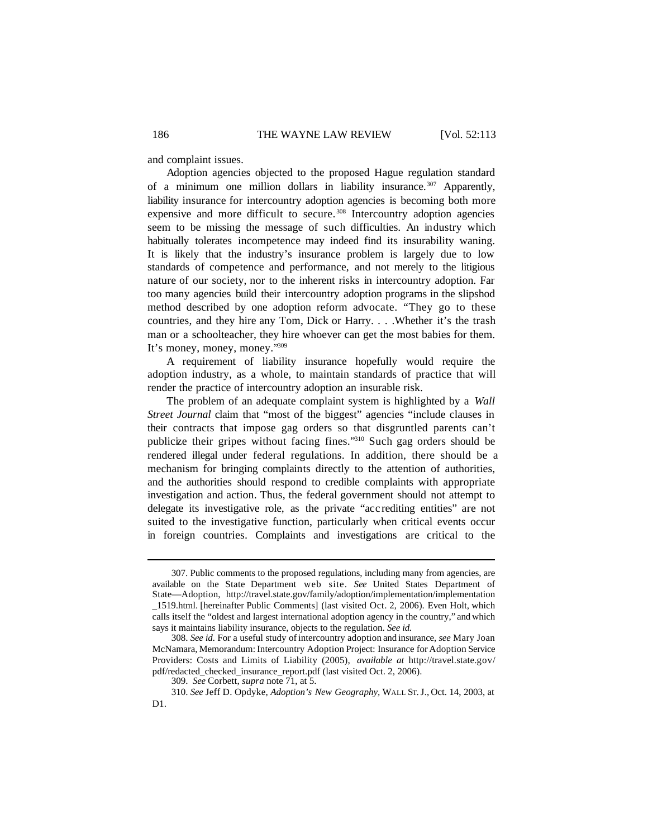and complaint issues.

Adoption agencies objected to the proposed Hague regulation standard of a minimum one million dollars in liability insurance.<sup>307</sup> Apparently, liability insurance for intercountry adoption agencies is becoming both more expensive and more difficult to secure.<sup>308</sup> Intercountry adoption agencies seem to be missing the message of such difficulties. An industry which habitually tolerates incompetence may indeed find its insurability waning. It is likely that the industry's insurance problem is largely due to low standards of competence and performance, and not merely to the litigious nature of our society, nor to the inherent risks in intercountry adoption. Far too many agencies build their intercountry adoption programs in the slipshod method described by one adoption reform advocate. "They go to these countries, and they hire any Tom, Dick or Harry. . . .Whether it's the trash man or a schoolteacher, they hire whoever can get the most babies for them. It's money, money, money."<sup>309</sup>

A requirement of liability insurance hopefully would require the adoption industry, as a whole, to maintain standards of practice that will render the practice of intercountry adoption an insurable risk.

The problem of an adequate complaint system is highlighted by a *Wall Street Journal* claim that "most of the biggest" agencies "include clauses in their contracts that impose gag orders so that disgruntled parents can't publicize their gripes without facing fines."<sup>310</sup> Such gag orders should be rendered illegal under federal regulations. In addition, there should be a mechanism for bringing complaints directly to the attention of authorities, and the authorities should respond to credible complaints with appropriate investigation and action. Thus, the federal government should not attempt to delegate its investigative role, as the private "acc rediting entities" are not suited to the investigative function, particularly when critical events occur in foreign countries. Complaints and investigations are critical to the

<sup>307.</sup> Public comments to the proposed regulations, including many from agencies, are available on the State Department web site. *See* United States Department of State—Adoption, http://travel.state.gov/family/adoption/implementation/implementation \_1519.html. [hereinafter Public Comments] (last visited Oct. 2, 2006). Even Holt, which calls itself the "oldest and largest international adoption agency in the country," and which says it maintains liability insurance, objects to the regulation. *See id.*

<sup>308.</sup> *See id*. For a useful study of intercountry adoption and insurance, *see* Mary Joan McNamara, Memorandum:Intercountry Adoption Project: Insurance for Adoption Service Providers: Costs and Limits of Liability (2005), *available at* http://travel.state.gov/ pdf/redacted\_checked\_insurance\_report.pdf (last visited Oct. 2, 2006).

<sup>309.</sup> *See* Corbett, *supra* note 71, at 5.

<sup>310.</sup> *See* Jeff D. Opdyke, *Adoption's New Geography,* WALL ST.J., Oct. 14, 2003, at D1.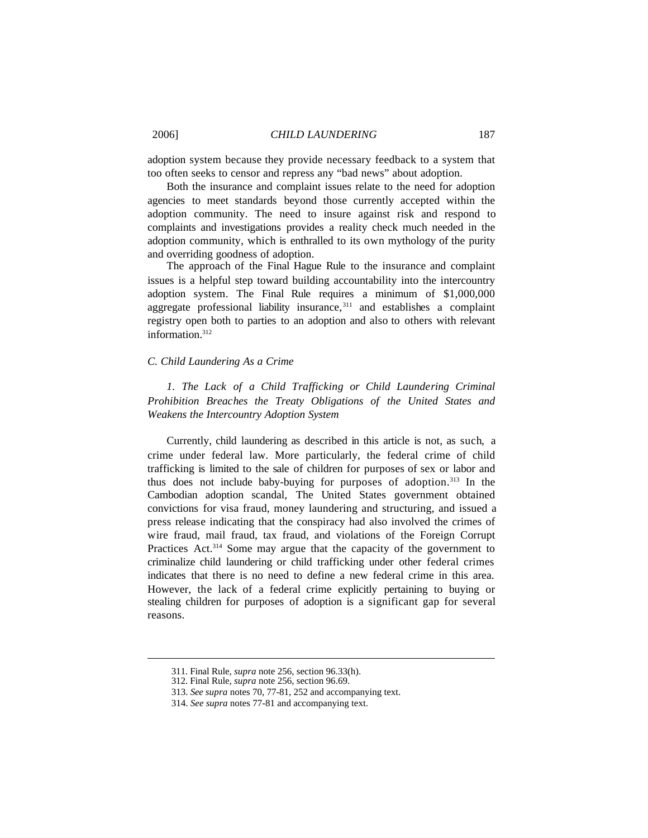adoption system because they provide necessary feedback to a system that too often seeks to censor and repress any "bad news" about adoption.

Both the insurance and complaint issues relate to the need for adoption agencies to meet standards beyond those currently accepted within the adoption community. The need to insure against risk and respond to complaints and investigations provides a reality check much needed in the adoption community, which is enthralled to its own mythology of the purity and overriding goodness of adoption.

The approach of the Final Hague Rule to the insurance and complaint issues is a helpful step toward building accountability into the intercountry adoption system. The Final Rule requires a minimum of \$1,000,000 aggregate professional liability insurance,<sup>311</sup> and establishes a complaint registry open both to parties to an adoption and also to others with relevant information.<sup>312</sup>

## *C. Child Laundering As a Crime*

*1. The Lack of a Child Trafficking or Child Laundering Criminal Prohibition Breaches the Treaty Obligations of the United States and Weakens the Intercountry Adoption System*

Currently, child laundering as described in this article is not, as such, a crime under federal law. More particularly, the federal crime of child trafficking is limited to the sale of children for purposes of sex or labor and thus does not include baby-buying for purposes of adoption.<sup>313</sup> In the Cambodian adoption scandal, The United States government obtained convictions for visa fraud, money laundering and structuring, and issued a press release indicating that the conspiracy had also involved the crimes of wire fraud, mail fraud, tax fraud, and violations of the Foreign Corrupt Practices Act.<sup>314</sup> Some may argue that the capacity of the government to criminalize child laundering or child trafficking under other federal crimes indicates that there is no need to define a new federal crime in this area. However, the lack of a federal crime explicitly pertaining to buying or stealing children for purposes of adoption is a significant gap for several reasons.

<sup>311.</sup> Final Rule, *supra* note 256, section 96.33(h).

<sup>312.</sup> Final Rule, *supra* note 256, section 96.69.

<sup>313.</sup> *See supra* notes 70, 77-81, 252 and accompanying text.

<sup>314.</sup> *See supra* notes 77-81 and accompanying text.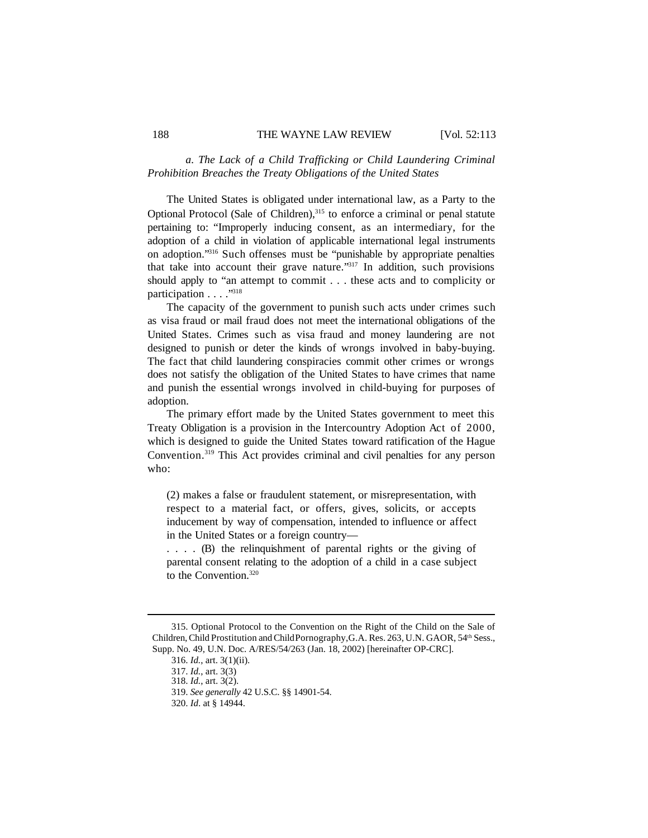## *a. The Lack of a Child Trafficking or Child Laundering Criminal Prohibition Breaches the Treaty Obligations of the United States*

The United States is obligated under international law, as a Party to the Optional Protocol (Sale of Children),<sup>315</sup> to enforce a criminal or penal statute pertaining to: "Improperly inducing consent, as an intermediary, for the adoption of a child in violation of applicable international legal instruments on adoption."<sup>316</sup> Such offenses must be "punishable by appropriate penalties that take into account their grave nature."<sup>317</sup> In addition, such provisions should apply to "an attempt to commit . . . these acts and to complicity or participation . . . ."<sup>318</sup>

The capacity of the government to punish such acts under crimes such as visa fraud or mail fraud does not meet the international obligations of the United States. Crimes such as visa fraud and money laundering are not designed to punish or deter the kinds of wrongs involved in baby-buying. The fact that child laundering conspiracies commit other crimes or wrongs does not satisfy the obligation of the United States to have crimes that name and punish the essential wrongs involved in child-buying for purposes of adoption.

The primary effort made by the United States government to meet this Treaty Obligation is a provision in the Intercountry Adoption Act of 2000, which is designed to guide the United States toward ratification of the Hague Convention.<sup>319</sup> This Act provides criminal and civil penalties for any person who:

(2) makes a false or fraudulent statement, or misrepresentation, with respect to a material fact, or offers, gives, solicits, or accepts inducement by way of compensation, intended to influence or affect in the United States or a foreign country—

. . . . (B) the relinquishment of parental rights or the giving of parental consent relating to the adoption of a child in a case subject to the Convention.320

<sup>315.</sup> Optional Protocol to the Convention on the Right of the Child on the Sale of Children, Child Prostitution and Child Pornography, G.A. Res. 263, U.N. GAOR, 54<sup>th</sup> Sess., Supp. No. 49, U.N. Doc. A/RES/54/263 (Jan. 18, 2002) [hereinafter OP-CRC].

<sup>316.</sup> *Id.*, art. 3(1)(ii).

<sup>317.</sup> *Id.*, art. 3(3)

<sup>318.</sup> *Id.*, art. 3(2).

<sup>319.</sup> *See generally* 42 U.S.C. §§ 14901-54.

<sup>320.</sup> *Id*. at § 14944.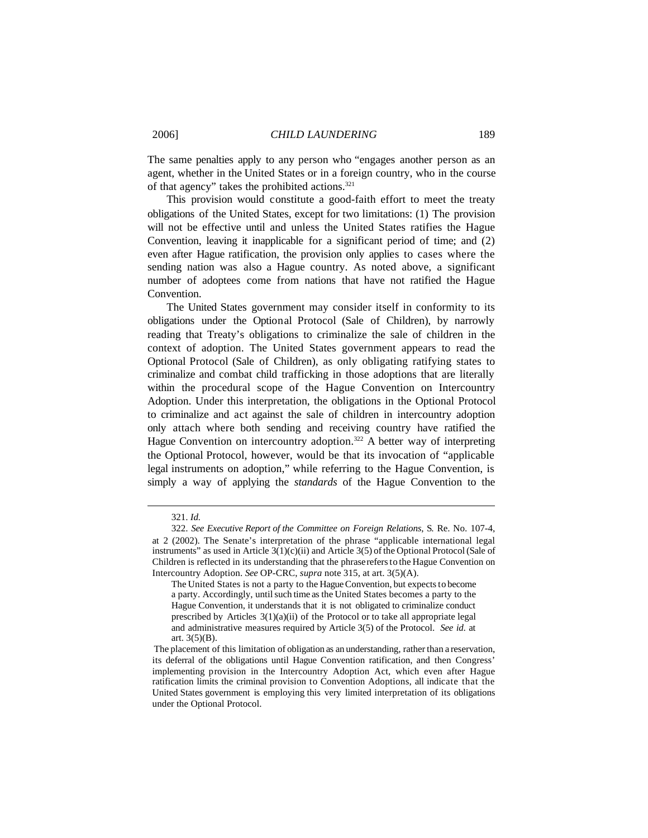The same penalties apply to any person who "engages another person as an agent, whether in the United States or in a foreign country, who in the course of that agency" takes the prohibited actions.<sup>321</sup>

This provision would constitute a good-faith effort to meet the treaty obligations of the United States, except for two limitations: (1) The provision will not be effective until and unless the United States ratifies the Hague Convention, leaving it inapplicable for a significant period of time; and (2) even after Hague ratification, the provision only applies to cases where the sending nation was also a Hague country. As noted above, a significant number of adoptees come from nations that have not ratified the Hague Convention.

The United States government may consider itself in conformity to its obligations under the Optional Protocol (Sale of Children), by narrowly reading that Treaty's obligations to criminalize the sale of children in the context of adoption. The United States government appears to read the Optional Protocol (Sale of Children), as only obligating ratifying states to criminalize and combat child trafficking in those adoptions that are literally within the procedural scope of the Hague Convention on Intercountry Adoption. Under this interpretation, the obligations in the Optional Protocol to criminalize and act against the sale of children in intercountry adoption only attach where both sending and receiving country have ratified the Hague Convention on intercountry adoption.<sup>322</sup> A better way of interpreting the Optional Protocol, however, would be that its invocation of "applicable legal instruments on adoption," while referring to the Hague Convention, is simply a way of applying the *standards* of the Hague Convention to the

<sup>321.</sup> *Id.*

<sup>322.</sup> *See Executive Report of the Committee on Foreign Relations*, S. Re. No. 107-4, at 2 (2002). The Senate's interpretation of the phrase "applicable international legal instruments" as used in Article  $3(1)(c)(ii)$  and Article  $3(5)$  of the Optional Protocol (Sale of Children is reflected in its understanding that the phraserefersto the Hague Convention on Intercountry Adoption. *See* OP-CRC, *supra* note 315, at art. 3(5)(A).

The United States is not a party to the Hague Convention, but expects to become a party. Accordingly, until such time as the United States becomes a party to the Hague Convention, it understands that it is not obligated to criminalize conduct prescribed by Articles 3(1)(a)(ii) of the Protocol or to take all appropriate legal and administrative measures required by Article 3(5) of the Protocol. *See id*. at art.  $3(5)(B)$ .

The placement of this limitation of obligation as an understanding, rather than a reservation, its deferral of the obligations until Hague Convention ratification, and then Congress' implementing provision in the Intercountry Adoption Act, which even after Hague ratification limits the criminal provision to Convention Adoptions, all indicate that the United States government is employing this very limited interpretation of its obligations under the Optional Protocol.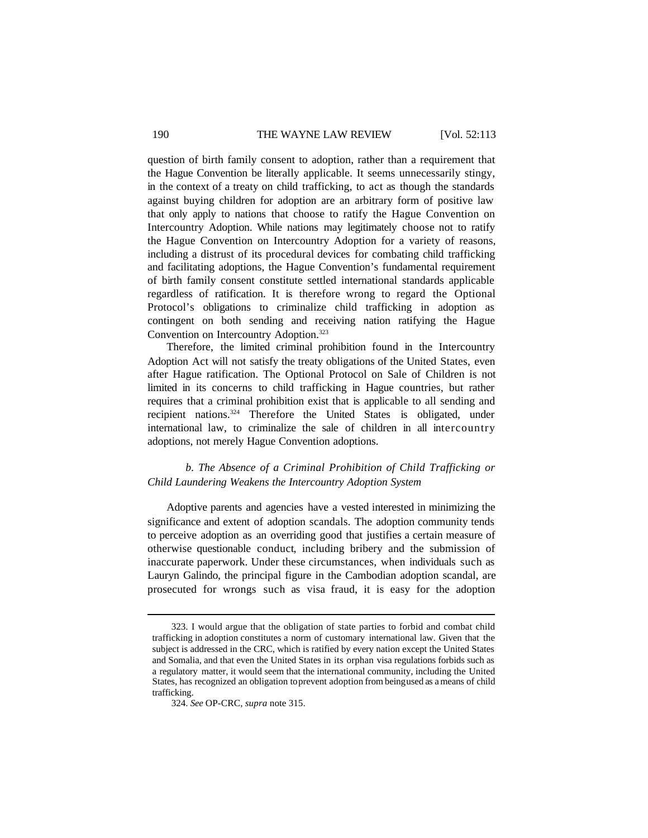#### 190 THE WAYNE LAW REVIEW [Vol. 52:113

question of birth family consent to adoption, rather than a requirement that the Hague Convention be literally applicable. It seems unnecessarily stingy, in the context of a treaty on child trafficking, to act as though the standards against buying children for adoption are an arbitrary form of positive law that only apply to nations that choose to ratify the Hague Convention on Intercountry Adoption. While nations may legitimately choose not to ratify the Hague Convention on Intercountry Adoption for a variety of reasons, including a distrust of its procedural devices for combating child trafficking and facilitating adoptions, the Hague Convention's fundamental requirement of birth family consent constitute settled international standards applicable regardless of ratification. It is therefore wrong to regard the Optional Protocol's obligations to criminalize child trafficking in adoption as contingent on both sending and receiving nation ratifying the Hague Convention on Intercountry Adoption.<sup>323</sup>

Therefore, the limited criminal prohibition found in the Intercountry Adoption Act will not satisfy the treaty obligations of the United States, even after Hague ratification. The Optional Protocol on Sale of Children is not limited in its concerns to child trafficking in Hague countries, but rather requires that a criminal prohibition exist that is applicable to all sending and recipient nations.<sup>324</sup> Therefore the United States is obligated, under international law, to criminalize the sale of children in all intercountry adoptions, not merely Hague Convention adoptions.

# *b. The Absence of a Criminal Prohibition of Child Trafficking or Child Laundering Weakens the Intercountry Adoption System*

Adoptive parents and agencies have a vested interested in minimizing the significance and extent of adoption scandals. The adoption community tends to perceive adoption as an overriding good that justifies a certain measure of otherwise questionable conduct, including bribery and the submission of inaccurate paperwork. Under these circumstances, when individuals such as Lauryn Galindo, the principal figure in the Cambodian adoption scandal, are prosecuted for wrongs such as visa fraud, it is easy for the adoption

<sup>323.</sup> I would argue that the obligation of state parties to forbid and combat child trafficking in adoption constitutes a norm of customary international law. Given that the subject is addressed in the CRC, which is ratified by every nation except the United States and Somalia, and that even the United States in its orphan visa regulations forbids such as a regulatory matter, it would seem that the international community, including the United States, has recognized an obligation toprevent adoption from beingused as ameans of child trafficking.

<sup>324.</sup> *See* OP-CRC, *supra* note 315.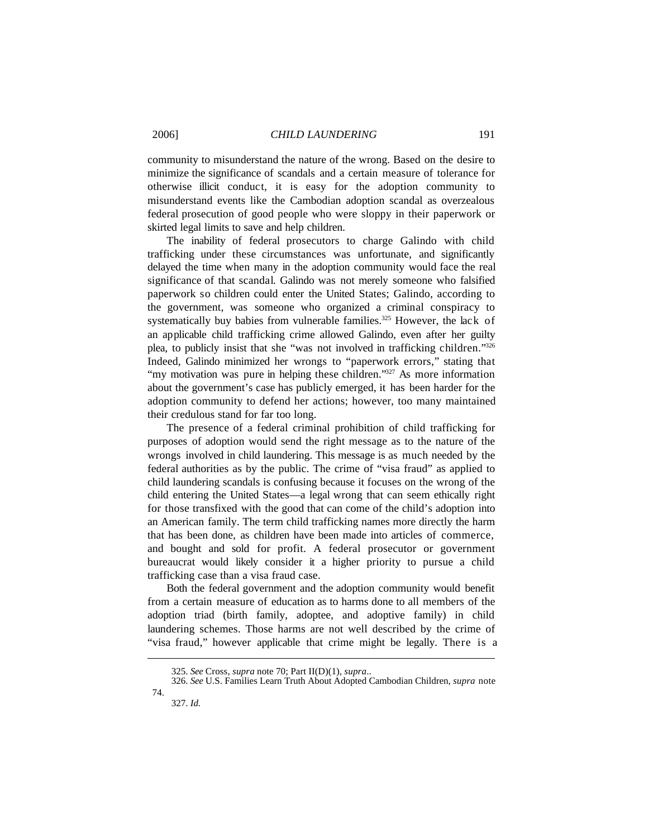community to misunderstand the nature of the wrong. Based on the desire to minimize the significance of scandals and a certain measure of tolerance for otherwise illicit conduct, it is easy for the adoption community to misunderstand events like the Cambodian adoption scandal as overzealous federal prosecution of good people who were sloppy in their paperwork or skirted legal limits to save and help children.

The inability of federal prosecutors to charge Galindo with child trafficking under these circumstances was unfortunate, and significantly delayed the time when many in the adoption community would face the real significance of that scandal. Galindo was not merely someone who falsified paperwork so children could enter the United States; Galindo, according to the government, was someone who organized a criminal conspiracy to systematically buy babies from vulnerable families.<sup>325</sup> However, the lack of an applicable child trafficking crime allowed Galindo, even after her guilty plea, to publicly insist that she "was not involved in trafficking children."<sup>326</sup> Indeed, Galindo minimized her wrongs to "paperwork errors," stating that "my motivation was pure in helping these children."<sup>327</sup> As more information about the government's case has publicly emerged, it has been harder for the adoption community to defend her actions; however, too many maintained their credulous stand for far too long.

The presence of a federal criminal prohibition of child trafficking for purposes of adoption would send the right message as to the nature of the wrongs involved in child laundering. This message is as much needed by the federal authorities as by the public. The crime of "visa fraud" as applied to child laundering scandals is confusing because it focuses on the wrong of the child entering the United States—a legal wrong that can seem ethically right for those transfixed with the good that can come of the child's adoption into an American family. The term child trafficking names more directly the harm that has been done, as children have been made into articles of commerce, and bought and sold for profit. A federal prosecutor or government bureaucrat would likely consider it a higher priority to pursue a child trafficking case than a visa fraud case.

Both the federal government and the adoption community would benefit from a certain measure of education as to harms done to all members of the adoption triad (birth family, adoptee, and adoptive family) in child laundering schemes. Those harms are not well described by the crime of "visa fraud," however applicable that crime might be legally. There is a

<sup>325.</sup> *See* Cross, *supra* note 70; Part II(D)(1), *supra*..

<sup>326.</sup> *See* U.S. Families Learn Truth About Adopted Cambodian Children, *supra* note 74.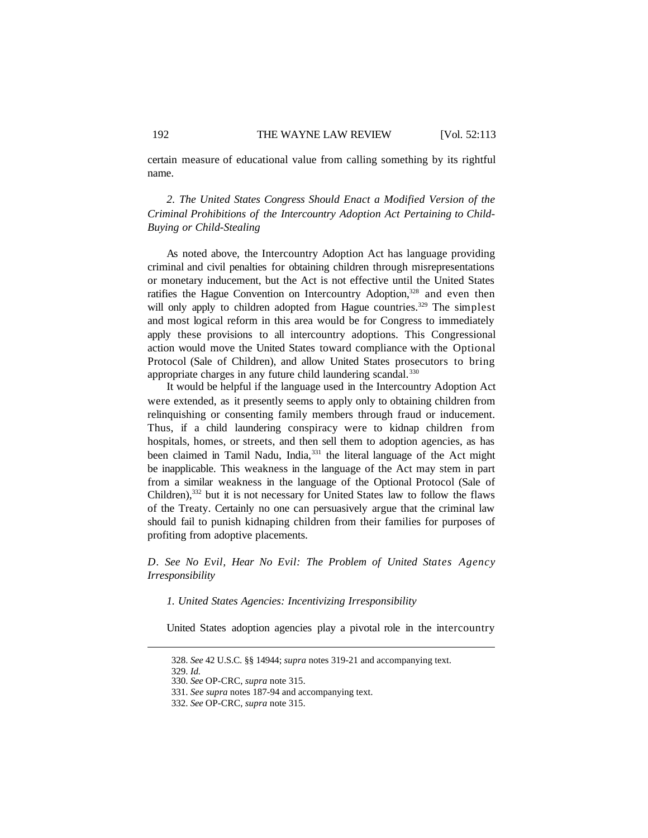certain measure of educational value from calling something by its rightful name.

*2. The United States Congress Should Enact a Modified Version of the Criminal Prohibitions of the Intercountry Adoption Act Pertaining to Child-Buying or Child-Stealing*

As noted above, the Intercountry Adoption Act has language providing criminal and civil penalties for obtaining children through misrepresentations or monetary inducement, but the Act is not effective until the United States ratifies the Hague Convention on Intercountry Adoption,<sup>328</sup> and even then will only apply to children adopted from Hague countries.<sup>329</sup> The simplest and most logical reform in this area would be for Congress to immediately apply these provisions to all intercountry adoptions. This Congressional action would move the United States toward compliance with the Optional Protocol (Sale of Children), and allow United States prosecutors to bring appropriate charges in any future child laundering scandal.<sup>330</sup>

It would be helpful if the language used in the Intercountry Adoption Act were extended, as it presently seems to apply only to obtaining children from relinquishing or consenting family members through fraud or inducement. Thus, if a child laundering conspiracy were to kidnap children from hospitals, homes, or streets, and then sell them to adoption agencies, as has been claimed in Tamil Nadu, India,<sup>331</sup> the literal language of the Act might be inapplicable. This weakness in the language of the Act may stem in part from a similar weakness in the language of the Optional Protocol (Sale of Children),<sup>332</sup> but it is not necessary for United States law to follow the flaws of the Treaty. Certainly no one can persuasively argue that the criminal law should fail to punish kidnaping children from their families for purposes of profiting from adoptive placements.

*D. See No Evil, Hear No Evil: The Problem of United States Agency Irresponsibility*

*1. United States Agencies: Incentivizing Irresponsibility*

United States adoption agencies play a pivotal role in the intercountry

328. *See* 42 U.S.C. §§ 14944; *supra* notes 319-21 and accompanying text.

<sup>329.</sup> *Id.*

<sup>330.</sup> *See* OP-CRC, *supra* note 315.

<sup>331.</sup> *See supra* notes 187-94 and accompanying text.

<sup>332.</sup> *See* OP-CRC, *supra* note 315.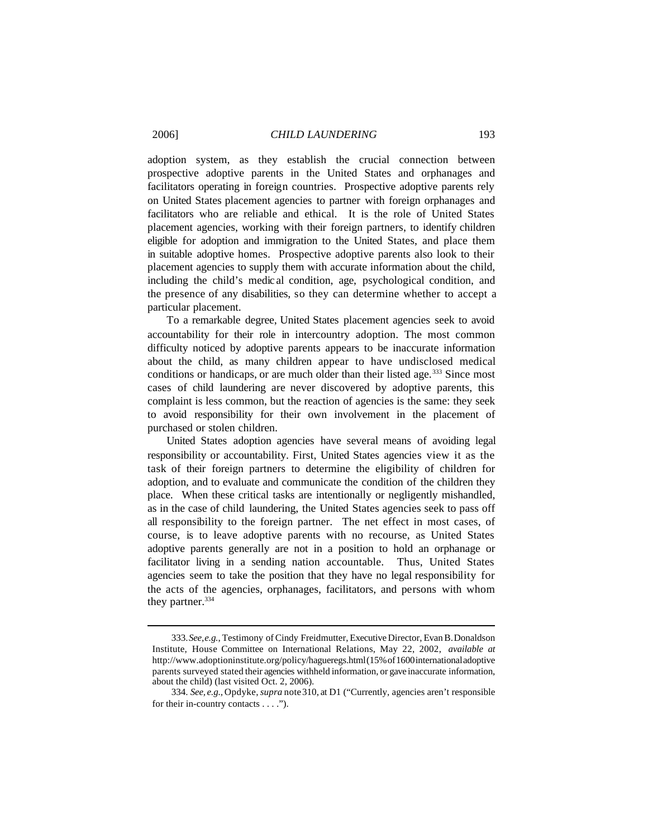adoption system, as they establish the crucial connection between prospective adoptive parents in the United States and orphanages and facilitators operating in foreign countries. Prospective adoptive parents rely on United States placement agencies to partner with foreign orphanages and facilitators who are reliable and ethical. It is the role of United States placement agencies, working with their foreign partners, to identify children eligible for adoption and immigration to the United States, and place them in suitable adoptive homes. Prospective adoptive parents also look to their placement agencies to supply them with accurate information about the child, including the child's medic al condition, age, psychological condition, and the presence of any disabilities, so they can determine whether to accept a particular placement.

To a remarkable degree, United States placement agencies seek to avoid accountability for their role in intercountry adoption. The most common difficulty noticed by adoptive parents appears to be inaccurate information about the child, as many children appear to have undisclosed medical conditions or handicaps, or are much older than their listed age.<sup>333</sup> Since most cases of child laundering are never discovered by adoptive parents, this complaint is less common, but the reaction of agencies is the same: they seek to avoid responsibility for their own involvement in the placement of purchased or stolen children.

United States adoption agencies have several means of avoiding legal responsibility or accountability. First, United States agencies view it as the task of their foreign partners to determine the eligibility of children for adoption, and to evaluate and communicate the condition of the children they place. When these critical tasks are intentionally or negligently mishandled, as in the case of child laundering, the United States agencies seek to pass off all responsibility to the foreign partner. The net effect in most cases, of course, is to leave adoptive parents with no recourse, as United States adoptive parents generally are not in a position to hold an orphanage or facilitator living in a sending nation accountable. Thus, United States agencies seem to take the position that they have no legal responsibility for the acts of the agencies, orphanages, facilitators, and persons with whom they partner.<sup>334</sup>

<sup>333.</sup>*See,e.g.*, Testimony of Cindy Freidmutter, Executive Director, EvanB.Donaldson Institute, House Committee on International Relations, May 22, 2002, *available at* http://www.adoptioninstitute.org/policy/hagueregs.html (15% of 1600 international adoptive parents surveyed stated their agencies withheld information, or gave inaccurate information, about the child) (last visited Oct. 2, 2006).

<sup>334.</sup> *See, e.g.,* Opdyke,*supra* note310, at D1 ("Currently, agencies aren't responsible for their in-country contacts . . . .").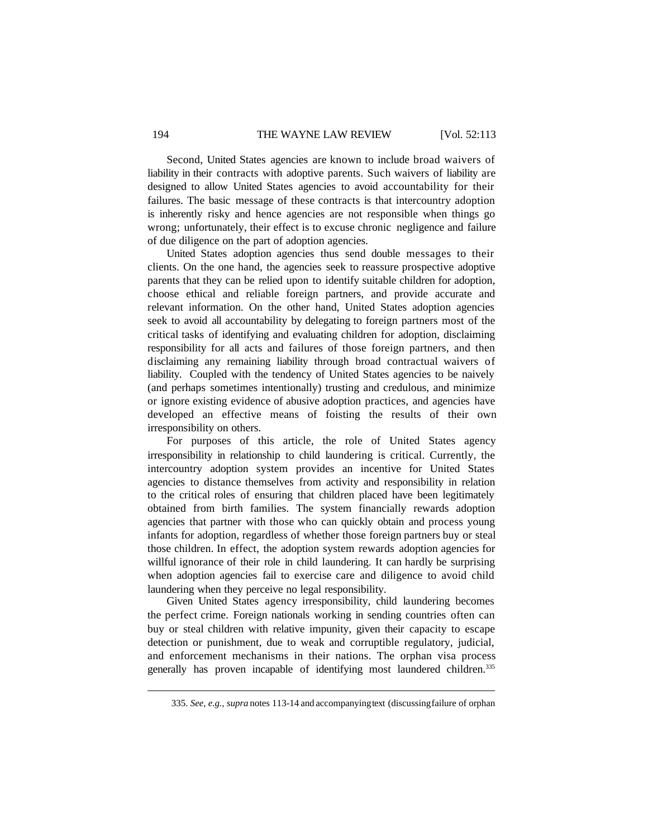Second, United States agencies are known to include broad waivers of liability in their contracts with adoptive parents. Such waivers of liability are designed to allow United States agencies to avoid accountability for their failures. The basic message of these contracts is that intercountry adoption is inherently risky and hence agencies are not responsible when things go wrong; unfortunately, their effect is to excuse chronic negligence and failure of due diligence on the part of adoption agencies.

United States adoption agencies thus send double messages to their clients. On the one hand, the agencies seek to reassure prospective adoptive parents that they can be relied upon to identify suitable children for adoption, choose ethical and reliable foreign partners, and provide accurate and relevant information. On the other hand, United States adoption agencies seek to avoid all accountability by delegating to foreign partners most of the critical tasks of identifying and evaluating children for adoption, disclaiming responsibility for all acts and failures of those foreign partners, and then disclaiming any remaining liability through broad contractual waivers of liability. Coupled with the tendency of United States agencies to be naively (and perhaps sometimes intentionally) trusting and credulous, and minimize or ignore existing evidence of abusive adoption practices, and agencies have developed an effective means of foisting the results of their own irresponsibility on others.

For purposes of this article, the role of United States agency irresponsibility in relationship to child laundering is critical. Currently, the intercountry adoption system provides an incentive for United States agencies to distance themselves from activity and responsibility in relation to the critical roles of ensuring that children placed have been legitimately obtained from birth families. The system financially rewards adoption agencies that partner with those who can quickly obtain and process young infants for adoption, regardless of whether those foreign partners buy or steal those children. In effect, the adoption system rewards adoption agencies for willful ignorance of their role in child laundering. It can hardly be surprising when adoption agencies fail to exercise care and diligence to avoid child laundering when they perceive no legal responsibility.

Given United States agency irresponsibility, child laundering becomes the perfect crime. Foreign nationals working in sending countries often can buy or steal children with relative impunity, given their capacity to escape detection or punishment, due to weak and corruptible regulatory, judicial, and enforcement mechanisms in their nations. The orphan visa process generally has proven incapable of identifying most laundered children.<sup>335</sup>

<sup>335.</sup> *See, e.g., supra* notes 113-14 and accompanyingtext (discussingfailure of orphan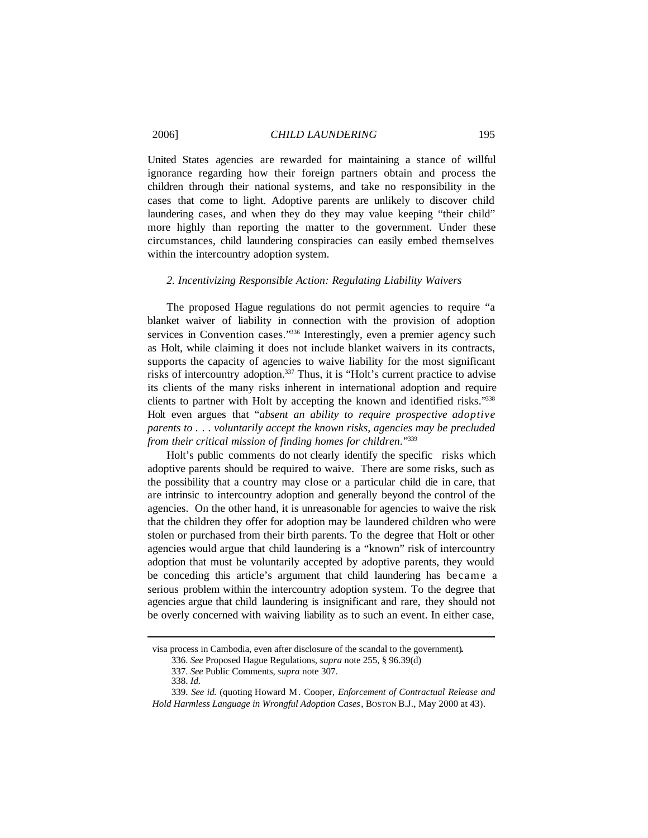United States agencies are rewarded for maintaining a stance of willful ignorance regarding how their foreign partners obtain and process the children through their national systems, and take no responsibility in the cases that come to light. Adoptive parents are unlikely to discover child laundering cases, and when they do they may value keeping "their child" more highly than reporting the matter to the government. Under these circumstances, child laundering conspiracies can easily embed themselves within the intercountry adoption system.

## *2. Incentivizing Responsible Action: Regulating Liability Waivers*

The proposed Hague regulations do not permit agencies to require "a blanket waiver of liability in connection with the provision of adoption services in Convention cases."<sup>336</sup> Interestingly, even a premier agency such as Holt, while claiming it does not include blanket waivers in its contracts, supports the capacity of agencies to waive liability for the most significant risks of intercountry adoption.<sup>337</sup> Thus, it is "Holt's current practice to advise its clients of the many risks inherent in international adoption and require clients to partner with Holt by accepting the known and identified risks."<sup>338</sup> Holt even argues that "*absent an ability to require prospective adoptive parents to . . . voluntarily accept the known risks, agencies may be precluded from their critical mission of finding homes for children*."<sup>339</sup>

Holt's public comments do not clearly identify the specific risks which adoptive parents should be required to waive. There are some risks, such as the possibility that a country may close or a particular child die in care, that are intrinsic to intercountry adoption and generally beyond the control of the agencies. On the other hand, it is unreasonable for agencies to waive the risk that the children they offer for adoption may be laundered children who were stolen or purchased from their birth parents. To the degree that Holt or other agencies would argue that child laundering is a "known" risk of intercountry adoption that must be voluntarily accepted by adoptive parents, they would be conceding this article's argument that child laundering has became a serious problem within the intercountry adoption system. To the degree that agencies argue that child laundering is insignificant and rare, they should not be overly concerned with waiving liability as to such an event. In either case,

visa process in Cambodia, even after disclosure of the scandal to the government)**.**

<sup>336.</sup> *See* Proposed Hague Regulations, *supra* note 255, § 96.39(d)

<sup>337.</sup> *See* Public Comments, *supra* note 307.

<sup>338.</sup> *Id.*

<sup>339.</sup> *See id.* (quoting Howard M. Cooper, *Enforcement of Contractual Release and Hold Harmless Language in Wrongful Adoption Cases*, BOSTON B.J., May 2000 at 43).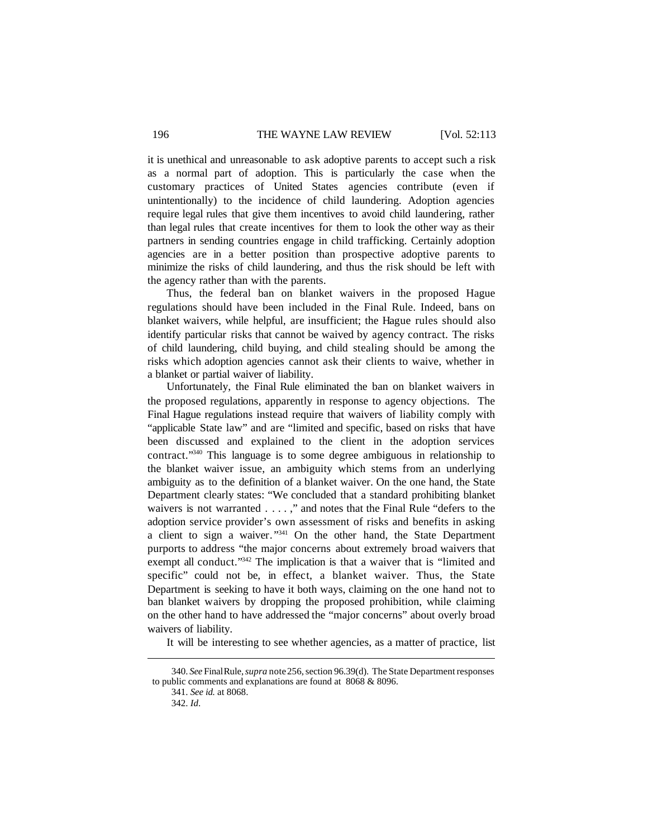it is unethical and unreasonable to ask adoptive parents to accept such a risk as a normal part of adoption. This is particularly the case when the customary practices of United States agencies contribute (even if unintentionally) to the incidence of child laundering. Adoption agencies require legal rules that give them incentives to avoid child laundering, rather than legal rules that create incentives for them to look the other way as their partners in sending countries engage in child trafficking. Certainly adoption agencies are in a better position than prospective adoptive parents to minimize the risks of child laundering, and thus the risk should be left with the agency rather than with the parents.

Thus, the federal ban on blanket waivers in the proposed Hague regulations should have been included in the Final Rule. Indeed, bans on blanket waivers, while helpful, are insufficient; the Hague rules should also identify particular risks that cannot be waived by agency contract. The risks of child laundering, child buying, and child stealing should be among the risks which adoption agencies cannot ask their clients to waive, whether in a blanket or partial waiver of liability.

Unfortunately, the Final Rule eliminated the ban on blanket waivers in the proposed regulations, apparently in response to agency objections. The Final Hague regulations instead require that waivers of liability comply with "applicable State law" and are "limited and specific, based on risks that have been discussed and explained to the client in the adoption services contract."<sup>340</sup> This language is to some degree ambiguous in relationship to the blanket waiver issue, an ambiguity which stems from an underlying ambiguity as to the definition of a blanket waiver. On the one hand, the State Department clearly states: "We concluded that a standard prohibiting blanket waivers is not warranted . . . . ," and notes that the Final Rule "defers to the adoption service provider's own assessment of risks and benefits in asking a client to sign a waiver."<sup>341</sup> On the other hand, the State Department purports to address "the major concerns about extremely broad waivers that exempt all conduct."<sup>342</sup> The implication is that a waiver that is "limited and specific" could not be, in effect, a blanket waiver. Thus, the State Department is seeking to have it both ways, claiming on the one hand not to ban blanket waivers by dropping the proposed prohibition, while claiming on the other hand to have addressed the "major concerns" about overly broad waivers of liability.

It will be interesting to see whether agencies, as a matter of practice, list

<sup>340.</sup> *See* FinalRule,*supra* note256,section 96.39(d). The State Department responses to public comments and explanations are found at 8068 & 8096.

<sup>341.</sup> *See id.* at 8068.

<sup>342.</sup> *Id*.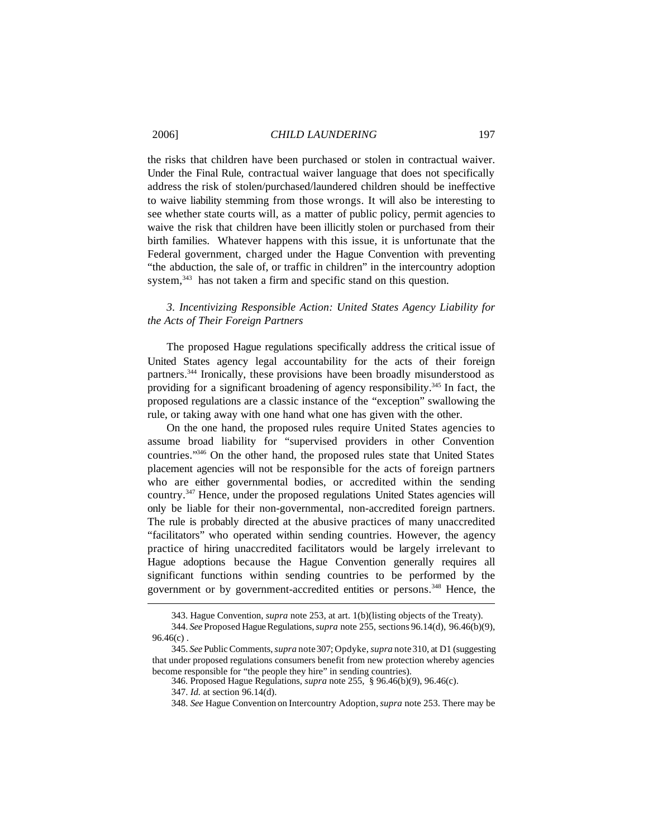the risks that children have been purchased or stolen in contractual waiver. Under the Final Rule, contractual waiver language that does not specifically address the risk of stolen/purchased/laundered children should be ineffective to waive liability stemming from those wrongs. It will also be interesting to see whether state courts will, as a matter of public policy, permit agencies to waive the risk that children have been illicitly stolen or purchased from their birth families. Whatever happens with this issue, it is unfortunate that the Federal government, charged under the Hague Convention with preventing "the abduction, the sale of, or traffic in children" in the intercountry adoption system,<sup>343</sup> has not taken a firm and specific stand on this question.

# *3. Incentivizing Responsible Action: United States Agency Liability for the Acts of Their Foreign Partners*

The proposed Hague regulations specifically address the critical issue of United States agency legal accountability for the acts of their foreign partners.<sup>344</sup> Ironically, these provisions have been broadly misunderstood as providing for a significant broadening of agency responsibility.<sup>345</sup> In fact, the proposed regulations are a classic instance of the "exception" swallowing the rule, or taking away with one hand what one has given with the other.

On the one hand, the proposed rules require United States agencies to assume broad liability for "supervised providers in other Convention countries."<sup>346</sup> On the other hand, the proposed rules state that United States placement agencies will not be responsible for the acts of foreign partners who are either governmental bodies, or accredited within the sending country.<sup>347</sup> Hence, under the proposed regulations United States agencies will only be liable for their non-governmental, non-accredited foreign partners. The rule is probably directed at the abusive practices of many unaccredited "facilitators" who operated within sending countries. However, the agency practice of hiring unaccredited facilitators would be largely irrelevant to Hague adoptions because the Hague Convention generally requires all significant functions within sending countries to be performed by the government or by government-accredited entities or persons.<sup>348</sup> Hence, the

<sup>343.</sup> Hague Convention, *supra* note 253, at art. 1(b)(listing objects of the Treaty).

<sup>344.</sup> *See* Proposed Hague Regulations, *supra* note 255, sections 96.14(d), 96.46(b)(9), 96.46(c) .

<sup>345.</sup> *See* PublicComments,*supra* note307; Opdyke,*supra* note310, at D1 (suggesting that under proposed regulations consumers benefit from new protection whereby agencies become responsible for "the people they hire" in sending countries).

<sup>346.</sup> Proposed Hague Regulations, *supra* note 255, § 96.46(b)(9), 96.46(c).

<sup>347.</sup> *Id.* at section 96.14(d).

<sup>348.</sup> *See* Hague Convention on Intercountry Adoption,*supra* note 253. There may be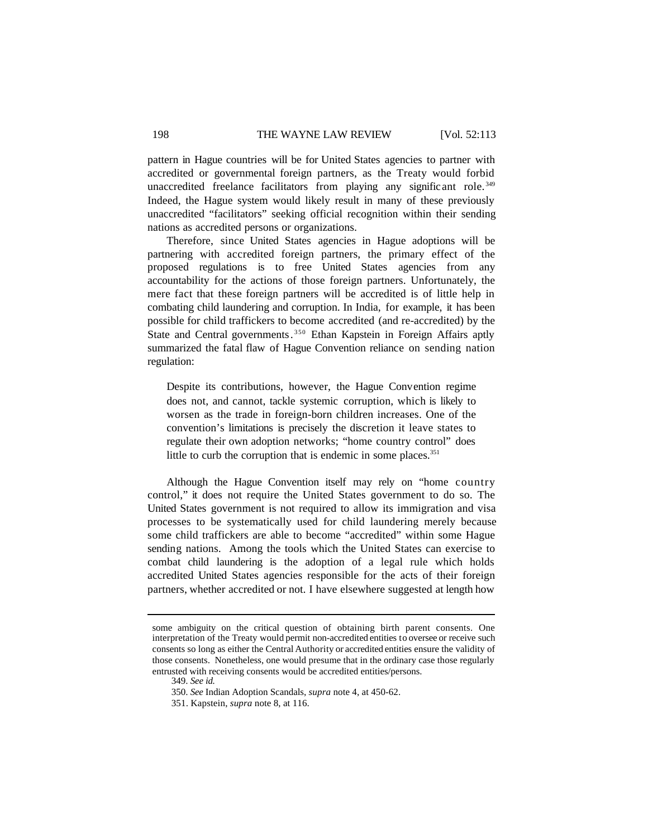pattern in Hague countries will be for United States agencies to partner with accredited or governmental foreign partners, as the Treaty would forbid unaccredited freelance facilitators from playing any significant role.<sup>349</sup> Indeed, the Hague system would likely result in many of these previously unaccredited "facilitators" seeking official recognition within their sending nations as accredited persons or organizations.

Therefore, since United States agencies in Hague adoptions will be partnering with accredited foreign partners, the primary effect of the proposed regulations is to free United States agencies from any accountability for the actions of those foreign partners. Unfortunately, the mere fact that these foreign partners will be accredited is of little help in combating child laundering and corruption. In India, for example, it has been possible for child traffickers to become accredited (and re-accredited) by the State and Central governments.<sup>350</sup> Ethan Kapstein in Foreign Affairs aptly summarized the fatal flaw of Hague Convention reliance on sending nation regulation:

Despite its contributions, however, the Hague Convention regime does not, and cannot, tackle systemic corruption, which is likely to worsen as the trade in foreign-born children increases. One of the convention's limitations is precisely the discretion it leave states to regulate their own adoption networks; "home country control" does little to curb the corruption that is endemic in some places.<sup>351</sup>

Although the Hague Convention itself may rely on "home country control," it does not require the United States government to do so. The United States government is not required to allow its immigration and visa processes to be systematically used for child laundering merely because some child traffickers are able to become "accredited" within some Hague sending nations. Among the tools which the United States can exercise to combat child laundering is the adoption of a legal rule which holds accredited United States agencies responsible for the acts of their foreign partners, whether accredited or not. I have elsewhere suggested at length how

349. *See id.*

some ambiguity on the critical question of obtaining birth parent consents. One interpretation of the Treaty would permit non-accredited entities to oversee or receive such consents so long as either the Central Authority or accredited entities ensure the validity of those consents. Nonetheless, one would presume that in the ordinary case those regularly entrusted with receiving consents would be accredited entities/persons.

<sup>350.</sup> *See* Indian Adoption Scandals, *supra* note 4, at 450-62.

<sup>351.</sup> Kapstein, *supra* note 8, at 116.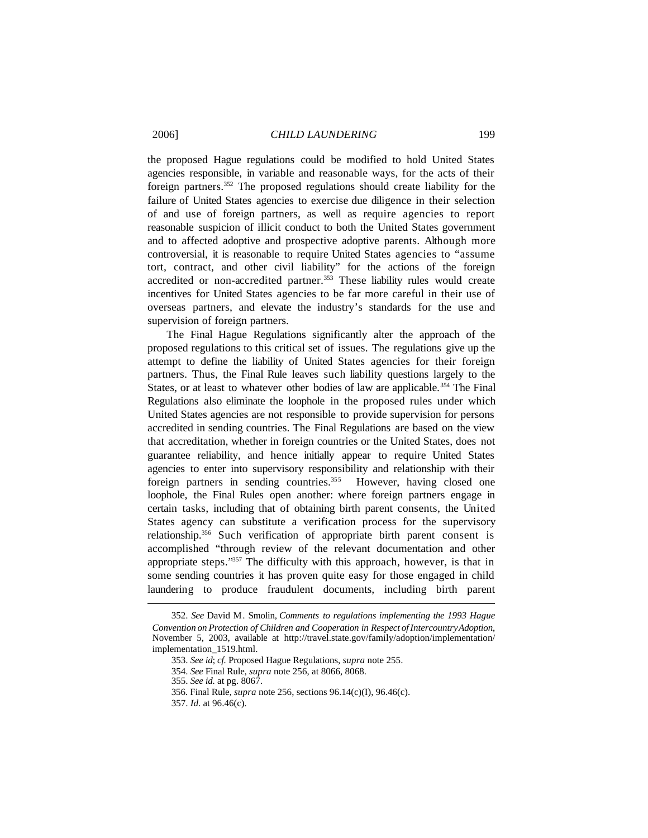the proposed Hague regulations could be modified to hold United States agencies responsible, in variable and reasonable ways, for the acts of their foreign partners.<sup>352</sup> The proposed regulations should create liability for the failure of United States agencies to exercise due diligence in their selection of and use of foreign partners, as well as require agencies to report reasonable suspicion of illicit conduct to both the United States government and to affected adoptive and prospective adoptive parents. Although more controversial, it is reasonable to require United States agencies to "assume tort, contract, and other civil liability" for the actions of the foreign accredited or non-accredited partner.<sup>353</sup> These liability rules would create incentives for United States agencies to be far more careful in their use of overseas partners, and elevate the industry's standards for the use and supervision of foreign partners.

The Final Hague Regulations significantly alter the approach of the proposed regulations to this critical set of issues. The regulations give up the attempt to define the liability of United States agencies for their foreign partners. Thus, the Final Rule leaves such liability questions largely to the States, or at least to whatever other bodies of law are applicable.<sup>354</sup> The Final Regulations also eliminate the loophole in the proposed rules under which United States agencies are not responsible to provide supervision for persons accredited in sending countries. The Final Regulations are based on the view that accreditation, whether in foreign countries or the United States, does not guarantee reliability, and hence initially appear to require United States agencies to enter into supervisory responsibility and relationship with their foreign partners in sending countries.<sup>355</sup> However, having closed one loophole, the Final Rules open another: where foreign partners engage in certain tasks, including that of obtaining birth parent consents, the United States agency can substitute a verification process for the supervisory relationship.<sup>356</sup> Such verification of appropriate birth parent consent is accomplished "through review of the relevant documentation and other appropriate steps."<sup>357</sup> The difficulty with this approach, however, is that in some sending countries it has proven quite easy for those engaged in child laundering to produce fraudulent documents, including birth parent

<sup>352.</sup> *See* David M. Smolin, *Comments to regulations implementing the 1993 Hague Convention on Protection of Children and Cooperation in Respect ofIntercountryAdoption*, November 5, 2003, available at http://travel.state.gov/family/adoption/implementation/ implementation\_1519.html.

<sup>353.</sup> *See id*; *cf.* Proposed Hague Regulations, *supra* note 255.

<sup>354.</sup> *See* Final Rule, *supra* note 256, at 8066, 8068.

<sup>355.</sup> *See id.* at pg. 8067.

<sup>356.</sup> Final Rule, *supra* note 256, sections 96.14(c)(I), 96.46(c).

<sup>357.</sup> *Id*. at 96.46(c).